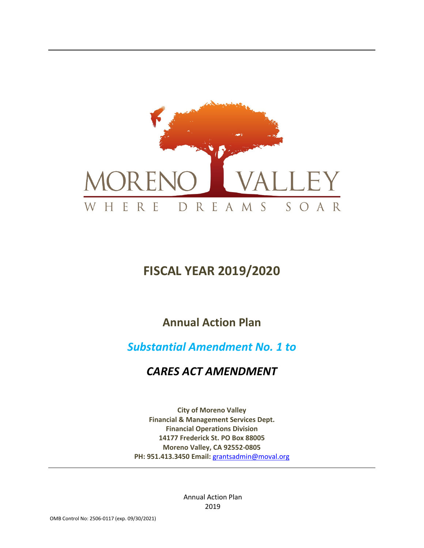

# **FISCAL YEAR 2019/2020**

## **Annual Action Plan**

## *Substantial Amendment No. 1 to*

## *CARES ACT AMENDMENT*

**City of Moreno Valley Financial & Management Services Dept. Financial Operations Division 14177 Frederick St. PO Box 88005 Moreno Valley, CA 92552-0805 PH: 951.413.3450 Email:** [grantsadmin@moval.org](mailto:grantsadmin@moval.org)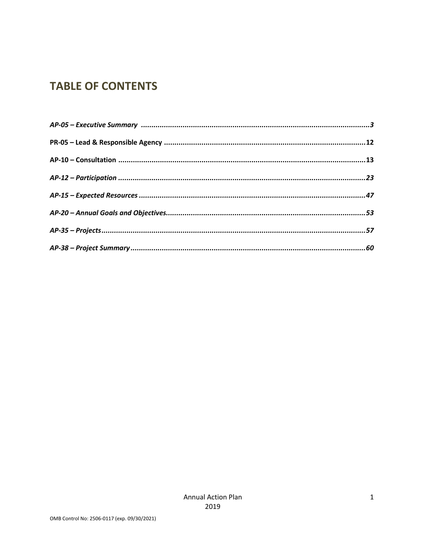## **TABLE OF CONTENTS**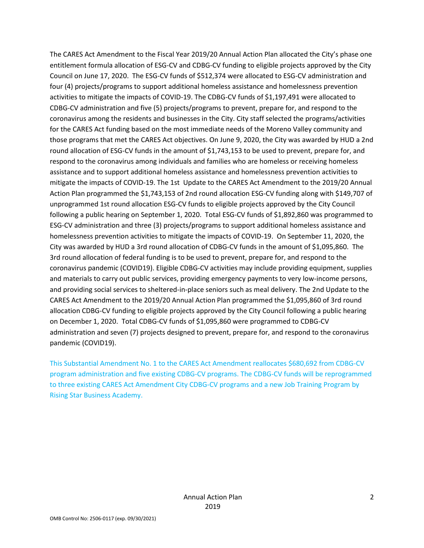The CARES Act Amendment to the Fiscal Year 2019/20 Annual Action Plan allocated the City's phase one entitlement formula allocation of ESG-CV and CDBG-CV funding to eligible projects approved by the City Council on June 17, 2020. The ESG-CV funds of \$512,374 were allocated to ESG-CV administration and four (4) projects/programs to support additional homeless assistance and homelessness prevention activities to mitigate the impacts of COVID-19. The CDBG-CV funds of \$1,197,491 were allocated to CDBG-CV administration and five (5) projects/programs to prevent, prepare for, and respond to the coronavirus among the residents and businesses in the City. City staff selected the programs/activities for the CARES Act funding based on the most immediate needs of the Moreno Valley community and those programs that met the CARES Act objectives. On June 9, 2020, the City was awarded by HUD a 2nd round allocation of ESG-CV funds in the amount of \$1,743,153 to be used to prevent, prepare for, and respond to the coronavirus among individuals and families who are homeless or receiving homeless assistance and to support additional homeless assistance and homelessness prevention activities to mitigate the impacts of COVID-19. The 1st Update to the CARES Act Amendment to the 2019/20 Annual Action Plan programmed the \$1,743,153 of 2nd round allocation ESG-CV funding along with \$149,707 of unprogrammed 1st round allocation ESG-CV funds to eligible projects approved by the City Council following a public hearing on September 1, 2020. Total ESG-CV funds of \$1,892,860 was programmed to ESG-CV administration and three (3) projects/programs to support additional homeless assistance and homelessness prevention activities to mitigate the impacts of COVID-19. On September 11, 2020, the City was awarded by HUD a 3rd round allocation of CDBG-CV funds in the amount of \$1,095,860. The 3rd round allocation of federal funding is to be used to prevent, prepare for, and respond to the coronavirus pandemic (COVID19). Eligible CDBG-CV activities may include providing equipment, supplies and materials to carry out public services, providing emergency payments to very low-income persons, and providing social services to sheltered-in-place seniors such as meal delivery. The 2nd Update to the CARES Act Amendment to the 2019/20 Annual Action Plan programmed the \$1,095,860 of 3rd round allocation CDBG-CV funding to eligible projects approved by the City Council following a public hearing on December 1, 2020. Total CDBG-CV funds of \$1,095,860 were programmed to CDBG-CV administration and seven (7) projects designed to prevent, prepare for, and respond to the coronavirus pandemic (COVID19).

This Substantial Amendment No. 1 to the CARES Act Amendment reallocates \$680,692 from CDBG-CV program administration and five existing CDBG-CV programs. The CDBG-CV funds will be reprogrammed to three existing CARES Act Amendment City CDBG-CV programs and a new Job Training Program by Rising Star Business Academy.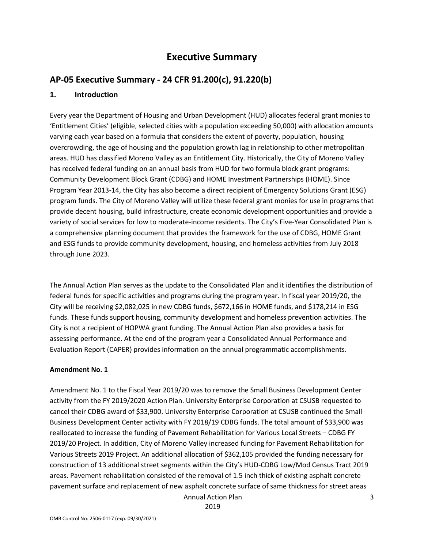## **Executive Summary**

### **AP-05 Executive Summary - 24 CFR 91.200(c), 91.220(b)**

#### **1. Introduction**

Every year the Department of Housing and Urban Development (HUD) allocates federal grant monies to 'Entitlement Cities' (eligible, selected cities with a population exceeding 50,000) with allocation amounts varying each year based on a formula that considers the extent of poverty, population, housing overcrowding, the age of housing and the population growth lag in relationship to other metropolitan areas. HUD has classified Moreno Valley as an Entitlement City. Historically, the City of Moreno Valley has received federal funding on an annual basis from HUD for two formula block grant programs: Community Development Block Grant (CDBG) and HOME Investment Partnerships (HOME). Since Program Year 2013-14, the City has also become a direct recipient of Emergency Solutions Grant (ESG) program funds. The City of Moreno Valley will utilize these federal grant monies for use in programs that provide decent housing, build infrastructure, create economic development opportunities and provide a variety of social services for low to moderate-income residents. The City's Five-Year Consolidated Plan is a comprehensive planning document that provides the framework for the use of CDBG, HOME Grant and ESG funds to provide community development, housing, and homeless activities from July 2018 through June 2023.

The Annual Action Plan serves as the update to the Consolidated Plan and it identifies the distribution of federal funds for specific activities and programs during the program year. In fiscal year 2019/20, the City will be receiving \$2,082,025 in new CDBG funds, \$672,166 in HOME funds, and \$178,214 in ESG funds. These funds support housing, community development and homeless prevention activities. The City is not a recipient of HOPWA grant funding. The Annual Action Plan also provides a basis for assessing performance. At the end of the program year a Consolidated Annual Performance and Evaluation Report (CAPER) provides information on the annual programmatic accomplishments.

#### **Amendment No. 1**

Amendment No. 1 to the Fiscal Year 2019/20 was to remove the Small Business Development Center activity from the FY 2019/2020 Action Plan. University Enterprise Corporation at CSUSB requested to cancel their CDBG award of \$33,900. University Enterprise Corporation at CSUSB continued the Small Business Development Center activity with FY 2018/19 CDBG funds. The total amount of \$33,900 was reallocated to increase the funding of Pavement Rehabilitation for Various Local Streets – CDBG FY 2019/20 Project. In addition, City of Moreno Valley increased funding for Pavement Rehabilitation for Various Streets 2019 Project. An additional allocation of \$362,105 provided the funding necessary for construction of 13 additional street segments within the City's HUD-CDBG Low/Mod Census Tract 2019 areas. Pavement rehabilitation consisted of the removal of 1.5 inch thick of existing asphalt concrete pavement surface and replacement of new asphalt concrete surface of same thickness for street areas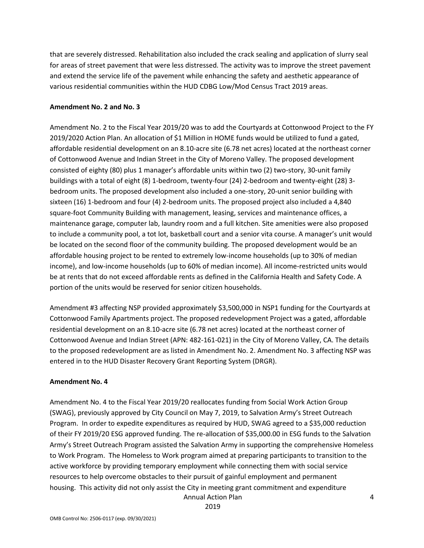that are severely distressed. Rehabilitation also included the crack sealing and application of slurry seal for areas of street pavement that were less distressed. The activity was to improve the street pavement and extend the service life of the pavement while enhancing the safety and aesthetic appearance of various residential communities within the HUD CDBG Low/Mod Census Tract 2019 areas.

#### **Amendment No. 2 and No. 3**

Amendment No. 2 to the Fiscal Year 2019/20 was to add the Courtyards at Cottonwood Project to the FY 2019/2020 Action Plan. An allocation of \$1 Million in HOME funds would be utilized to fund a gated, affordable residential development on an 8.10-acre site (6.78 net acres) located at the northeast corner of Cottonwood Avenue and Indian Street in the City of Moreno Valley. The proposed development consisted of eighty (80) plus 1 manager's affordable units within two (2) two-story, 30-unit family buildings with a total of eight (8) 1-bedroom, twenty-four (24) 2-bedroom and twenty-eight (28) 3 bedroom units. The proposed development also included a one-story, 20-unit senior building with sixteen (16) 1-bedroom and four (4) 2-bedroom units. The proposed project also included a 4,840 square-foot Community Building with management, leasing, services and maintenance offices, a maintenance garage, computer lab, laundry room and a full kitchen. Site amenities were also proposed to include a community pool, a tot lot, basketball court and a senior vita course. A manager's unit would be located on the second floor of the community building. The proposed development would be an affordable housing project to be rented to extremely low-income households (up to 30% of median income), and low-income households (up to 60% of median income). All income-restricted units would be at rents that do not exceed affordable rents as defined in the California Health and Safety Code. A portion of the units would be reserved for senior citizen households.

Amendment #3 affecting NSP provided approximately \$3,500,000 in NSP1 funding for the Courtyards at Cottonwood Family Apartments project. The proposed redevelopment Project was a gated, affordable residential development on an 8.10-acre site (6.78 net acres) located at the northeast corner of Cottonwood Avenue and Indian Street (APN: 482-161-021) in the City of Moreno Valley, CA. The details to the proposed redevelopment are as listed in Amendment No. 2. Amendment No. 3 affecting NSP was entered in to the HUD Disaster Recovery Grant Reporting System (DRGR).

#### **Amendment No. 4**

Amendment No. 4 to the Fiscal Year 2019/20 reallocates funding from Social Work Action Group (SWAG), previously approved by City Council on May 7, 2019, to Salvation Army's Street Outreach Program. In order to expedite expenditures as required by HUD, SWAG agreed to a \$35,000 reduction of their FY 2019/20 ESG approved funding. The re-allocation of \$35,000.00 in ESG funds to the Salvation Army's Street Outreach Program assisted the Salvation Army in supporting the comprehensive Homeless to Work Program. The Homeless to Work program aimed at preparing participants to transition to the active workforce by providing temporary employment while connecting them with social service resources to help overcome obstacles to their pursuit of gainful employment and permanent housing. This activity did not only assist the City in meeting grant commitment and expenditure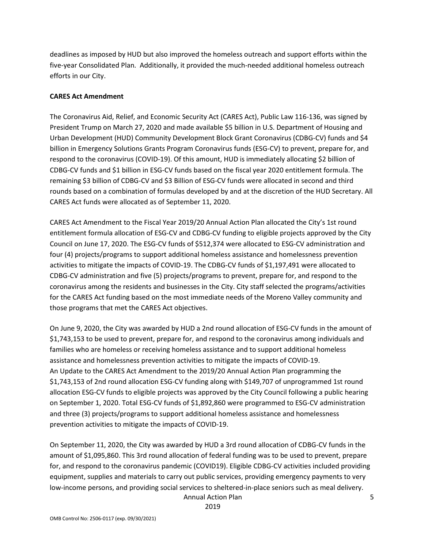deadlines as imposed by HUD but also improved the homeless outreach and support efforts within the five-year Consolidated Plan. Additionally, it provided the much-needed additional homeless outreach efforts in our City.

#### **CARES Act Amendment**

The Coronavirus Aid, Relief, and Economic Security Act (CARES Act), Public Law 116-136, was signed by President Trump on March 27, 2020 and made available \$5 billion in U.S. Department of Housing and Urban Development (HUD) Community Development Block Grant Coronavirus (CDBG-CV) funds and \$4 billion in Emergency Solutions Grants Program Coronavirus funds (ESG-CV) to prevent, prepare for, and respond to the coronavirus (COVID-19). Of this amount, HUD is immediately allocating \$2 billion of CDBG-CV funds and \$1 billion in ESG-CV funds based on the fiscal year 2020 entitlement formula. The remaining \$3 billion of CDBG-CV and \$3 Billion of ESG-CV funds were allocated in second and third rounds based on a combination of formulas developed by and at the discretion of the HUD Secretary. All CARES Act funds were allocated as of September 11, 2020.

CARES Act Amendment to the Fiscal Year 2019/20 Annual Action Plan allocated the City's 1st round entitlement formula allocation of ESG-CV and CDBG-CV funding to eligible projects approved by the City Council on June 17, 2020. The ESG-CV funds of \$512,374 were allocated to ESG-CV administration and four (4) projects/programs to support additional homeless assistance and homelessness prevention activities to mitigate the impacts of COVID-19. The CDBG-CV funds of \$1,197,491 were allocated to CDBG-CV administration and five (5) projects/programs to prevent, prepare for, and respond to the coronavirus among the residents and businesses in the City. City staff selected the programs/activities for the CARES Act funding based on the most immediate needs of the Moreno Valley community and those programs that met the CARES Act objectives.

On June 9, 2020, the City was awarded by HUD a 2nd round allocation of ESG-CV funds in the amount of \$1,743,153 to be used to prevent, prepare for, and respond to the coronavirus among individuals and families who are homeless or receiving homeless assistance and to support additional homeless assistance and homelessness prevention activities to mitigate the impacts of COVID-19. An Update to the CARES Act Amendment to the 2019/20 Annual Action Plan programming the \$1,743,153 of 2nd round allocation ESG-CV funding along with \$149,707 of unprogrammed 1st round allocation ESG-CV funds to eligible projects was approved by the City Council following a public hearing on September 1, 2020. Total ESG-CV funds of \$1,892,860 were programmed to ESG-CV administration and three (3) projects/programs to support additional homeless assistance and homelessness prevention activities to mitigate the impacts of COVID-19.

On September 11, 2020, the City was awarded by HUD a 3rd round allocation of CDBG-CV funds in the amount of \$1,095,860. This 3rd round allocation of federal funding was to be used to prevent, prepare for, and respond to the coronavirus pandemic (COVID19). Eligible CDBG-CV activities included providing equipment, supplies and materials to carry out public services, providing emergency payments to very low-income persons, and providing social services to sheltered-in-place seniors such as meal delivery.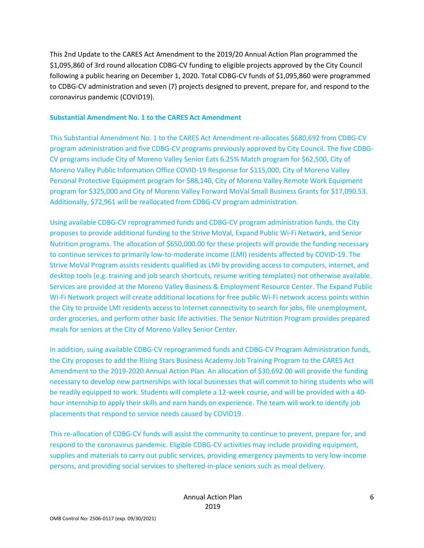This 2nd Update to the CARES Act Amendment to the 2019/20 Annual Action Plan programmed the \$1,095,860 of 3rd round allocation CDBG-CV funding to eligible projects approved by the City Council following a public hearing on December 1, 2020. Total CDBG-CV funds of \$1,095,860 were programmed to CDBG-CV administration and seven (7) projects designed to prevent, prepare for, and respond to the coronavirus pandemic (COVID19).

#### **Substantial Amendment No. 1 to the CARES Act Amendment**

This Substantial Amendment No. 1 to the CARES Act Amendment re-allocates \$680,692 from CDBG-CV program administration and five CDBG-CV programs previously approved by City Council. The five CDBG-CV programs include City of Moreno Valley Senior Eats 6.25% Match program for \$62,500, City of Moreno Valley Public Information Office COVID-19 Response for \$115,000, City of Moreno Valley Personal Protective Equipment program for \$88,140, City of Moreno Valley Remote Work Equipment program for \$325,000 and City of Moreno Valley Forward MoVal Small Business Grants for \$17,090.53. Additionally, \$72,961 will be reallocated from CDBG-CV program administration.

Using available CDBG-CV reprogrammed funds and CDBG-CV program administration funds, the City proposes to provide additional funding to the Strive MoVal, Expand Public Wi-Fi Network, and Senior Nutrition programs. The allocation of \$650,000.00 for these projects will provide the funding necessary to continue services to primarily low-to-moderate income (LMI) residents affected by COVID-19. The Strive MoVal Program assists residents qualified as LMI by providing access to computers, internet, and desktop tools (e.g. training and job search shortcuts, resume writing templates) not otherwise available. Services are provided at the Moreno Valley Business & Employment Resource Center. The Expand Public Wi-Fi Network project will create additional locations for free public Wi-Fi network access points within the City to provide LMI residents access to Internet connectivity to search for jobs, file unemployment, order groceries, and perform other basic life activities. The Senior Nutrition Program provides prepared meals for seniors at the City of Moreno Valley Senior Center.

In addition, suing available CDBG-CV reprogrammed funds and CDBG-CV Program Administration funds, the City proposes to add the Rising Stars Business Academy Job Training Program to the CARES Act Amendment to the 2019-2020 Annual Action Plan. An allocation of \$30,692.00 will provide the funding necessary to develop new partnerships with local businesses that will commit to hiring students who will be readily equipped to work. Students will complete a 12-week course, and will be provided with a 40 hour internship to apply their skills and earn hands on experience. The team will work to identify job placements that respond to service needs caused by COVID19.

This re-allocation of CDBG-CV funds will assist the community to continue to prevent, prepare for, and respond to the coronavirus pandemic. Eligible CDBG-CV activities may include providing equipment, supplies and materials to carry out public services, providing emergency payments to very low-income persons, and providing social services to sheltered-in-place seniors such as meal delivery.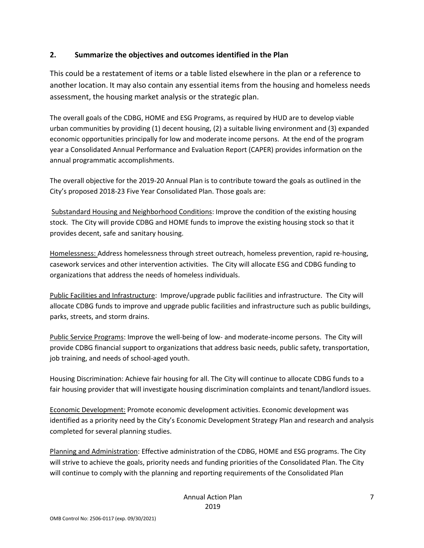#### **2. Summarize the objectives and outcomes identified in the Plan**

This could be a restatement of items or a table listed elsewhere in the plan or a reference to another location. It may also contain any essential items from the housing and homeless needs assessment, the housing market analysis or the strategic plan.

The overall goals of the CDBG, HOME and ESG Programs, as required by HUD are to develop viable urban communities by providing (1) decent housing, (2) a suitable living environment and (3) expanded economic opportunities principally for low and moderate income persons. At the end of the program year a Consolidated Annual Performance and Evaluation Report (CAPER) provides information on the annual programmatic accomplishments.

The overall objective for the 2019-20 Annual Plan is to contribute toward the goals as outlined in the City's proposed 2018-23 Five Year Consolidated Plan. Those goals are:

Substandard Housing and Neighborhood Conditions: Improve the condition of the existing housing stock. The City will provide CDBG and HOME funds to improve the existing housing stock so that it provides decent, safe and sanitary housing.

Homelessness: Address homelessness through street outreach, homeless prevention, rapid re-housing, casework services and other intervention activities. The City will allocate ESG and CDBG funding to organizations that address the needs of homeless individuals.

Public Facilities and Infrastructure: Improve/upgrade public facilities and infrastructure. The City will allocate CDBG funds to improve and upgrade public facilities and infrastructure such as public buildings, parks, streets, and storm drains.

Public Service Programs: Improve the well-being of low- and moderate-income persons. The City will provide CDBG financial support to organizations that address basic needs, public safety, transportation, job training, and needs of school-aged youth.

Housing Discrimination: Achieve fair housing for all. The City will continue to allocate CDBG funds to a fair housing provider that will investigate housing discrimination complaints and tenant/landlord issues.

Economic Development: Promote economic development activities. Economic development was identified as a priority need by the City's Economic Development Strategy Plan and research and analysis completed for several planning studies.

Planning and Administration: Effective administration of the CDBG, HOME and ESG programs. The City will strive to achieve the goals, priority needs and funding priorities of the Consolidated Plan. The City will continue to comply with the planning and reporting requirements of the Consolidated Plan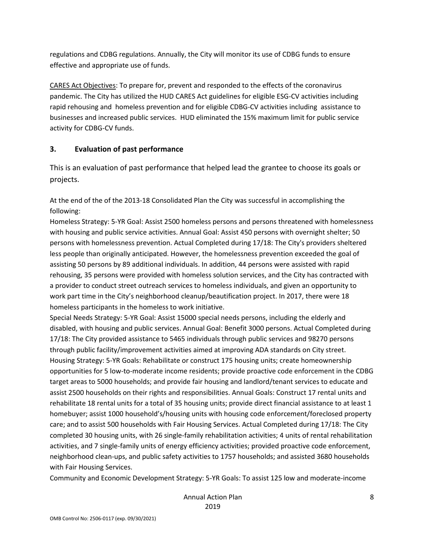regulations and CDBG regulations. Annually, the City will monitor its use of CDBG funds to ensure effective and appropriate use of funds.

CARES Act Objectives: To prepare for, prevent and responded to the effects of the coronavirus pandemic. The City has utilized the HUD CARES Act guidelines for eligible ESG-CV activities including rapid rehousing and homeless prevention and for eligible CDBG-CV activities including assistance to businesses and increased public services. HUD eliminated the 15% maximum limit for public service activity for CDBG-CV funds.

#### **3. Evaluation of past performance**

This is an evaluation of past performance that helped lead the grantee to choose its goals or projects.

At the end of the of the 2013-18 Consolidated Plan the City was successful in accomplishing the following:

Homeless Strategy: 5-YR Goal: Assist 2500 homeless persons and persons threatened with homelessness with housing and public service activities. Annual Goal: Assist 450 persons with overnight shelter; 50 persons with homelessness prevention. Actual Completed during 17/18: The City's providers sheltered less people than originally anticipated. However, the homelessness prevention exceeded the goal of assisting 50 persons by 89 additional individuals. In addition, 44 persons were assisted with rapid rehousing, 35 persons were provided with homeless solution services, and the City has contracted with a provider to conduct street outreach services to homeless individuals, and given an opportunity to work part time in the City's neighborhood cleanup/beautification project. In 2017, there were 18 homeless participants in the homeless to work initiative.

Special Needs Strategy: 5-YR Goal: Assist 15000 special needs persons, including the elderly and disabled, with housing and public services. Annual Goal: Benefit 3000 persons. Actual Completed during 17/18: The City provided assistance to 5465 individuals through public services and 98270 persons through public facility/improvement activities aimed at improving ADA standards on City street. Housing Strategy: 5-YR Goals: Rehabilitate or construct 175 housing units; create homeownership opportunities for 5 low-to-moderate income residents; provide proactive code enforcement in the CDBG target areas to 5000 households; and provide fair housing and landlord/tenant services to educate and assist 2500 households on their rights and responsibilities. Annual Goals: Construct 17 rental units and rehabilitate 18 rental units for a total of 35 housing units; provide direct financial assistance to at least 1 homebuyer; assist 1000 household's/housing units with housing code enforcement/foreclosed property care; and to assist 500 households with Fair Housing Services. Actual Completed during 17/18: The City completed 30 housing units, with 26 single-family rehabilitation activities; 4 units of rental rehabilitation activities, and 7 single-family units of energy efficiency activities; provided proactive code enforcement, neighborhood clean-ups, and public safety activities to 1757 households; and assisted 3680 households with Fair Housing Services.

Community and Economic Development Strategy: 5-YR Goals: To assist 125 low and moderate-income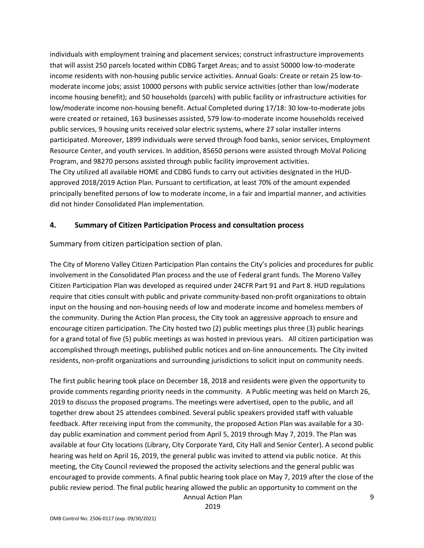individuals with employment training and placement services; construct infrastructure improvements that will assist 250 parcels located within CDBG Target Areas; and to assist 50000 low-to-moderate income residents with non-housing public service activities. Annual Goals: Create or retain 25 low-tomoderate income jobs; assist 10000 persons with public service activities (other than low/moderate income housing benefit); and 50 households (parcels) with public facility or infrastructure activities for low/moderate income non-housing benefit. Actual Completed during 17/18: 30 low-to-moderate jobs were created or retained, 163 businesses assisted, 579 low-to-moderate income households received public services, 9 housing units received solar electric systems, where 27 solar installer interns participated. Moreover, 1899 individuals were served through food banks, senior services, Employment Resource Center, and youth services. In addition, 85650 persons were assisted through MoVal Policing Program, and 98270 persons assisted through public facility improvement activities. The City utilized all available HOME and CDBG funds to carry out activities designated in the HUDapproved 2018/2019 Action Plan. Pursuant to certification, at least 70% of the amount expended principally benefited persons of low to moderate income, in a fair and impartial manner, and activities did not hinder Consolidated Plan implementation.

#### **4. Summary of Citizen Participation Process and consultation process**

Summary from citizen participation section of plan.

The City of Moreno Valley Citizen Participation Plan contains the City's policies and procedures for public involvement in the Consolidated Plan process and the use of Federal grant funds. The Moreno Valley Citizen Participation Plan was developed as required under 24CFR Part 91 and Part 8. HUD regulations require that cities consult with public and private community-based non-profit organizations to obtain input on the housing and non-housing needs of low and moderate income and homeless members of the community. During the Action Plan process, the City took an aggressive approach to ensure and encourage citizen participation. The City hosted two (2) public meetings plus three (3) public hearings for a grand total of five (5) public meetings as was hosted in previous years. All citizen participation was accomplished through meetings, published public notices and on-line announcements. The City invited residents, non-profit organizations and surrounding jurisdictions to solicit input on community needs.

The first public hearing took place on December 18, 2018 and residents were given the opportunity to provide comments regarding priority needs in the community. A Public meeting was held on March 26, 2019 to discuss the proposed programs. The meetings were advertised, open to the public, and all together drew about 25 attendees combined. Several public speakers provided staff with valuable feedback. After receiving input from the community, the proposed Action Plan was available for a 30 day public examination and comment period from April 5, 2019 through May 7, 2019. The Plan was available at four City locations (Library, City Corporate Yard, City Hall and Senior Center). A second public hearing was held on April 16, 2019, the general public was invited to attend via public notice. At this meeting, the City Council reviewed the proposed the activity selections and the general public was encouraged to provide comments. A final public hearing took place on May 7, 2019 after the close of the public review period. The final public hearing allowed the public an opportunity to comment on the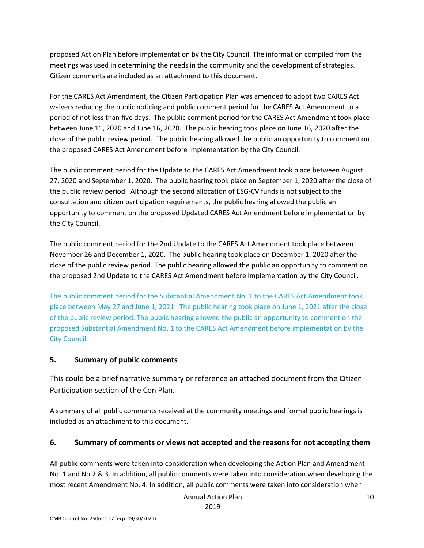proposed Action Plan before implementation by the City Council. The information compiled from the meetings was used in determining the needs in the community and the development of strategies. Citizen comments are included as an attachment to this document.

For the CARES Act Amendment, the Citizen Participation Plan was amended to adopt two CARES Act waivers reducing the public noticing and public comment period for the CARES Act Amendment to a period of not less than five days. The public comment period for the CARES Act Amendment took place between June 11, 2020 and June 16, 2020. The public hearing took place on June 16, 2020 after the close of the public review period. The public hearing allowed the public an opportunity to comment on the proposed CARES Act Amendment before implementation by the City Council.

The public comment period for the Update to the CARES Act Amendment took place between August 27, 2020 and September 1, 2020. The public hearing took place on September 1, 2020 after the close of the public review period. Although the second allocation of ESG-CV funds is not subject to the consultation and citizen participation requirements, the public hearing allowed the public an opportunity to comment on the proposed Updated CARES Act Amendment before implementation by the City Council.

The public comment period for the 2nd Update to the CARES Act Amendment took place between November 26 and December 1, 2020. The public hearing took place on December 1, 2020 after the close of the public review period. The public hearing allowed the public an opportunity to comment on the proposed 2nd Update to the CARES Act Amendment before implementation by the City Council.

The public comment period for the Substantial Amendment No. 1 to the CARES Act Amendment took place between May 27 and June 1, 2021. The public hearing took place on June 1, 2021 after the close of the public review period. The public hearing allowed the public an opportunity to comment on the proposed Substantial Amendment No. 1 to the CARES Act Amendment before implementation by the City Council.

#### **5. Summary of public comments**

This could be a brief narrative summary or reference an attached document from the Citizen Participation section of the Con Plan.

A summary of all public comments received at the community meetings and formal public hearings is included as an attachment to this document.

### **6. Summary of comments or views not accepted and the reasons for not accepting them**

All public comments were taken into consideration when developing the Action Plan and Amendment No. 1 and No 2 & 3. In addition, all public comments were taken into consideration when developing the most recent Amendment No. 4. In addition, all public comments were taken into consideration when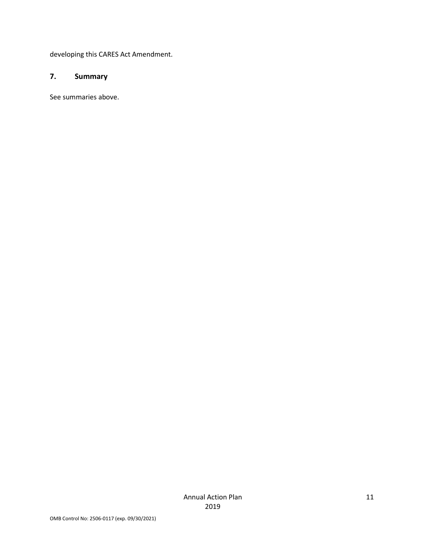developing this CARES Act Amendment.

#### **7. Summary**

See summaries above.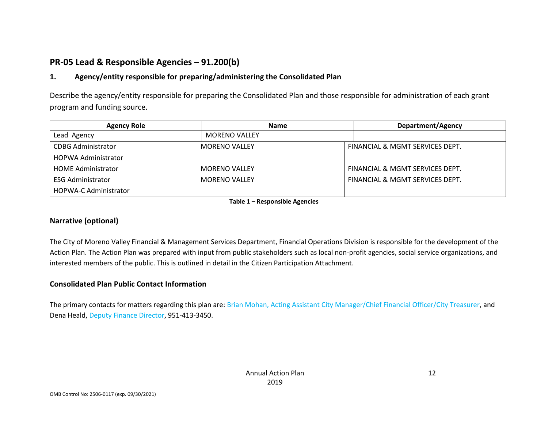## **PR-05 Lead & Responsible Agencies – 91.200(b)**

#### **1. Agency/entity responsible for preparing/administering the Consolidated Plan**

Describe the agency/entity responsible for preparing the Consolidated Plan and those responsible for administration of each grant program and funding source.

| <b>Agency Role</b>           | <b>Name</b>          | Department/Agency               |  |
|------------------------------|----------------------|---------------------------------|--|
| Lead Agency                  | <b>MORENO VALLEY</b> |                                 |  |
| <b>CDBG Administrator</b>    | <b>MORENO VALLEY</b> | FINANCIAL & MGMT SERVICES DEPT. |  |
| <b>HOPWA Administrator</b>   |                      |                                 |  |
| <b>HOME Administrator</b>    | <b>MORENO VALLEY</b> | FINANCIAL & MGMT SERVICES DEPT. |  |
| <b>ESG Administrator</b>     | <b>MORENO VALLEY</b> | FINANCIAL & MGMT SERVICES DEPT. |  |
| <b>HOPWA-C Administrator</b> |                      |                                 |  |

**Table 1 – Responsible Agencies**

#### **Narrative (optional)**

The City of Moreno Valley Financial & Management Services Department, Financial Operations Division is responsible for the development of the Action Plan. The Action Plan was prepared with input from public stakeholders such as local non-profit agencies, social service organizations, and interested members of the public. This is outlined in detail in the Citizen Participation Attachment.

#### **Consolidated Plan Public Contact Information**

The primary contacts for matters regarding this plan are: Brian Mohan, Acting Assistant City Manager/Chief Financial Officer/City Treasurer, and Dena Heald, Deputy Finance Director, 951-413-3450.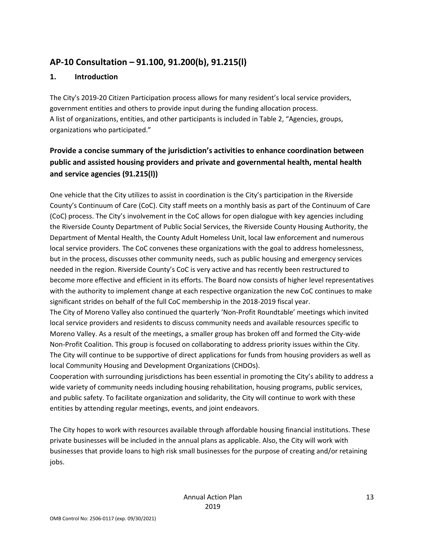## **AP-10 Consultation – 91.100, 91.200(b), 91.215(l)**

#### **1. Introduction**

The City's 2019-20 Citizen Participation process allows for many resident's local service providers, government entities and others to provide input during the funding allocation process. A list of organizations, entities, and other participants is included in Table 2, "Agencies, groups, organizations who participated."

## **Provide a concise summary of the jurisdiction's activities to enhance coordination between public and assisted housing providers and private and governmental health, mental health and service agencies (91.215(l))**

One vehicle that the City utilizes to assist in coordination is the City's participation in the Riverside County's Continuum of Care (CoC). City staff meets on a monthly basis as part of the Continuum of Care (CoC) process. The City's involvement in the CoC allows for open dialogue with key agencies including the Riverside County Department of Public Social Services, the Riverside County Housing Authority, the Department of Mental Health, the County Adult Homeless Unit, local law enforcement and numerous local service providers. The CoC convenes these organizations with the goal to address homelessness, but in the process, discusses other community needs, such as public housing and emergency services needed in the region. Riverside County's CoC is very active and has recently been restructured to become more effective and efficient in its efforts. The Board now consists of higher level representatives with the authority to implement change at each respective organization the new CoC continues to make significant strides on behalf of the full CoC membership in the 2018-2019 fiscal year.

The City of Moreno Valley also continued the quarterly 'Non-Profit Roundtable' meetings which invited local service providers and residents to discuss community needs and available resources specific to Moreno Valley. As a result of the meetings, a smaller group has broken off and formed the City-wide Non-Profit Coalition. This group is focused on collaborating to address priority issues within the City. The City will continue to be supportive of direct applications for funds from housing providers as well as local Community Housing and Development Organizations (CHDOs).

Cooperation with surrounding jurisdictions has been essential in promoting the City's ability to address a wide variety of community needs including housing rehabilitation, housing programs, public services, and public safety. To facilitate organization and solidarity, the City will continue to work with these entities by attending regular meetings, events, and joint endeavors.

The City hopes to work with resources available through affordable housing financial institutions. These private businesses will be included in the annual plans as applicable. Also, the City will work with businesses that provide loans to high risk small businesses for the purpose of creating and/or retaining jobs.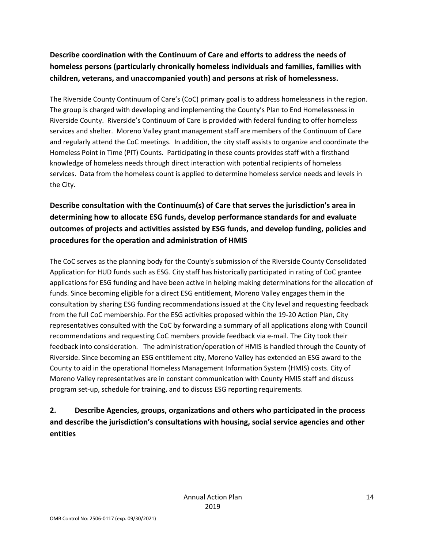## **Describe coordination with the Continuum of Care and efforts to address the needs of homeless persons (particularly chronically homeless individuals and families, families with children, veterans, and unaccompanied youth) and persons at risk of homelessness.**

The Riverside County Continuum of Care's (CoC) primary goal is to address homelessness in the region. The group is charged with developing and implementing the County's Plan to End Homelessness in Riverside County. Riverside's Continuum of Care is provided with federal funding to offer homeless services and shelter. Moreno Valley grant management staff are members of the Continuum of Care and regularly attend the CoC meetings. In addition, the city staff assists to organize and coordinate the Homeless Point in Time (PIT) Counts. Participating in these counts provides staff with a firsthand knowledge of homeless needs through direct interaction with potential recipients of homeless services. Data from the homeless count is applied to determine homeless service needs and levels in the City.

## **Describe consultation with the Continuum(s) of Care that serves the jurisdiction's area in determining how to allocate ESG funds, develop performance standards for and evaluate outcomes of projects and activities assisted by ESG funds, and develop funding, policies and procedures for the operation and administration of HMIS**

The CoC serves as the planning body for the County's submission of the Riverside County Consolidated Application for HUD funds such as ESG. City staff has historically participated in rating of CoC grantee applications for ESG funding and have been active in helping making determinations for the allocation of funds. Since becoming eligible for a direct ESG entitlement, Moreno Valley engages them in the consultation by sharing ESG funding recommendations issued at the City level and requesting feedback from the full CoC membership. For the ESG activities proposed within the 19-20 Action Plan, City representatives consulted with the CoC by forwarding a summary of all applications along with Council recommendations and requesting CoC members provide feedback via e-mail. The City took their feedback into consideration. The administration/operation of HMIS is handled through the County of Riverside. Since becoming an ESG entitlement city, Moreno Valley has extended an ESG award to the County to aid in the operational Homeless Management Information System (HMIS) costs. City of Moreno Valley representatives are in constant communication with County HMIS staff and discuss program set-up, schedule for training, and to discuss ESG reporting requirements.

## **2. Describe Agencies, groups, organizations and others who participated in the process and describe the jurisdiction's consultations with housing, social service agencies and other entities**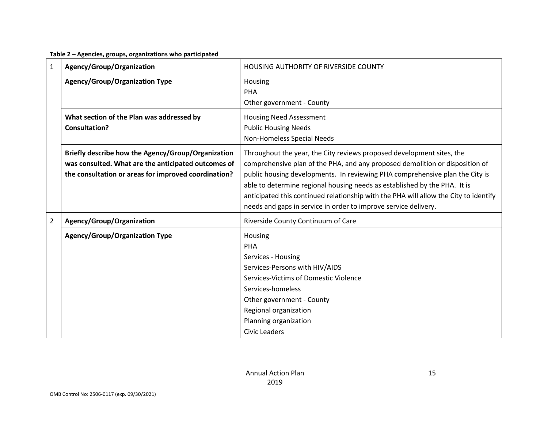**Table 2 – Agencies, groups, organizations who participated**

| $\mathbf{1}$   | Agency/Group/Organization                                                                                                                                         | HOUSING AUTHORITY OF RIVERSIDE COUNTY                                                                                                                                                                                                                                                                                                                                                                                                                                         |
|----------------|-------------------------------------------------------------------------------------------------------------------------------------------------------------------|-------------------------------------------------------------------------------------------------------------------------------------------------------------------------------------------------------------------------------------------------------------------------------------------------------------------------------------------------------------------------------------------------------------------------------------------------------------------------------|
|                | <b>Agency/Group/Organization Type</b>                                                                                                                             | Housing<br><b>PHA</b><br>Other government - County                                                                                                                                                                                                                                                                                                                                                                                                                            |
|                | What section of the Plan was addressed by<br><b>Consultation?</b>                                                                                                 | <b>Housing Need Assessment</b><br><b>Public Housing Needs</b><br>Non-Homeless Special Needs                                                                                                                                                                                                                                                                                                                                                                                   |
|                | Briefly describe how the Agency/Group/Organization<br>was consulted. What are the anticipated outcomes of<br>the consultation or areas for improved coordination? | Throughout the year, the City reviews proposed development sites, the<br>comprehensive plan of the PHA, and any proposed demolition or disposition of<br>public housing developments. In reviewing PHA comprehensive plan the City is<br>able to determine regional housing needs as established by the PHA. It is<br>anticipated this continued relationship with the PHA will allow the City to identify<br>needs and gaps in service in order to improve service delivery. |
| $\overline{2}$ | Agency/Group/Organization                                                                                                                                         | Riverside County Continuum of Care                                                                                                                                                                                                                                                                                                                                                                                                                                            |
|                | <b>Agency/Group/Organization Type</b>                                                                                                                             | Housing<br><b>PHA</b><br>Services - Housing<br>Services-Persons with HIV/AIDS<br>Services-Victims of Domestic Violence<br>Services-homeless<br>Other government - County<br>Regional organization<br>Planning organization<br><b>Civic Leaders</b>                                                                                                                                                                                                                            |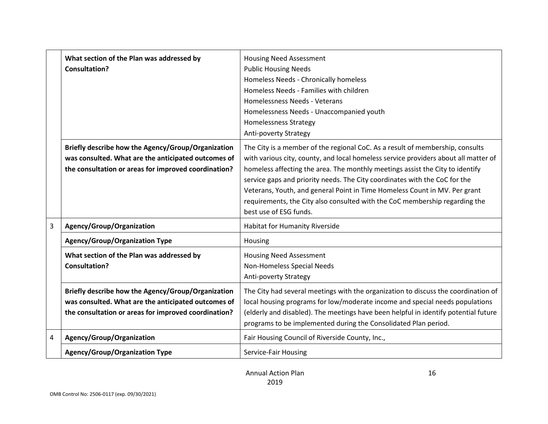|                | What section of the Plan was addressed by<br><b>Consultation?</b>                                                                                                 | <b>Housing Need Assessment</b><br><b>Public Housing Needs</b><br>Homeless Needs - Chronically homeless<br>Homeless Needs - Families with children<br>Homelessness Needs - Veterans<br>Homelessness Needs - Unaccompanied youth<br><b>Homelessness Strategy</b><br>Anti-poverty Strategy                                                                                                                                                                                                                                    |
|----------------|-------------------------------------------------------------------------------------------------------------------------------------------------------------------|----------------------------------------------------------------------------------------------------------------------------------------------------------------------------------------------------------------------------------------------------------------------------------------------------------------------------------------------------------------------------------------------------------------------------------------------------------------------------------------------------------------------------|
|                | Briefly describe how the Agency/Group/Organization<br>was consulted. What are the anticipated outcomes of<br>the consultation or areas for improved coordination? | The City is a member of the regional CoC. As a result of membership, consults<br>with various city, county, and local homeless service providers about all matter of<br>homeless affecting the area. The monthly meetings assist the City to identify<br>service gaps and priority needs. The City coordinates with the CoC for the<br>Veterans, Youth, and general Point in Time Homeless Count in MV. Per grant<br>requirements, the City also consulted with the CoC membership regarding the<br>best use of ESG funds. |
| $\overline{3}$ | Agency/Group/Organization                                                                                                                                         | Habitat for Humanity Riverside                                                                                                                                                                                                                                                                                                                                                                                                                                                                                             |
|                | <b>Agency/Group/Organization Type</b>                                                                                                                             | Housing                                                                                                                                                                                                                                                                                                                                                                                                                                                                                                                    |
|                | What section of the Plan was addressed by<br><b>Consultation?</b>                                                                                                 | <b>Housing Need Assessment</b><br>Non-Homeless Special Needs<br>Anti-poverty Strategy                                                                                                                                                                                                                                                                                                                                                                                                                                      |
|                | Briefly describe how the Agency/Group/Organization<br>was consulted. What are the anticipated outcomes of<br>the consultation or areas for improved coordination? | The City had several meetings with the organization to discuss the coordination of<br>local housing programs for low/moderate income and special needs populations<br>(elderly and disabled). The meetings have been helpful in identify potential future<br>programs to be implemented during the Consolidated Plan period.                                                                                                                                                                                               |
| 4              | Agency/Group/Organization                                                                                                                                         | Fair Housing Council of Riverside County, Inc.,                                                                                                                                                                                                                                                                                                                                                                                                                                                                            |
|                | <b>Agency/Group/Organization Type</b>                                                                                                                             | Service-Fair Housing                                                                                                                                                                                                                                                                                                                                                                                                                                                                                                       |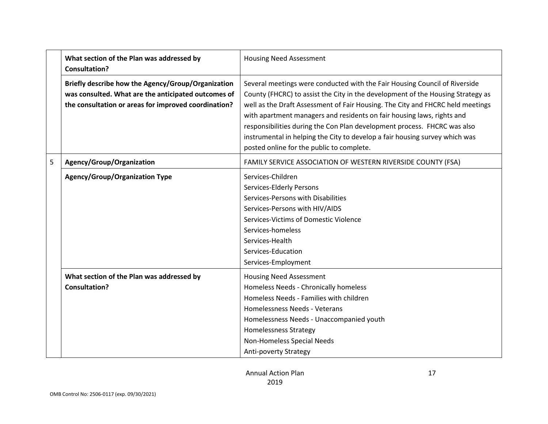|   | What section of the Plan was addressed by<br><b>Consultation?</b>                                                                                                 | <b>Housing Need Assessment</b>                                                                                                                                                                                                                                                                                                                                                                                                                                                                                                    |  |  |
|---|-------------------------------------------------------------------------------------------------------------------------------------------------------------------|-----------------------------------------------------------------------------------------------------------------------------------------------------------------------------------------------------------------------------------------------------------------------------------------------------------------------------------------------------------------------------------------------------------------------------------------------------------------------------------------------------------------------------------|--|--|
|   | Briefly describe how the Agency/Group/Organization<br>was consulted. What are the anticipated outcomes of<br>the consultation or areas for improved coordination? | Several meetings were conducted with the Fair Housing Council of Riverside<br>County (FHCRC) to assist the City in the development of the Housing Strategy as<br>well as the Draft Assessment of Fair Housing. The City and FHCRC held meetings<br>with apartment managers and residents on fair housing laws, rights and<br>responsibilities during the Con Plan development process. FHCRC was also<br>instrumental in helping the City to develop a fair housing survey which was<br>posted online for the public to complete. |  |  |
| 5 | Agency/Group/Organization                                                                                                                                         | FAMILY SERVICE ASSOCIATION OF WESTERN RIVERSIDE COUNTY (FSA)                                                                                                                                                                                                                                                                                                                                                                                                                                                                      |  |  |
|   | <b>Agency/Group/Organization Type</b>                                                                                                                             | Services-Children<br>Services-Elderly Persons<br>Services-Persons with Disabilities<br>Services-Persons with HIV/AIDS<br>Services-Victims of Domestic Violence<br>Services-homeless<br>Services-Health<br>Services-Education<br>Services-Employment                                                                                                                                                                                                                                                                               |  |  |
|   | What section of the Plan was addressed by<br>Consultation?                                                                                                        | <b>Housing Need Assessment</b><br>Homeless Needs - Chronically homeless<br>Homeless Needs - Families with children<br>Homelessness Needs - Veterans<br>Homelessness Needs - Unaccompanied youth<br><b>Homelessness Strategy</b><br>Non-Homeless Special Needs<br>Anti-poverty Strategy                                                                                                                                                                                                                                            |  |  |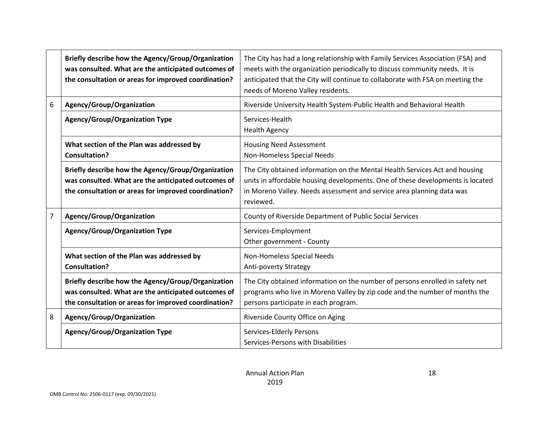|   | Briefly describe how the Agency/Group/Organization<br>was consulted. What are the anticipated outcomes of<br>the consultation or areas for improved coordination? | The City has had a long relationship with Family Services Association (FSA) and<br>meets with the organization periodically to discuss community needs. It is<br>anticipated that the City will continue to collaborate with FSA on meeting the<br>needs of Moreno Valley residents. |
|---|-------------------------------------------------------------------------------------------------------------------------------------------------------------------|--------------------------------------------------------------------------------------------------------------------------------------------------------------------------------------------------------------------------------------------------------------------------------------|
| 6 | Agency/Group/Organization                                                                                                                                         | Riverside University Health System-Public Health and Behavioral Health                                                                                                                                                                                                               |
|   | <b>Agency/Group/Organization Type</b>                                                                                                                             | Services-Health<br><b>Health Agency</b>                                                                                                                                                                                                                                              |
|   | What section of the Plan was addressed by<br><b>Consultation?</b>                                                                                                 | <b>Housing Need Assessment</b><br>Non-Homeless Special Needs                                                                                                                                                                                                                         |
|   | Briefly describe how the Agency/Group/Organization<br>was consulted. What are the anticipated outcomes of<br>the consultation or areas for improved coordination? | The City obtained information on the Mental Health Services Act and housing<br>units in affordable housing developments. One of these developments is located<br>in Moreno Valley. Needs assessment and service area planning data was<br>reviewed.                                  |
| 7 | Agency/Group/Organization                                                                                                                                         | County of Riverside Department of Public Social Services                                                                                                                                                                                                                             |
|   | <b>Agency/Group/Organization Type</b>                                                                                                                             | Services-Employment<br>Other government - County                                                                                                                                                                                                                                     |
|   | What section of the Plan was addressed by<br><b>Consultation?</b>                                                                                                 | Non-Homeless Special Needs<br><b>Anti-poverty Strategy</b>                                                                                                                                                                                                                           |
|   | Briefly describe how the Agency/Group/Organization<br>was consulted. What are the anticipated outcomes of<br>the consultation or areas for improved coordination? | The City obtained information on the number of persons enrolled in safety net<br>programs who live in Moreno Valley by zip code and the number of months the<br>persons participate in each program.                                                                                 |
| 8 | Agency/Group/Organization                                                                                                                                         | Riverside County Office on Aging                                                                                                                                                                                                                                                     |
|   | <b>Agency/Group/Organization Type</b>                                                                                                                             | Services-Elderly Persons<br>Services-Persons with Disabilities                                                                                                                                                                                                                       |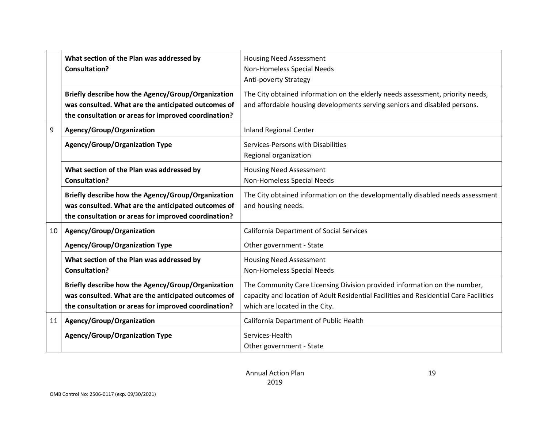|    | What section of the Plan was addressed by<br><b>Consultation?</b>                                                                                                 | <b>Housing Need Assessment</b><br>Non-Homeless Special Needs<br><b>Anti-poverty Strategy</b>                                                                                                         |  |  |
|----|-------------------------------------------------------------------------------------------------------------------------------------------------------------------|------------------------------------------------------------------------------------------------------------------------------------------------------------------------------------------------------|--|--|
|    | Briefly describe how the Agency/Group/Organization<br>was consulted. What are the anticipated outcomes of<br>the consultation or areas for improved coordination? | The City obtained information on the elderly needs assessment, priority needs,<br>and affordable housing developments serving seniors and disabled persons.                                          |  |  |
| 9  | Agency/Group/Organization                                                                                                                                         | <b>Inland Regional Center</b>                                                                                                                                                                        |  |  |
|    | <b>Agency/Group/Organization Type</b>                                                                                                                             | Services-Persons with Disabilities<br>Regional organization                                                                                                                                          |  |  |
|    | What section of the Plan was addressed by<br><b>Consultation?</b>                                                                                                 | <b>Housing Need Assessment</b><br>Non-Homeless Special Needs                                                                                                                                         |  |  |
|    | Briefly describe how the Agency/Group/Organization<br>was consulted. What are the anticipated outcomes of<br>the consultation or areas for improved coordination? | The City obtained information on the developmentally disabled needs assessment<br>and housing needs.                                                                                                 |  |  |
| 10 | Agency/Group/Organization                                                                                                                                         | <b>California Department of Social Services</b>                                                                                                                                                      |  |  |
|    | <b>Agency/Group/Organization Type</b>                                                                                                                             | Other government - State                                                                                                                                                                             |  |  |
|    | What section of the Plan was addressed by<br><b>Consultation?</b>                                                                                                 | <b>Housing Need Assessment</b><br>Non-Homeless Special Needs                                                                                                                                         |  |  |
|    | Briefly describe how the Agency/Group/Organization<br>was consulted. What are the anticipated outcomes of<br>the consultation or areas for improved coordination? | The Community Care Licensing Division provided information on the number,<br>capacity and location of Adult Residential Facilities and Residential Care Facilities<br>which are located in the City. |  |  |
| 11 | Agency/Group/Organization                                                                                                                                         | California Department of Public Health                                                                                                                                                               |  |  |
|    | <b>Agency/Group/Organization Type</b>                                                                                                                             | Services-Health<br>Other government - State                                                                                                                                                          |  |  |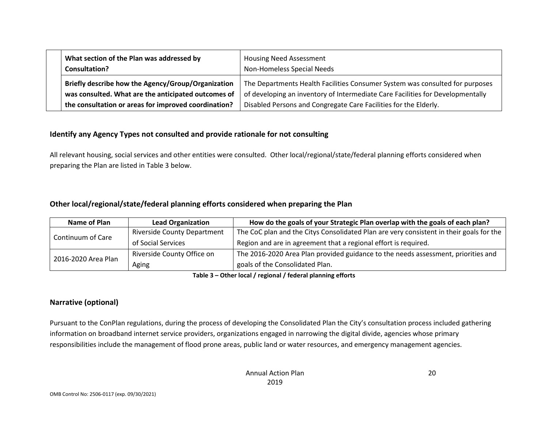| What section of the Plan was addressed by<br>Consultation? | <b>Housing Need Assessment</b><br>Non-Homeless Special Needs                   |  |
|------------------------------------------------------------|--------------------------------------------------------------------------------|--|
| Briefly describe how the Agency/Group/Organization         | The Departments Health Facilities Consumer System was consulted for purposes   |  |
| was consulted. What are the anticipated outcomes of        | of developing an inventory of Intermediate Care Facilities for Developmentally |  |
| the consultation or areas for improved coordination?       | Disabled Persons and Congregate Care Facilities for the Elderly.               |  |

#### **Identify any Agency Types not consulted and provide rationale for not consulting**

All relevant housing, social services and other entities were consulted. Other local/regional/state/federal planning efforts considered when preparing the Plan are listed in Table 3 below.

#### **Other local/regional/state/federal planning efforts considered when preparing the Plan**

| Name of Plan<br><b>Lead Organization</b> |                                    | How do the goals of your Strategic Plan overlap with the goals of each plan?            |
|------------------------------------------|------------------------------------|-----------------------------------------------------------------------------------------|
| Continuum of Care                        | <b>Riverside County Department</b> | The CoC plan and the Citys Consolidated Plan are very consistent in their goals for the |
|                                          | of Social Services                 | Region and are in agreement that a regional effort is required.                         |
| 2016-2020 Area Plan                      | Riverside County Office on         | The 2016-2020 Area Plan provided guidance to the needs assessment, priorities and       |
|                                          | Aging                              | goals of the Consolidated Plan.                                                         |

**Table 3 – Other local / regional / federal planning efforts**

#### **Narrative (optional)**

Pursuant to the ConPlan regulations, during the process of developing the Consolidated Plan the City's consultation process included gathering information on broadband internet service providers, organizations engaged in narrowing the digital divide, agencies whose primary responsibilities include the management of flood prone areas, public land or water resources, and emergency management agencies.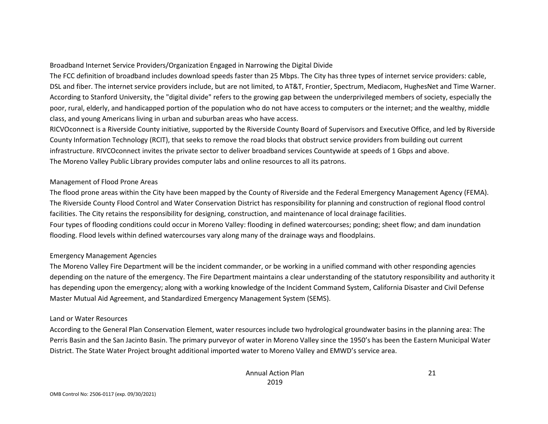#### Broadband Internet Service Providers/Organization Engaged in Narrowing the Digital Divide

The FCC definition of broadband includes download speeds faster than 25 Mbps. The City has three types of internet service providers: cable, DSL and fiber. The internet service providers include, but are not limited, to AT&T, Frontier, Spectrum, Mediacom, HughesNet and Time Warner. According to Stanford University, the "digital divide" refers to the growing gap between the underprivileged members of society, especially the poor, rural, elderly, and handicapped portion of the population who do not have access to computers or the internet; and the wealthy, middle class, and young Americans living in urban and suburban areas who have access.

RICVOconnect is a Riverside County initiative, supported by the Riverside County Board of Supervisors and Executive Office, and led by Riverside County Information Technology (RCIT), that seeks to remove the road blocks that obstruct service providers from building out current infrastructure. RIVCOconnect invites the private sector to deliver broadband services Countywide at speeds of 1 Gbps and above. The Moreno Valley Public Library provides computer labs and online resources to all its patrons.

#### Management of Flood Prone Areas

The flood prone areas within the City have been mapped by the County of Riverside and the Federal Emergency Management Agency (FEMA). The Riverside County Flood Control and Water Conservation District has responsibility for planning and construction of regional flood control facilities. The City retains the responsibility for designing, construction, and maintenance of local drainage facilities. Four types of flooding conditions could occur in Moreno Valley: flooding in defined watercourses; ponding; sheet flow; and dam inundation flooding. Flood levels within defined watercourses vary along many of the drainage ways and floodplains.

#### Emergency Management Agencies

The Moreno Valley Fire Department will be the incident commander, or be working in a unified command with other responding agencies depending on the nature of the emergency. The Fire Department maintains a clear understanding of the statutory responsibility and authority it has depending upon the emergency; along with a working knowledge of the Incident Command System, California Disaster and Civil Defense Master Mutual Aid Agreement, and Standardized Emergency Management System (SEMS).

#### Land or Water Resources

According to the General Plan Conservation Element, water resources include two hydrological groundwater basins in the planning area: The Perris Basin and the San Jacinto Basin. The primary purveyor of water in Moreno Valley since the 1950's has been the Eastern Municipal Water District. The State Water Project brought additional imported water to Moreno Valley and EMWD's service area.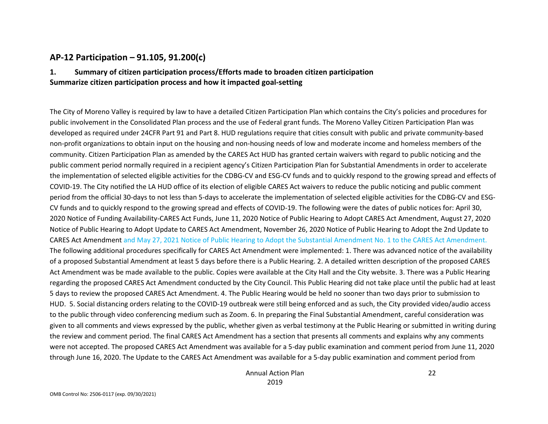### **AP-12 Participation – 91.105, 91.200(c)**

#### **1. Summary of citizen participation process/Efforts made to broaden citizen participation Summarize citizen participation process and how it impacted goal-setting**

The City of Moreno Valley is required by law to have a detailed Citizen Participation Plan which contains the City's policies and procedures for public involvement in the Consolidated Plan process and the use of Federal grant funds. The Moreno Valley Citizen Participation Plan was developed as required under 24CFR Part 91 and Part 8. HUD regulations require that cities consult with public and private community-based non-profit organizations to obtain input on the housing and non-housing needs of low and moderate income and homeless members of the community. Citizen Participation Plan as amended by the CARES Act HUD has granted certain waivers with regard to public noticing and the public comment period normally required in a recipient agency's Citizen Participation Plan for Substantial Amendments in order to accelerate the implementation of selected eligible activities for the CDBG-CV and ESG-CV funds and to quickly respond to the growing spread and effects of COVID-19. The City notified the LA HUD office of its election of eligible CARES Act waivers to reduce the public noticing and public comment period from the official 30-days to not less than 5-days to accelerate the implementation of selected eligible activities for the CDBG-CV and ESG-CV funds and to quickly respond to the growing spread and effects of COVID-19. The following were the dates of public notices for: April 30, 2020 Notice of Funding Availability-CARES Act Funds, June 11, 2020 Notice of Public Hearing to Adopt CARES Act Amendment, August 27, 2020 Notice of Public Hearing to Adopt Update to CARES Act Amendment, November 26, 2020 Notice of Public Hearing to Adopt the 2nd Update to CARES Act Amendment and May 27, 2021 Notice of Public Hearing to Adopt the Substantial Amendment No. 1 to the CARES Act Amendment. The following additional procedures specifically for CARES Act Amendment were implemented: 1. There was advanced notice of the availability of a proposed Substantial Amendment at least 5 days before there is a Public Hearing. 2. A detailed written description of the proposed CARES Act Amendment was be made available to the public. Copies were available at the City Hall and the City website. 3. There was a Public Hearing regarding the proposed CARES Act Amendment conducted by the City Council. This Public Hearing did not take place until the public had at least 5 days to review the proposed CARES Act Amendment. 4. The Public Hearing would be held no sooner than two days prior to submission to HUD. 5. Social distancing orders relating to the COVID-19 outbreak were still being enforced and as such, the City provided video/audio access to the public through video conferencing medium such as Zoom. 6. In preparing the Final Substantial Amendment, careful consideration was given to all comments and views expressed by the public, whether given as verbal testimony at the Public Hearing or submitted in writing during the review and comment period. The final CARES Act Amendment has a section that presents all comments and explains why any comments were not accepted. The proposed CARES Act Amendment was available for a 5-day public examination and comment period from June 11, 2020 through June 16, 2020. The Update to the CARES Act Amendment was available for a 5-day public examination and comment period from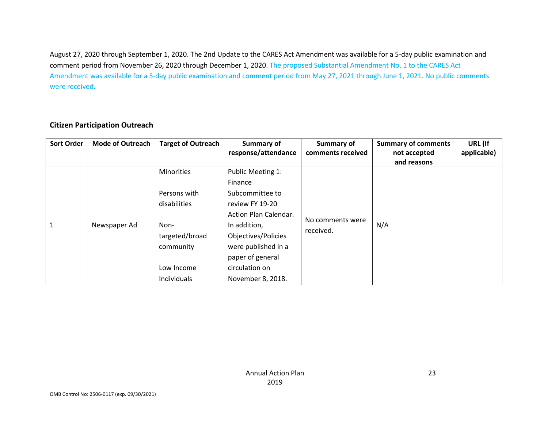August 27, 2020 through September 1, 2020. The 2nd Update to the CARES Act Amendment was available for a 5-day public examination and comment period from November 26, 2020 through December 1, 2020. The proposed Substantial Amendment No. 1 to the CARES Act Amendment was available for a 5-day public examination and comment period from May 27, 2021 through June 1, 2021. No public comments were received.

| <b>Sort Order</b> | <b>Mode of Outreach</b> | <b>Target of Outreach</b> | Summary of<br>response/attendance | Summary of<br>comments received | <b>Summary of comments</b><br>not accepted | URL (If<br>applicable) |
|-------------------|-------------------------|---------------------------|-----------------------------------|---------------------------------|--------------------------------------------|------------------------|
|                   |                         |                           |                                   |                                 | and reasons                                |                        |
|                   |                         | <b>Minorities</b>         | Public Meeting 1:                 |                                 |                                            |                        |
|                   |                         |                           | Finance                           |                                 |                                            |                        |
|                   |                         | Persons with              | Subcommittee to                   |                                 |                                            |                        |
|                   |                         | disabilities              | review FY 19-20                   |                                 |                                            |                        |
|                   |                         |                           | Action Plan Calendar.             | No comments were                |                                            |                        |
| $\mathbf{1}$      | Newspaper Ad            | Non-                      | In addition,                      | received.                       | N/A                                        |                        |
|                   |                         | targeted/broad            | Objectives/Policies               |                                 |                                            |                        |
|                   |                         | community                 | were published in a               |                                 |                                            |                        |
|                   |                         |                           | paper of general                  |                                 |                                            |                        |
|                   |                         | Low Income                | circulation on                    |                                 |                                            |                        |
|                   |                         | Individuals               | November 8, 2018.                 |                                 |                                            |                        |

#### **Citizen Participation Outreach**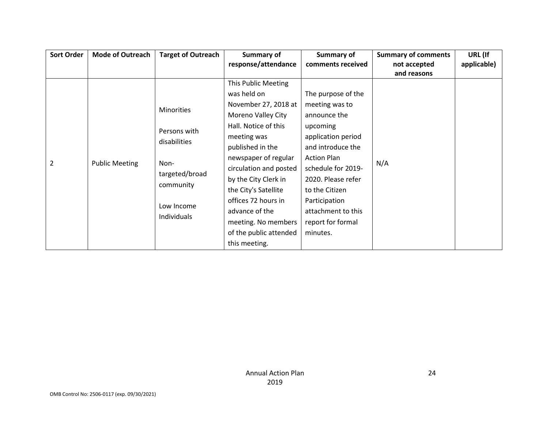| <b>Sort Order</b> | <b>Mode of Outreach</b> | <b>Target of Outreach</b>           | Summary of             | Summary of         | <b>Summary of comments</b> | URL (If     |
|-------------------|-------------------------|-------------------------------------|------------------------|--------------------|----------------------------|-------------|
|                   |                         |                                     | response/attendance    | comments received  | not accepted               | applicable) |
|                   |                         |                                     |                        |                    | and reasons                |             |
|                   |                         |                                     | This Public Meeting    |                    |                            |             |
|                   |                         |                                     | was held on            | The purpose of the |                            |             |
|                   |                         | <b>Minorities</b>                   | November 27, 2018 at   | meeting was to     |                            |             |
|                   |                         |                                     | Moreno Valley City     | announce the       |                            |             |
|                   |                         | Persons with                        | Hall. Notice of this   | upcoming           |                            |             |
|                   | <b>Public Meeting</b>   | disabilities                        | meeting was            | application period | N/A                        |             |
|                   |                         |                                     | published in the       | and introduce the  |                            |             |
| $\overline{2}$    |                         | Non-<br>targeted/broad<br>community | newspaper of regular   | <b>Action Plan</b> |                            |             |
|                   |                         |                                     | circulation and posted | schedule for 2019- |                            |             |
|                   |                         |                                     | by the City Clerk in   | 2020. Please refer |                            |             |
|                   |                         |                                     | the City's Satellite   | to the Citizen     |                            |             |
|                   |                         |                                     | offices 72 hours in    | Participation      |                            |             |
|                   |                         | Low Income                          | advance of the         | attachment to this |                            |             |
|                   |                         | Individuals                         | meeting. No members    | report for formal  |                            |             |
|                   |                         |                                     | of the public attended | minutes.           |                            |             |
|                   |                         |                                     | this meeting.          |                    |                            |             |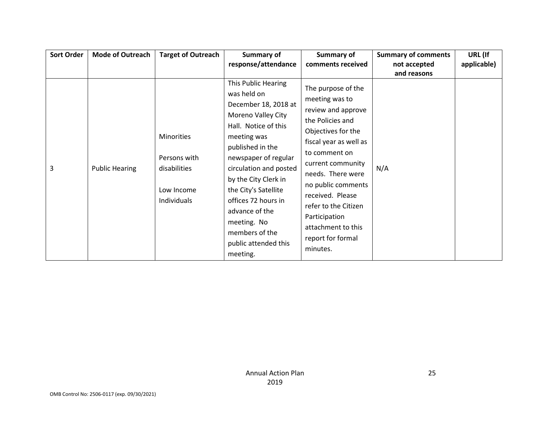| <b>Sort Order</b> | <b>Mode of Outreach</b> | <b>Target of Outreach</b>                                               | Summary of                                                                                                                                                                                                                                                                                                                                                  | Summary of                                                                                                                                                                                                                                                                                                                          | <b>Summary of comments</b> | URL (If     |
|-------------------|-------------------------|-------------------------------------------------------------------------|-------------------------------------------------------------------------------------------------------------------------------------------------------------------------------------------------------------------------------------------------------------------------------------------------------------------------------------------------------------|-------------------------------------------------------------------------------------------------------------------------------------------------------------------------------------------------------------------------------------------------------------------------------------------------------------------------------------|----------------------------|-------------|
|                   |                         |                                                                         | response/attendance                                                                                                                                                                                                                                                                                                                                         | comments received                                                                                                                                                                                                                                                                                                                   | not accepted               | applicable) |
|                   |                         |                                                                         |                                                                                                                                                                                                                                                                                                                                                             |                                                                                                                                                                                                                                                                                                                                     | and reasons                |             |
| 3                 | <b>Public Hearing</b>   | Minorities<br>Persons with<br>disabilities<br>Low Income<br>Individuals | This Public Hearing<br>was held on<br>December 18, 2018 at<br>Moreno Valley City<br>Hall. Notice of this<br>meeting was<br>published in the<br>newspaper of regular<br>circulation and posted<br>by the City Clerk in<br>the City's Satellite<br>offices 72 hours in<br>advance of the<br>meeting. No<br>members of the<br>public attended this<br>meeting. | The purpose of the<br>meeting was to<br>review and approve<br>the Policies and<br>Objectives for the<br>fiscal year as well as<br>to comment on<br>current community<br>needs. There were<br>no public comments<br>received. Please<br>refer to the Citizen<br>Participation<br>attachment to this<br>report for formal<br>minutes. | N/A                        |             |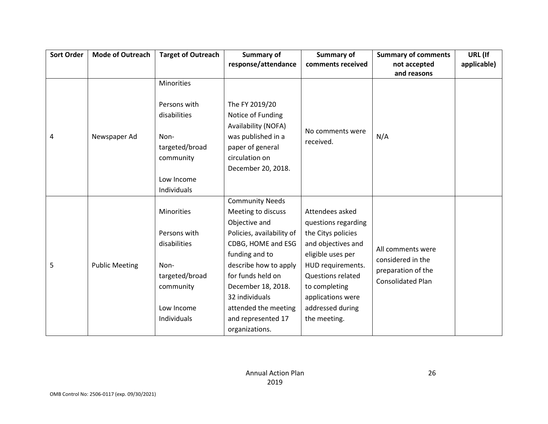| <b>Sort Order</b> | <b>Mode of Outreach</b> | <b>Target of Outreach</b> | Summary of                | Summary of               | <b>Summary of comments</b>             | URL (If     |
|-------------------|-------------------------|---------------------------|---------------------------|--------------------------|----------------------------------------|-------------|
|                   |                         |                           | response/attendance       | comments received        | not accepted                           | applicable) |
|                   |                         |                           |                           |                          | and reasons                            |             |
|                   |                         | Minorities                |                           |                          |                                        |             |
|                   |                         |                           |                           |                          |                                        |             |
|                   |                         | Persons with              | The FY 2019/20            |                          |                                        |             |
|                   |                         | disabilities              | Notice of Funding         |                          |                                        |             |
|                   |                         |                           | Availability (NOFA)       | No comments were         |                                        |             |
| 4                 | Newspaper Ad            | Non-                      | was published in a        | received.                | N/A                                    |             |
|                   |                         | targeted/broad            | paper of general          |                          |                                        |             |
|                   |                         | community                 | circulation on            |                          |                                        |             |
|                   |                         |                           | December 20, 2018.        |                          |                                        |             |
|                   |                         | Low Income                |                           |                          |                                        |             |
|                   |                         | Individuals               |                           |                          |                                        |             |
|                   |                         |                           | <b>Community Needs</b>    |                          |                                        |             |
|                   |                         | Minorities                | Meeting to discuss        | Attendees asked          |                                        |             |
|                   |                         |                           | Objective and             | questions regarding      |                                        |             |
|                   |                         | Persons with              | Policies, availability of | the Citys policies       |                                        |             |
|                   |                         | disabilities              | CDBG, HOME and ESG        | and objectives and       |                                        |             |
|                   |                         |                           | funding and to            | eligible uses per        | All comments were<br>considered in the |             |
| 5                 | <b>Public Meeting</b>   | Non-                      | describe how to apply     | HUD requirements.        | preparation of the                     |             |
|                   |                         | targeted/broad            | for funds held on         | <b>Questions related</b> | <b>Consolidated Plan</b>               |             |
|                   |                         | community                 | December 18, 2018.        | to completing            |                                        |             |
|                   |                         |                           | 32 individuals            | applications were        |                                        |             |
|                   |                         | Low Income                | attended the meeting      | addressed during         |                                        |             |
|                   |                         | Individuals               | and represented 17        | the meeting.             |                                        |             |
|                   |                         |                           | organizations.            |                          |                                        |             |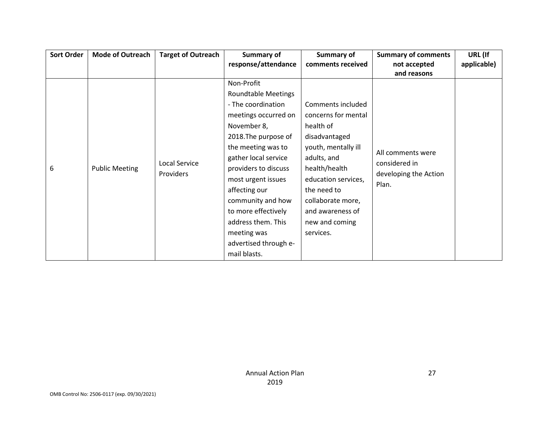| <b>Sort Order</b> | <b>Mode of Outreach</b> | <b>Target of Outreach</b> | Summary of                 | Summary of          | <b>Summary of comments</b>         | URL (If     |
|-------------------|-------------------------|---------------------------|----------------------------|---------------------|------------------------------------|-------------|
|                   |                         |                           | response/attendance        | comments received   | not accepted                       | applicable) |
|                   |                         |                           |                            |                     | and reasons                        |             |
|                   |                         |                           | Non-Profit                 |                     |                                    |             |
|                   |                         |                           | <b>Roundtable Meetings</b> |                     |                                    |             |
|                   |                         |                           | - The coordination         | Comments included   |                                    |             |
|                   |                         |                           | meetings occurred on       | concerns for mental |                                    |             |
|                   |                         |                           | November 8,                | health of           |                                    |             |
|                   |                         |                           | 2018. The purpose of       | disadvantaged       |                                    |             |
|                   |                         |                           | the meeting was to         | youth, mentally ill | All comments were<br>considered in |             |
|                   |                         | <b>Local Service</b>      | gather local service       | adults, and         |                                    |             |
| 6                 | <b>Public Meeting</b>   | <b>Providers</b>          | providers to discuss       | health/health       |                                    |             |
|                   |                         |                           | most urgent issues         | education services, | developing the Action<br>Plan.     |             |
|                   |                         |                           | affecting our              | the need to         |                                    |             |
|                   |                         |                           | community and how          | collaborate more,   |                                    |             |
|                   |                         |                           | to more effectively        | and awareness of    |                                    |             |
|                   |                         |                           | address them. This         | new and coming      |                                    |             |
|                   |                         |                           | meeting was                | services.           |                                    |             |
|                   |                         |                           | advertised through e-      |                     |                                    |             |
|                   |                         |                           | mail blasts.               |                     |                                    |             |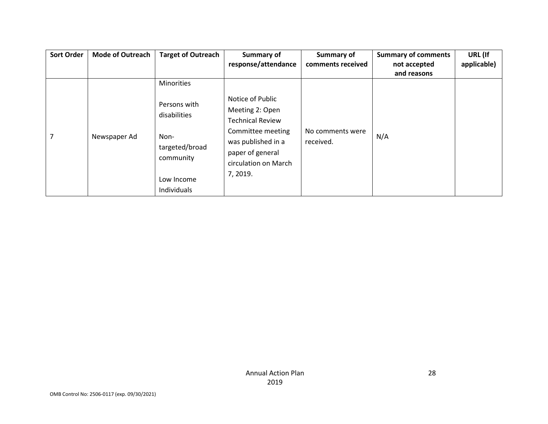| <b>Sort Order</b> | <b>Mode of Outreach</b> | <b>Target of Outreach</b>           | Summary of                                                                          | Summary of                    | <b>Summary of comments</b> | URL (If     |
|-------------------|-------------------------|-------------------------------------|-------------------------------------------------------------------------------------|-------------------------------|----------------------------|-------------|
|                   |                         |                                     | response/attendance                                                                 | comments received             | not accepted               | applicable) |
|                   |                         |                                     |                                                                                     |                               | and reasons                |             |
|                   |                         | <b>Minorities</b>                   |                                                                                     |                               |                            |             |
| 7                 | Newspaper Ad            | Persons with                        | Notice of Public                                                                    |                               |                            |             |
|                   |                         | disabilities                        | Meeting 2: Open<br><b>Technical Review</b>                                          |                               |                            |             |
|                   |                         | Non-<br>targeted/broad<br>community | Committee meeting<br>was published in a<br>paper of general<br>circulation on March | No comments were<br>received. | N/A                        |             |
|                   |                         | Low Income                          | 7, 2019.                                                                            |                               |                            |             |
|                   |                         | Individuals                         |                                                                                     |                               |                            |             |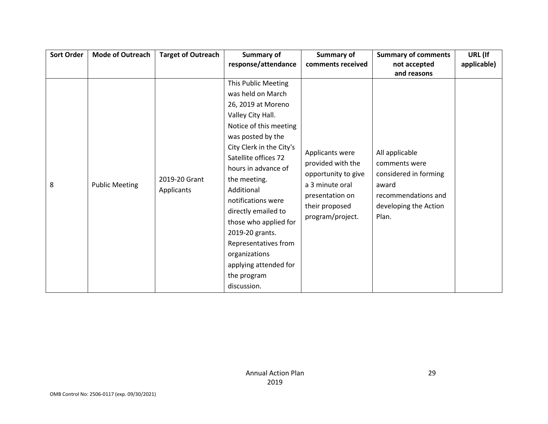| <b>Sort Order</b> | <b>Mode of Outreach</b>                              | <b>Target of Outreach</b> | <b>Summary of</b>                        | Summary of            | <b>Summary of comments</b>   | URL (If     |
|-------------------|------------------------------------------------------|---------------------------|------------------------------------------|-----------------------|------------------------------|-------------|
|                   |                                                      |                           | response/attendance                      | comments received     | not accepted                 | applicable) |
|                   |                                                      |                           |                                          |                       | and reasons                  |             |
|                   |                                                      |                           | This Public Meeting                      |                       |                              |             |
|                   |                                                      |                           | was held on March                        |                       |                              |             |
|                   |                                                      |                           | 26, 2019 at Moreno                       |                       |                              |             |
|                   |                                                      |                           | Valley City Hall.                        |                       |                              |             |
|                   | 2019-20 Grant<br><b>Public Meeting</b><br>Applicants |                           | Notice of this meeting                   |                       |                              |             |
|                   |                                                      |                           | was posted by the                        |                       |                              |             |
|                   |                                                      |                           | City Clerk in the City's                 | Applicants were       | All applicable               |             |
|                   |                                                      |                           | Satellite offices 72                     |                       | comments were                |             |
|                   |                                                      |                           | provided with the<br>hours in advance of | considered in forming |                              |             |
|                   |                                                      |                           | the meeting.                             | opportunity to give   |                              |             |
| 8                 |                                                      |                           | Additional                               | a 3 minute oral       | award<br>recommendations and |             |
|                   |                                                      |                           | notifications were                       | presentation on       |                              |             |
|                   |                                                      |                           | directly emailed to                      | their proposed        | developing the Action        |             |
|                   |                                                      |                           | those who applied for                    | program/project.      | Plan.                        |             |
|                   |                                                      |                           | 2019-20 grants.                          |                       |                              |             |
|                   |                                                      |                           | Representatives from                     |                       |                              |             |
|                   |                                                      |                           | organizations                            |                       |                              |             |
|                   |                                                      |                           | applying attended for                    |                       |                              |             |
|                   |                                                      |                           | the program                              |                       |                              |             |
|                   |                                                      |                           | discussion.                              |                       |                              |             |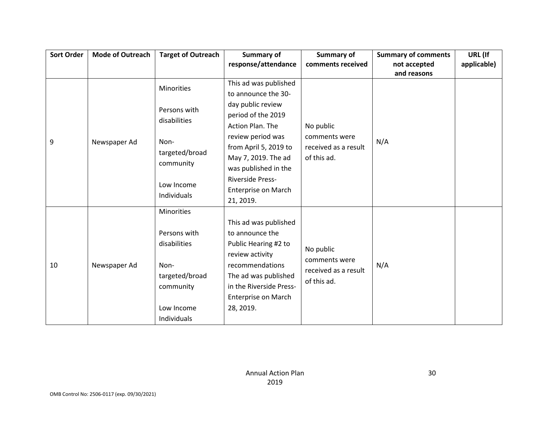| <b>Sort Order</b> | <b>Mode of Outreach</b> | <b>Target of Outreach</b>   | Summary of              | Summary of           | <b>Summary of comments</b> | URL (If     |
|-------------------|-------------------------|-----------------------------|-------------------------|----------------------|----------------------------|-------------|
|                   |                         |                             | response/attendance     | comments received    | not accepted               | applicable) |
|                   |                         |                             |                         |                      | and reasons                |             |
|                   |                         | Minorities                  | This ad was published   |                      |                            |             |
|                   |                         |                             | to announce the 30-     |                      |                            |             |
|                   |                         | Persons with                | day public review       |                      |                            |             |
|                   |                         | disabilities                | period of the 2019      |                      |                            |             |
|                   |                         |                             | Action Plan. The        | No public            |                            |             |
| 9                 | Newspaper Ad            | Non-                        | review period was       | comments were        | N/A                        |             |
|                   |                         |                             | from April 5, 2019 to   | received as a result |                            |             |
|                   |                         | targeted/broad<br>community | May 7, 2019. The ad     | of this ad.          |                            |             |
|                   |                         |                             | was published in the    |                      |                            |             |
|                   |                         | Low Income<br>Individuals   | <b>Riverside Press-</b> |                      |                            |             |
|                   |                         |                             | Enterprise on March     |                      |                            |             |
|                   |                         |                             | 21, 2019.               |                      |                            |             |
|                   |                         | Minorities                  |                         |                      |                            |             |
|                   |                         |                             | This ad was published   |                      |                            |             |
|                   |                         | Persons with                | to announce the         |                      |                            |             |
|                   |                         | disabilities                | Public Hearing #2 to    |                      |                            |             |
|                   |                         |                             | review activity         | No public            |                            |             |
| 10                | Newspaper Ad            | Non-                        | recommendations         | comments were        | N/A                        |             |
|                   |                         | targeted/broad              | The ad was published    | received as a result |                            |             |
|                   |                         | community                   | in the Riverside Press- | of this ad.          |                            |             |
|                   |                         |                             | Enterprise on March     |                      |                            |             |
|                   |                         | Low Income                  | 28, 2019.               |                      |                            |             |
|                   |                         | Individuals                 |                         |                      |                            |             |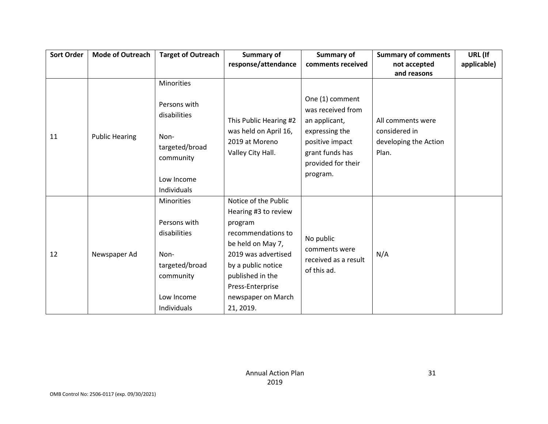| <b>Sort Order</b> | <b>Mode of Outreach</b> | <b>Target of Outreach</b>                                                                                             | <b>Summary of</b><br>response/attendance                                                                                                                                                                                   | Summary of<br>comments received                                                                                                                 | <b>Summary of comments</b><br>not accepted<br>and reasons            | URL (If<br>applicable) |
|-------------------|-------------------------|-----------------------------------------------------------------------------------------------------------------------|----------------------------------------------------------------------------------------------------------------------------------------------------------------------------------------------------------------------------|-------------------------------------------------------------------------------------------------------------------------------------------------|----------------------------------------------------------------------|------------------------|
| 11                | <b>Public Hearing</b>   | Minorities<br>Persons with<br>disabilities<br>Non-<br>targeted/broad<br>community<br>Low Income<br>Individuals        | This Public Hearing #2<br>was held on April 16,<br>2019 at Moreno<br>Valley City Hall.                                                                                                                                     | One (1) comment<br>was received from<br>an applicant,<br>expressing the<br>positive impact<br>grant funds has<br>provided for their<br>program. | All comments were<br>considered in<br>developing the Action<br>Plan. |                        |
| 12                | Newspaper Ad            | <b>Minorities</b><br>Persons with<br>disabilities<br>Non-<br>targeted/broad<br>community<br>Low Income<br>Individuals | Notice of the Public<br>Hearing #3 to review<br>program<br>recommendations to<br>be held on May 7,<br>2019 was advertised<br>by a public notice<br>published in the<br>Press-Enterprise<br>newspaper on March<br>21, 2019. | No public<br>comments were<br>received as a result<br>of this ad.                                                                               | N/A                                                                  |                        |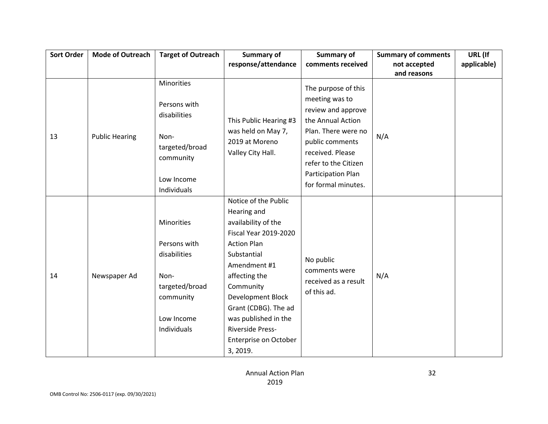| <b>Sort Order</b> | <b>Mode of Outreach</b> | <b>Target of Outreach</b>                                                                                             | <b>Summary of</b>                                                                                                                                                                                                                                                                                                         | Summary of                                                                                                                                                                                                          | <b>Summary of comments</b>  | URL (If     |
|-------------------|-------------------------|-----------------------------------------------------------------------------------------------------------------------|---------------------------------------------------------------------------------------------------------------------------------------------------------------------------------------------------------------------------------------------------------------------------------------------------------------------------|---------------------------------------------------------------------------------------------------------------------------------------------------------------------------------------------------------------------|-----------------------------|-------------|
|                   |                         |                                                                                                                       | response/attendance                                                                                                                                                                                                                                                                                                       | comments received                                                                                                                                                                                                   | not accepted<br>and reasons | applicable) |
| 13                | <b>Public Hearing</b>   | Minorities<br>Persons with<br>disabilities<br>Non-<br>targeted/broad<br>community<br>Low Income<br>Individuals        | This Public Hearing #3<br>was held on May 7,<br>2019 at Moreno<br>Valley City Hall.                                                                                                                                                                                                                                       | The purpose of this<br>meeting was to<br>review and approve<br>the Annual Action<br>Plan. There were no<br>public comments<br>received. Please<br>refer to the Citizen<br>Participation Plan<br>for formal minutes. | N/A                         |             |
| 14                | Newspaper Ad            | <b>Minorities</b><br>Persons with<br>disabilities<br>Non-<br>targeted/broad<br>community<br>Low Income<br>Individuals | Notice of the Public<br>Hearing and<br>availability of the<br><b>Fiscal Year 2019-2020</b><br><b>Action Plan</b><br>Substantial<br>Amendment #1<br>affecting the<br>Community<br><b>Development Block</b><br>Grant (CDBG). The ad<br>was published in the<br><b>Riverside Press-</b><br>Enterprise on October<br>3, 2019. | No public<br>comments were<br>received as a result<br>of this ad.                                                                                                                                                   | N/A                         |             |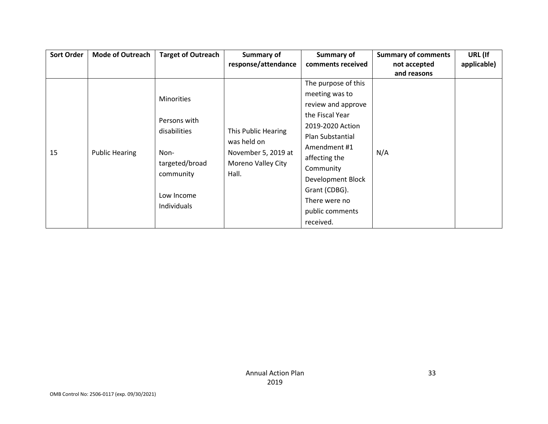| <b>Sort Order</b> | <b>Mode of Outreach</b> | <b>Target of Outreach</b>                                                                                             | Summary of                                                                               | Summary of                                                                                                                                                                                                                                                  | <b>Summary of comments</b>  | URL (If     |
|-------------------|-------------------------|-----------------------------------------------------------------------------------------------------------------------|------------------------------------------------------------------------------------------|-------------------------------------------------------------------------------------------------------------------------------------------------------------------------------------------------------------------------------------------------------------|-----------------------------|-------------|
|                   |                         |                                                                                                                       | response/attendance                                                                      | comments received                                                                                                                                                                                                                                           | not accepted<br>and reasons | applicable) |
| 15                | <b>Public Hearing</b>   | <b>Minorities</b><br>Persons with<br>disabilities<br>Non-<br>targeted/broad<br>community<br>Low Income<br>Individuals | This Public Hearing<br>was held on<br>November 5, 2019 at<br>Moreno Valley City<br>Hall. | The purpose of this<br>meeting was to<br>review and approve<br>the Fiscal Year<br>2019-2020 Action<br>Plan Substantial<br>Amendment #1<br>affecting the<br>Community<br>Development Block<br>Grant (CDBG).<br>There were no<br>public comments<br>received. | N/A                         |             |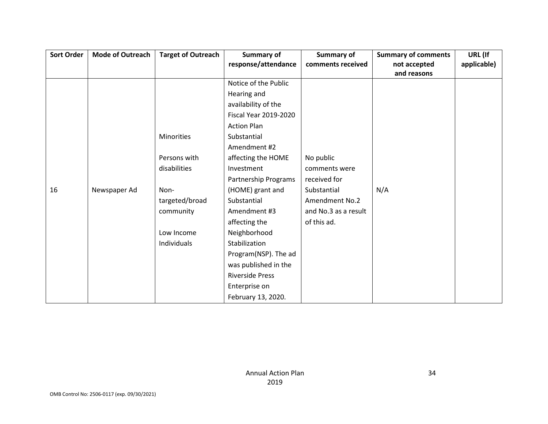| <b>Sort Order</b> | <b>Mode of Outreach</b> | <b>Target of Outreach</b> | Summary of                   | Summary of           | <b>Summary of comments</b> | URL (If     |
|-------------------|-------------------------|---------------------------|------------------------------|----------------------|----------------------------|-------------|
|                   |                         |                           | response/attendance          | comments received    | not accepted               | applicable) |
|                   |                         |                           |                              |                      | and reasons                |             |
|                   |                         |                           | Notice of the Public         |                      |                            |             |
|                   |                         |                           | Hearing and                  |                      |                            |             |
|                   |                         |                           | availability of the          |                      |                            |             |
|                   |                         |                           | <b>Fiscal Year 2019-2020</b> |                      |                            |             |
|                   |                         |                           | <b>Action Plan</b>           |                      |                            |             |
|                   |                         | <b>Minorities</b>         | Substantial                  |                      |                            |             |
|                   |                         |                           | Amendment #2                 |                      |                            |             |
|                   |                         | Persons with              | affecting the HOME           | No public            |                            |             |
|                   |                         | disabilities              | Investment                   | comments were        |                            |             |
|                   |                         |                           | Partnership Programs         | received for         |                            |             |
| 16                | Newspaper Ad            | Non-                      | (HOME) grant and             | Substantial          | N/A                        |             |
|                   |                         | targeted/broad            | Substantial                  | Amendment No.2       |                            |             |
|                   |                         | community                 | Amendment #3                 | and No.3 as a result |                            |             |
|                   |                         |                           | affecting the                | of this ad.          |                            |             |
|                   |                         | Low Income                | Neighborhood                 |                      |                            |             |
|                   |                         | Individuals               | Stabilization                |                      |                            |             |
|                   |                         |                           | Program(NSP). The ad         |                      |                            |             |
|                   |                         |                           | was published in the         |                      |                            |             |
|                   |                         |                           | <b>Riverside Press</b>       |                      |                            |             |
|                   |                         |                           | Enterprise on                |                      |                            |             |
|                   |                         |                           | February 13, 2020.           |                      |                            |             |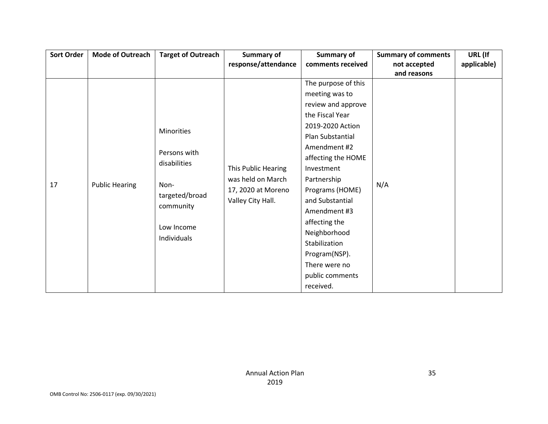| Sort Order | <b>Mode of Outreach</b> | <b>Target of Outreach</b> | Summary of          | Summary of          | <b>Summary of comments</b> | URL (If     |
|------------|-------------------------|---------------------------|---------------------|---------------------|----------------------------|-------------|
|            |                         |                           | response/attendance | comments received   | not accepted               | applicable) |
|            |                         |                           |                     |                     | and reasons                |             |
|            |                         |                           |                     | The purpose of this |                            |             |
|            |                         |                           |                     | meeting was to      |                            |             |
|            |                         |                           |                     | review and approve  |                            |             |
|            |                         |                           |                     | the Fiscal Year     |                            |             |
|            |                         | Minorities                |                     | 2019-2020 Action    |                            |             |
|            |                         |                           |                     | Plan Substantial    |                            |             |
|            |                         | Persons with              |                     | Amendment #2        |                            |             |
|            |                         | disabilities              |                     | affecting the HOME  |                            |             |
|            |                         |                           | This Public Hearing | Investment          |                            |             |
| 17         |                         |                           | was held on March   | Partnership         |                            |             |
|            | <b>Public Hearing</b>   | Non-                      | 17, 2020 at Moreno  | Programs (HOME)     | N/A                        |             |
|            |                         | targeted/broad            | Valley City Hall.   | and Substantial     |                            |             |
|            |                         | community                 |                     | Amendment #3        |                            |             |
|            |                         |                           |                     | affecting the       |                            |             |
|            |                         | Low Income                |                     | Neighborhood        |                            |             |
|            |                         | Individuals               |                     | Stabilization       |                            |             |
|            |                         |                           |                     | Program(NSP).       |                            |             |
|            |                         |                           |                     | There were no       |                            |             |
|            |                         |                           |                     | public comments     |                            |             |
|            |                         |                           |                     | received.           |                            |             |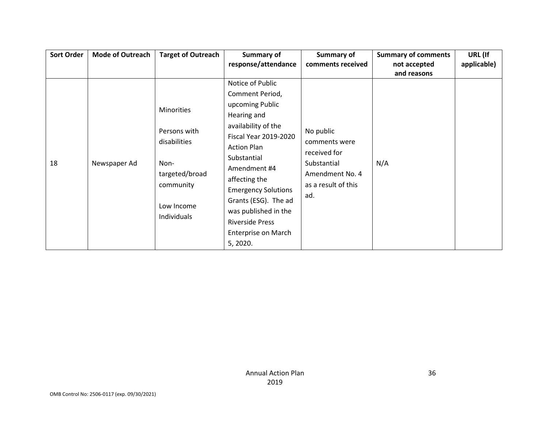| <b>Sort Order</b> | <b>Mode of Outreach</b> | <b>Target of Outreach</b>                  | Summary of                   | Summary of                 | <b>Summary of comments</b> | URL (If     |
|-------------------|-------------------------|--------------------------------------------|------------------------------|----------------------------|----------------------------|-------------|
|                   |                         |                                            | response/attendance          | comments received          | not accepted               | applicable) |
|                   |                         |                                            |                              |                            | and reasons                |             |
|                   |                         |                                            | Notice of Public             |                            |                            |             |
|                   |                         |                                            | Comment Period,              |                            |                            |             |
|                   |                         | Minorities<br>Persons with<br>disabilities | upcoming Public              |                            |                            |             |
|                   |                         |                                            | Hearing and                  | No public<br>comments were |                            |             |
|                   |                         |                                            | availability of the          |                            |                            |             |
|                   |                         |                                            | <b>Fiscal Year 2019-2020</b> |                            |                            |             |
|                   |                         |                                            | <b>Action Plan</b>           |                            |                            |             |
| 18                |                         |                                            | Substantial                  | received for               |                            |             |
|                   | Newspaper Ad            | Non-                                       | Amendment #4                 | Substantial                | N/A                        |             |
|                   |                         | targeted/broad                             | affecting the                | Amendment No. 4            |                            |             |
|                   |                         | community                                  | <b>Emergency Solutions</b>   | as a result of this        |                            |             |
|                   |                         |                                            | Grants (ESG). The ad         | ad.                        |                            |             |
|                   |                         | Low Income                                 | was published in the         |                            |                            |             |
|                   |                         | Individuals                                | <b>Riverside Press</b>       |                            |                            |             |
|                   |                         |                                            | Enterprise on March          |                            |                            |             |
|                   |                         |                                            | 5, 2020.                     |                            |                            |             |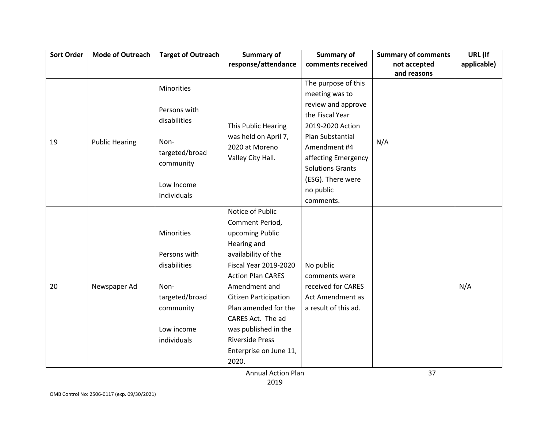| <b>Sort Order</b> | <b>Mode of Outreach</b> | <b>Target of Outreach</b> | Summary of                   | <b>Summary of</b>       | <b>Summary of comments</b> | URL (If     |
|-------------------|-------------------------|---------------------------|------------------------------|-------------------------|----------------------------|-------------|
|                   |                         |                           | response/attendance          | comments received       | not accepted               | applicable) |
|                   |                         |                           |                              |                         | and reasons                |             |
|                   |                         | Minorities                |                              | The purpose of this     |                            |             |
|                   |                         |                           |                              | meeting was to          |                            |             |
|                   |                         | Persons with              |                              | review and approve      |                            |             |
|                   |                         | disabilities              |                              | the Fiscal Year         |                            |             |
|                   |                         |                           | This Public Hearing          | 2019-2020 Action        |                            |             |
| 19                | <b>Public Hearing</b>   | Non-                      | was held on April 7,         | Plan Substantial        | N/A                        |             |
|                   |                         | targeted/broad            | 2020 at Moreno               | Amendment #4            |                            |             |
|                   |                         | community                 | Valley City Hall.            | affecting Emergency     |                            |             |
|                   |                         |                           |                              | <b>Solutions Grants</b> |                            |             |
|                   |                         | Low Income<br>Individuals |                              | (ESG). There were       |                            |             |
|                   |                         |                           |                              | no public               |                            |             |
|                   |                         |                           |                              | comments.               |                            |             |
|                   |                         |                           | Notice of Public             |                         |                            |             |
|                   |                         | Minorities                | Comment Period,              |                         |                            |             |
|                   |                         |                           | upcoming Public              |                         |                            |             |
|                   |                         |                           | Hearing and                  |                         |                            |             |
|                   |                         | Persons with              | availability of the          |                         |                            |             |
|                   |                         | disabilities              | <b>Fiscal Year 2019-2020</b> | No public               |                            |             |
|                   |                         |                           | <b>Action Plan CARES</b>     | comments were           |                            |             |
| 20                | Newspaper Ad            | Non-                      | Amendment and                | received for CARES      |                            | N/A         |
|                   |                         | targeted/broad            | <b>Citizen Participation</b> | Act Amendment as        |                            |             |
|                   |                         | community                 | Plan amended for the         | a result of this ad.    |                            |             |
|                   |                         |                           | CARES Act. The ad            |                         |                            |             |
|                   |                         | Low income                | was published in the         |                         |                            |             |
|                   |                         | individuals               | <b>Riverside Press</b>       |                         |                            |             |
|                   |                         |                           | Enterprise on June 11,       |                         |                            |             |
|                   |                         |                           | 2020.                        |                         |                            |             |
|                   |                         |                           | <b>Annual Action Plan</b>    |                         | 37                         |             |

Annual Action Plan 2019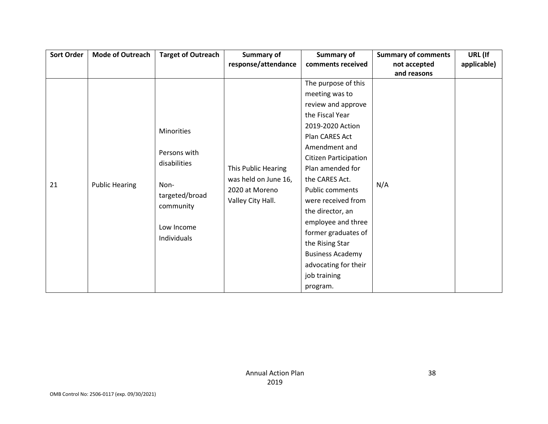| <b>Sort Order</b> | <b>Mode of Outreach</b> | <b>Target of Outreach</b>                          | Summary of                                  | Summary of              | <b>Summary of comments</b> | URL (If     |
|-------------------|-------------------------|----------------------------------------------------|---------------------------------------------|-------------------------|----------------------------|-------------|
|                   |                         |                                                    | response/attendance                         | comments received       | not accepted               | applicable) |
|                   |                         |                                                    |                                             |                         | and reasons                |             |
|                   |                         |                                                    |                                             | The purpose of this     |                            |             |
|                   |                         |                                                    |                                             | meeting was to          |                            |             |
|                   | <b>Public Hearing</b>   |                                                    |                                             | review and approve      |                            |             |
|                   |                         |                                                    |                                             | the Fiscal Year         |                            |             |
|                   |                         | Minorities<br>Persons with<br>disabilities<br>Non- |                                             | 2019-2020 Action        |                            |             |
|                   |                         |                                                    |                                             | Plan CARES Act          |                            |             |
|                   |                         |                                                    | This Public Hearing<br>was held on June 16, | Amendment and           |                            |             |
|                   |                         |                                                    |                                             | Citizen Participation   |                            |             |
|                   |                         |                                                    |                                             | Plan amended for        |                            |             |
| 21                |                         |                                                    |                                             | the CARES Act.          |                            |             |
|                   |                         | targeted/broad                                     | 2020 at Moreno                              | Public comments         | N/A                        |             |
|                   |                         | community                                          | Valley City Hall.                           | were received from      |                            |             |
|                   |                         |                                                    |                                             | the director, an        |                            |             |
|                   |                         | Low Income                                         |                                             | employee and three      |                            |             |
|                   |                         | Individuals                                        |                                             | former graduates of     |                            |             |
|                   |                         |                                                    |                                             | the Rising Star         |                            |             |
|                   |                         |                                                    |                                             | <b>Business Academy</b> |                            |             |
|                   |                         |                                                    |                                             | advocating for their    |                            |             |
|                   |                         |                                                    |                                             | job training            |                            |             |
|                   |                         |                                                    |                                             | program.                |                            |             |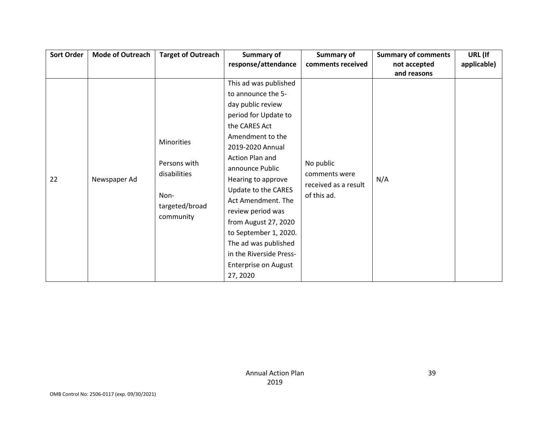| <b>Sort Order</b> | <b>Mode of Outreach</b> | <b>Target of Outreach</b>                                                                | Summary of                                                                                                                                                                                                                                                                                                                                                                                                                     | Summary of                                                        | <b>Summary of comments</b>  | URL (If     |
|-------------------|-------------------------|------------------------------------------------------------------------------------------|--------------------------------------------------------------------------------------------------------------------------------------------------------------------------------------------------------------------------------------------------------------------------------------------------------------------------------------------------------------------------------------------------------------------------------|-------------------------------------------------------------------|-----------------------------|-------------|
|                   |                         |                                                                                          | response/attendance                                                                                                                                                                                                                                                                                                                                                                                                            | comments received                                                 | not accepted<br>and reasons | applicable) |
| 22                | Newspaper Ad            | <b>Minorities</b><br>Persons with<br>disabilities<br>Non-<br>targeted/broad<br>community | This ad was published<br>to announce the 5-<br>day public review<br>period for Update to<br>the CARES Act<br>Amendment to the<br>2019-2020 Annual<br>Action Plan and<br>announce Public<br>Hearing to approve<br>Update to the CARES<br>Act Amendment. The<br>review period was<br>from August 27, 2020<br>to September 1, 2020.<br>The ad was published<br>in the Riverside Press-<br><b>Enterprise on August</b><br>27, 2020 | No public<br>comments were<br>received as a result<br>of this ad. | N/A                         |             |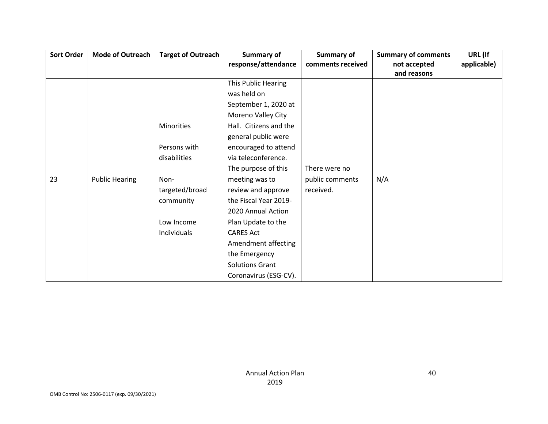| <b>Sort Order</b> | <b>Mode of Outreach</b> | <b>Target of Outreach</b> | Summary of             | Summary of        | <b>Summary of comments</b> | URL (If     |
|-------------------|-------------------------|---------------------------|------------------------|-------------------|----------------------------|-------------|
|                   |                         |                           | response/attendance    | comments received | not accepted               | applicable) |
|                   |                         |                           |                        |                   | and reasons                |             |
|                   |                         |                           | This Public Hearing    |                   |                            |             |
|                   |                         |                           | was held on            |                   |                            |             |
|                   |                         |                           | September 1, 2020 at   |                   |                            |             |
|                   |                         |                           | Moreno Valley City     |                   |                            |             |
|                   |                         | Minorities                | Hall. Citizens and the |                   |                            |             |
|                   |                         |                           | general public were    |                   |                            |             |
|                   |                         | Persons with              | encouraged to attend   |                   |                            |             |
|                   |                         | disabilities              | via teleconference.    |                   |                            |             |
|                   |                         |                           | The purpose of this    | There were no     |                            |             |
| 23                | <b>Public Hearing</b>   | Non-                      | meeting was to         | public comments   | N/A                        |             |
|                   |                         | targeted/broad            | review and approve     | received.         |                            |             |
|                   |                         | community                 | the Fiscal Year 2019-  |                   |                            |             |
|                   |                         |                           | 2020 Annual Action     |                   |                            |             |
|                   |                         | Low Income                | Plan Update to the     |                   |                            |             |
|                   |                         | Individuals               | <b>CARES Act</b>       |                   |                            |             |
|                   |                         |                           | Amendment affecting    |                   |                            |             |
|                   |                         |                           | the Emergency          |                   |                            |             |
|                   |                         |                           | <b>Solutions Grant</b> |                   |                            |             |
|                   |                         |                           | Coronavirus (ESG-CV).  |                   |                            |             |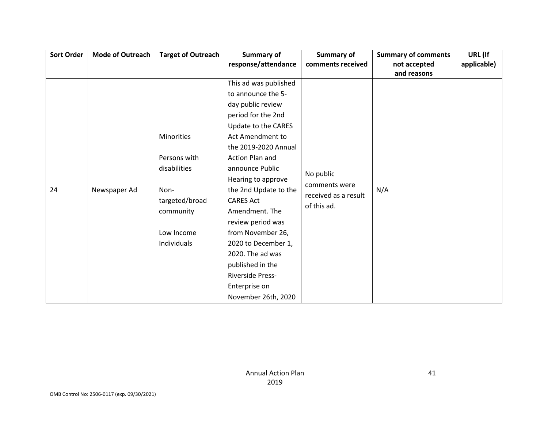| <b>Sort Order</b> | <b>Mode of Outreach</b> | <b>Target of Outreach</b> | Summary of            | Summary of                          | <b>Summary of comments</b> | URL (If     |
|-------------------|-------------------------|---------------------------|-----------------------|-------------------------------------|----------------------------|-------------|
|                   |                         |                           | response/attendance   | comments received                   | not accepted               | applicable) |
|                   |                         |                           |                       |                                     | and reasons                |             |
|                   |                         |                           | This ad was published |                                     |                            |             |
|                   |                         |                           | to announce the 5-    |                                     |                            |             |
|                   |                         |                           | day public review     |                                     |                            |             |
|                   |                         |                           | period for the 2nd    |                                     |                            |             |
|                   |                         |                           | Update to the CARES   |                                     |                            |             |
|                   |                         | Minorities                | Act Amendment to      |                                     |                            |             |
|                   |                         |                           | the 2019-2020 Annual  |                                     |                            |             |
|                   |                         | Persons with              | Action Plan and       | No public<br>comments were<br>N/A   |                            |             |
|                   |                         | disabilities              | announce Public       |                                     |                            |             |
|                   |                         |                           | Hearing to approve    |                                     |                            |             |
| 24                | Newspaper Ad            | Non-                      | the 2nd Update to the |                                     |                            |             |
|                   |                         | targeted/broad            | <b>CARES Act</b>      | received as a result<br>of this ad. |                            |             |
|                   |                         | community                 | Amendment. The        |                                     |                            |             |
|                   |                         |                           | review period was     |                                     |                            |             |
|                   |                         | Low Income                | from November 26,     |                                     |                            |             |
|                   |                         | Individuals               | 2020 to December 1,   |                                     |                            |             |
|                   |                         |                           | 2020. The ad was      |                                     |                            |             |
|                   |                         |                           | published in the      |                                     |                            |             |
|                   |                         |                           | Riverside Press-      |                                     |                            |             |
|                   |                         |                           | Enterprise on         |                                     |                            |             |
|                   |                         |                           | November 26th, 2020   |                                     |                            |             |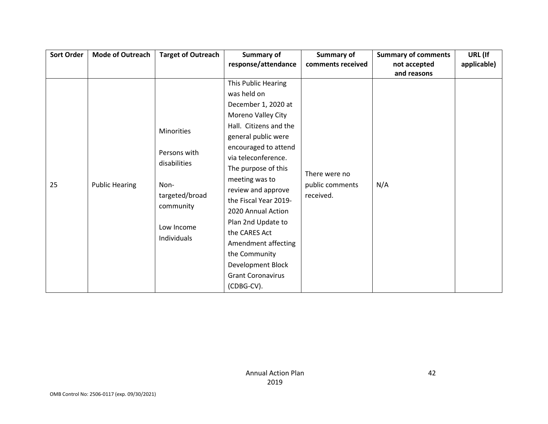| <b>Sort Order</b> | <b>Mode of Outreach</b> | <b>Target of Outreach</b>    | <b>Summary of</b>        | Summary of                       | <b>Summary of comments</b> | URL (If     |
|-------------------|-------------------------|------------------------------|--------------------------|----------------------------------|----------------------------|-------------|
|                   |                         |                              | response/attendance      | comments received                | not accepted               | applicable) |
|                   |                         |                              |                          |                                  | and reasons                |             |
|                   |                         |                              | This Public Hearing      |                                  |                            |             |
|                   |                         |                              | was held on              |                                  |                            |             |
|                   |                         |                              | December 1, 2020 at      |                                  |                            |             |
|                   |                         |                              | Moreno Valley City       |                                  |                            |             |
|                   |                         | <b>Minorities</b>            | Hall. Citizens and the   |                                  | N/A                        |             |
|                   |                         |                              | general public were      |                                  |                            |             |
|                   |                         | Persons with<br>disabilities | encouraged to attend     |                                  |                            |             |
|                   |                         |                              | via teleconference.      | There were no<br>public comments |                            |             |
|                   |                         |                              | The purpose of this      |                                  |                            |             |
|                   |                         |                              | meeting was to           |                                  |                            |             |
| 25                | <b>Public Hearing</b>   | Non-                         | review and approve       |                                  |                            |             |
|                   |                         | targeted/broad               | the Fiscal Year 2019-    | received.                        |                            |             |
|                   |                         | community                    | 2020 Annual Action       |                                  |                            |             |
|                   |                         |                              | Plan 2nd Update to       |                                  |                            |             |
|                   |                         | Low Income                   | the CARES Act            |                                  |                            |             |
|                   |                         | Individuals                  | Amendment affecting      |                                  |                            |             |
|                   |                         |                              | the Community            |                                  |                            |             |
|                   |                         |                              | Development Block        |                                  |                            |             |
|                   |                         |                              | <b>Grant Coronavirus</b> |                                  |                            |             |
|                   |                         |                              | (CDBG-CV).               |                                  |                            |             |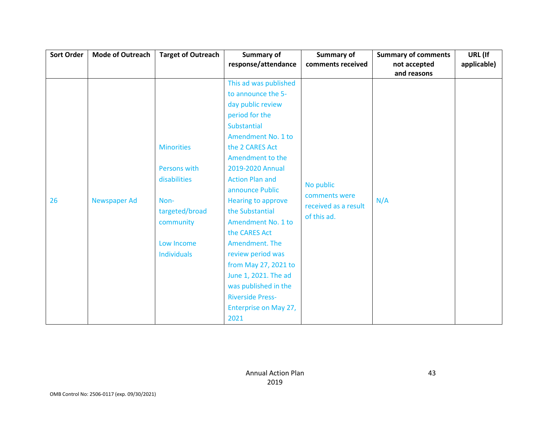| <b>Sort Order</b> | <b>Mode of Outreach</b> | <b>Target of Outreach</b> | <b>Summary of</b>         | <b>Summary of</b>                                  | <b>Summary of comments</b> | URL (If     |
|-------------------|-------------------------|---------------------------|---------------------------|----------------------------------------------------|----------------------------|-------------|
|                   |                         |                           | response/attendance       | comments received                                  | not accepted               | applicable) |
|                   |                         |                           |                           |                                                    | and reasons                |             |
|                   |                         |                           | This ad was published     |                                                    | N/A                        |             |
|                   |                         |                           | to announce the 5-        |                                                    |                            |             |
|                   |                         |                           | day public review         |                                                    |                            |             |
|                   |                         |                           | period for the            |                                                    |                            |             |
|                   |                         |                           | <b>Substantial</b>        |                                                    |                            |             |
|                   |                         |                           | Amendment No. 1 to        |                                                    |                            |             |
|                   |                         | <b>Minorities</b>         | the 2 CARES Act           |                                                    |                            |             |
|                   |                         |                           | Amendment to the          |                                                    |                            |             |
|                   |                         | Persons with              | 2019-2020 Annual          | No public<br>comments were<br>received as a result |                            |             |
|                   |                         | disabilities              | <b>Action Plan and</b>    |                                                    |                            |             |
|                   |                         |                           | announce Public           |                                                    |                            |             |
| 26                | <b>Newspaper Ad</b>     | Non-                      | <b>Hearing to approve</b> |                                                    |                            |             |
|                   |                         | targeted/broad            | the Substantial           | of this ad.                                        |                            |             |
|                   |                         | community                 | Amendment No. 1 to        |                                                    |                            |             |
|                   |                         |                           | the CARES Act             |                                                    |                            |             |
|                   |                         | Low Income                | Amendment. The            |                                                    |                            |             |
|                   |                         | <b>Individuals</b>        | review period was         |                                                    |                            |             |
|                   |                         |                           | from May 27, 2021 to      |                                                    |                            |             |
|                   |                         |                           | June 1, 2021. The ad      |                                                    |                            |             |
|                   |                         |                           | was published in the      |                                                    |                            |             |
|                   |                         |                           | <b>Riverside Press-</b>   |                                                    |                            |             |
|                   |                         |                           | Enterprise on May 27,     |                                                    |                            |             |
|                   |                         |                           | 2021                      |                                                    |                            |             |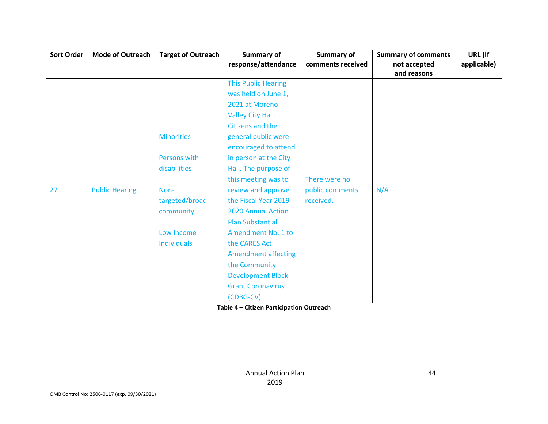| <b>Sort Order</b> | <b>Mode of Outreach</b> | <b>Target of Outreach</b> | <b>Summary of</b><br>response/attendance | Summary of<br>comments received | <b>Summary of comments</b><br>not accepted | URL (If<br>applicable) |
|-------------------|-------------------------|---------------------------|------------------------------------------|---------------------------------|--------------------------------------------|------------------------|
|                   |                         |                           |                                          |                                 | and reasons                                |                        |
|                   |                         |                           | <b>This Public Hearing</b>               |                                 |                                            |                        |
|                   |                         |                           | was held on June 1,                      |                                 |                                            |                        |
|                   |                         |                           | 2021 at Moreno                           |                                 |                                            |                        |
|                   |                         |                           | Valley City Hall.                        |                                 |                                            |                        |
|                   |                         |                           | Citizens and the                         |                                 |                                            |                        |
|                   |                         | <b>Minorities</b>         | general public were                      |                                 |                                            |                        |
|                   |                         |                           | encouraged to attend                     |                                 |                                            |                        |
|                   |                         | Persons with              | in person at the City                    |                                 |                                            |                        |
|                   |                         | disabilities              | Hall. The purpose of                     |                                 |                                            |                        |
|                   |                         |                           | this meeting was to                      | There were no                   |                                            |                        |
| 27                | <b>Public Hearing</b>   | Non-                      | review and approve                       | public comments                 | N/A                                        |                        |
|                   |                         | targeted/broad            | the Fiscal Year 2019-                    | received.                       |                                            |                        |
|                   |                         | community                 | 2020 Annual Action                       |                                 |                                            |                        |
|                   |                         |                           | <b>Plan Substantial</b>                  |                                 |                                            |                        |
|                   |                         | Low Income                | Amendment No. 1 to                       |                                 |                                            |                        |
|                   |                         | <b>Individuals</b>        | the CARES Act                            |                                 |                                            |                        |
|                   |                         |                           | <b>Amendment affecting</b>               |                                 |                                            |                        |
|                   |                         |                           | the Community                            |                                 |                                            |                        |
|                   |                         |                           | <b>Development Block</b>                 |                                 |                                            |                        |
|                   |                         |                           | <b>Grant Coronavirus</b>                 |                                 |                                            |                        |
|                   |                         |                           | (CDBG-CV).                               |                                 |                                            |                        |

**Table 4 – Citizen Participation Outreach**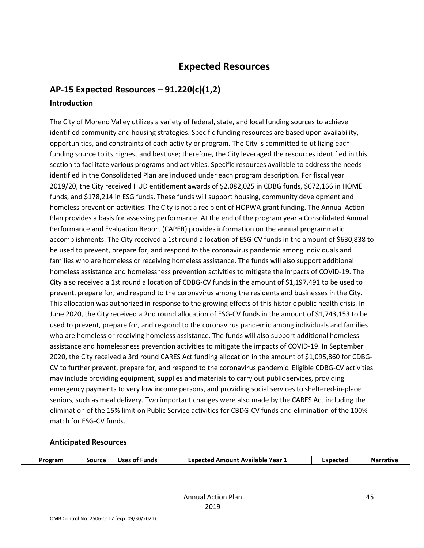## **Expected Resources**

## **AP-15 Expected Resources – 91.220(c)(1,2)**

#### **Introduction**

The City of Moreno Valley utilizes a variety of federal, state, and local funding sources to achieve identified community and housing strategies. Specific funding resources are based upon availability, opportunities, and constraints of each activity or program. The City is committed to utilizing each funding source to its highest and best use; therefore, the City leveraged the resources identified in this section to facilitate various programs and activities. Specific resources available to address the needs identified in the Consolidated Plan are included under each program description. For fiscal year 2019/20, the City received HUD entitlement awards of \$2,082,025 in CDBG funds, \$672,166 in HOME funds, and \$178,214 in ESG funds. These funds will support housing, community development and homeless prevention activities. The City is not a recipient of HOPWA grant funding. The Annual Action Plan provides a basis for assessing performance. At the end of the program year a Consolidated Annual Performance and Evaluation Report (CAPER) provides information on the annual programmatic accomplishments. The City received a 1st round allocation of ESG-CV funds in the amount of \$630,838 to be used to prevent, prepare for, and respond to the coronavirus pandemic among individuals and families who are homeless or receiving homeless assistance. The funds will also support additional homeless assistance and homelessness prevention activities to mitigate the impacts of COVID-19. The City also received a 1st round allocation of CDBG-CV funds in the amount of \$1,197,491 to be used to prevent, prepare for, and respond to the coronavirus among the residents and businesses in the City. This allocation was authorized in response to the growing effects of this historic public health crisis. In June 2020, the City received a 2nd round allocation of ESG-CV funds in the amount of \$1,743,153 to be used to prevent, prepare for, and respond to the coronavirus pandemic among individuals and families who are homeless or receiving homeless assistance. The funds will also support additional homeless assistance and homelessness prevention activities to mitigate the impacts of COVID-19. In September 2020, the City received a 3rd round CARES Act funding allocation in the amount of \$1,095,860 for CDBG-CV to further prevent, prepare for, and respond to the coronavirus pandemic. Eligible CDBG-CV activities may include providing equipment, supplies and materials to carry out public services, providing emergency payments to very low income persons, and providing social services to sheltered-in-place seniors, such as meal delivery. Two important changes were also made by the CARES Act including the elimination of the 15% limit on Public Service activities for CBDG-CV funds and elimination of the 100% match for ESG-CV funds.

#### **Anticipated Resources**

| Program<br>Source<br><b>Uses</b><br><b>Funds</b><br>0Ť. | Year 1<br>Available<br>Expectec<br><b>Amount</b> | Expected |  |
|---------------------------------------------------------|--------------------------------------------------|----------|--|
|---------------------------------------------------------|--------------------------------------------------|----------|--|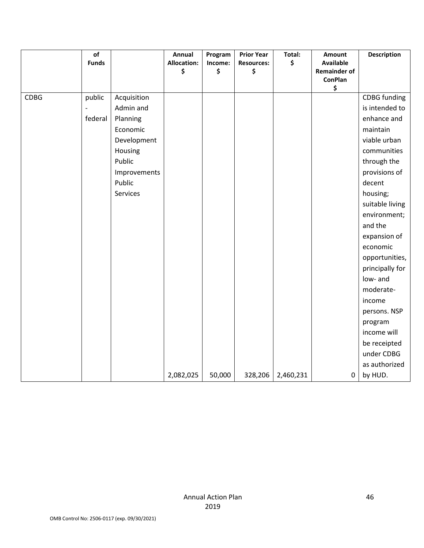|             | $\mathsf{of}$<br><b>Funds</b> |              | Annual<br><b>Allocation:</b> | Program<br>Income: | <b>Prior Year</b><br><b>Resources:</b> | Total:<br>\$ | Amount<br><b>Available</b> | <b>Description</b>  |
|-------------|-------------------------------|--------------|------------------------------|--------------------|----------------------------------------|--------------|----------------------------|---------------------|
|             |                               |              | \$                           | \$                 | \$                                     |              | <b>Remainder of</b>        |                     |
|             |                               |              |                              |                    |                                        |              | <b>ConPlan</b>             |                     |
|             |                               |              |                              |                    |                                        |              | \$                         |                     |
| <b>CDBG</b> | public                        | Acquisition  |                              |                    |                                        |              |                            | <b>CDBG</b> funding |
|             |                               | Admin and    |                              |                    |                                        |              |                            | is intended to      |
|             | federal                       | Planning     |                              |                    |                                        |              |                            | enhance and         |
|             |                               | Economic     |                              |                    |                                        |              |                            | maintain            |
|             |                               | Development  |                              |                    |                                        |              |                            | viable urban        |
|             |                               | Housing      |                              |                    |                                        |              |                            | communities         |
|             |                               | Public       |                              |                    |                                        |              |                            | through the         |
|             |                               | Improvements |                              |                    |                                        |              |                            | provisions of       |
|             |                               | Public       |                              |                    |                                        |              |                            | decent              |
|             |                               | Services     |                              |                    |                                        |              |                            | housing;            |
|             |                               |              |                              |                    |                                        |              |                            | suitable living     |
|             |                               |              |                              |                    |                                        |              |                            | environment;        |
|             |                               |              |                              |                    |                                        |              |                            | and the             |
|             |                               |              |                              |                    |                                        |              |                            | expansion of        |
|             |                               |              |                              |                    |                                        |              |                            | economic            |
|             |                               |              |                              |                    |                                        |              |                            | opportunities,      |
|             |                               |              |                              |                    |                                        |              |                            | principally for     |
|             |                               |              |                              |                    |                                        |              |                            | low- and            |
|             |                               |              |                              |                    |                                        |              |                            | moderate-           |
|             |                               |              |                              |                    |                                        |              |                            | income              |
|             |                               |              |                              |                    |                                        |              |                            | persons. NSP        |
|             |                               |              |                              |                    |                                        |              |                            | program             |
|             |                               |              |                              |                    |                                        |              |                            | income will         |
|             |                               |              |                              |                    |                                        |              |                            | be receipted        |
|             |                               |              |                              |                    |                                        |              |                            | under CDBG          |
|             |                               |              |                              |                    |                                        |              |                            | as authorized       |
|             |                               |              | 2,082,025                    | 50,000             | 328,206                                | 2,460,231    | $\mathbf 0$                | by HUD.             |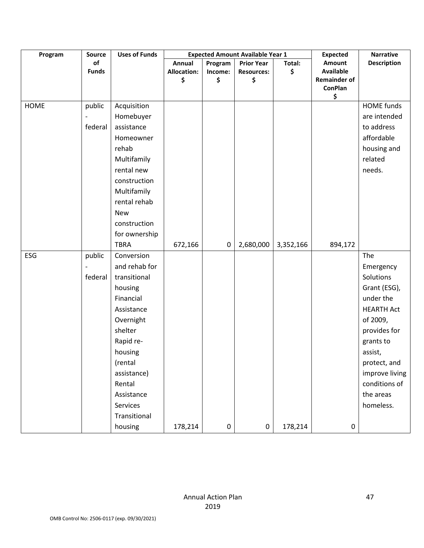| Program | Source       | <b>Uses of Funds</b> |                    |         | <b>Expected Amount Available Year 1</b> |           | <b>Expected</b>                       | <b>Narrative</b>   |
|---------|--------------|----------------------|--------------------|---------|-----------------------------------------|-----------|---------------------------------------|--------------------|
|         | of           |                      | Annual             | Program | <b>Prior Year</b>                       | Total:    | Amount                                | <b>Description</b> |
|         | <b>Funds</b> |                      | <b>Allocation:</b> | Income: | <b>Resources:</b>                       | \$        | <b>Available</b>                      |                    |
|         |              |                      | \$                 | \$      | \$                                      |           | <b>Remainder of</b><br><b>ConPlan</b> |                    |
|         |              |                      |                    |         |                                         |           | \$                                    |                    |
| HOME    | public       | Acquisition          |                    |         |                                         |           |                                       | <b>HOME</b> funds  |
|         |              | Homebuyer            |                    |         |                                         |           |                                       | are intended       |
|         | federal      | assistance           |                    |         |                                         |           |                                       | to address         |
|         |              | Homeowner            |                    |         |                                         |           |                                       | affordable         |
|         |              | rehab                |                    |         |                                         |           |                                       | housing and        |
|         |              | Multifamily          |                    |         |                                         |           |                                       | related            |
|         |              | rental new           |                    |         |                                         |           |                                       | needs.             |
|         |              | construction         |                    |         |                                         |           |                                       |                    |
|         |              | Multifamily          |                    |         |                                         |           |                                       |                    |
|         |              | rental rehab         |                    |         |                                         |           |                                       |                    |
|         |              | <b>New</b>           |                    |         |                                         |           |                                       |                    |
|         |              | construction         |                    |         |                                         |           |                                       |                    |
|         |              | for ownership        |                    |         |                                         |           |                                       |                    |
|         |              | <b>TBRA</b>          | 672,166            | 0       | 2,680,000                               | 3,352,166 | 894,172                               |                    |
| ESG     | public       | Conversion           |                    |         |                                         |           |                                       | The                |
|         |              | and rehab for        |                    |         |                                         |           |                                       | Emergency          |
|         | federal      | transitional         |                    |         |                                         |           |                                       | Solutions          |
|         |              | housing              |                    |         |                                         |           |                                       | Grant (ESG),       |
|         |              | Financial            |                    |         |                                         |           |                                       | under the          |
|         |              | Assistance           |                    |         |                                         |           |                                       | <b>HEARTH Act</b>  |
|         |              | Overnight            |                    |         |                                         |           |                                       | of 2009,           |
|         |              | shelter              |                    |         |                                         |           |                                       | provides for       |
|         |              | Rapid re-            |                    |         |                                         |           |                                       | grants to          |
|         |              | housing              |                    |         |                                         |           |                                       | assist,            |
|         |              | (rental              |                    |         |                                         |           |                                       | protect, and       |
|         |              | assistance)          |                    |         |                                         |           |                                       | improve living     |
|         |              | Rental               |                    |         |                                         |           |                                       | conditions of      |
|         |              | Assistance           |                    |         |                                         |           |                                       | the areas          |
|         |              | Services             |                    |         |                                         |           |                                       | homeless.          |
|         |              | Transitional         |                    |         |                                         |           |                                       |                    |
|         |              | housing              | 178,214            | 0       | 0                                       | 178,214   | $\pmb{0}$                             |                    |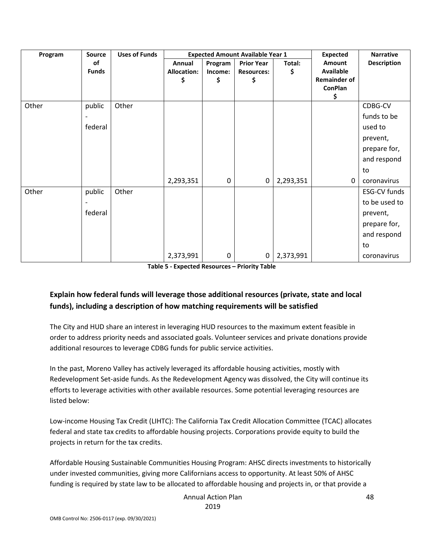| Program | Source       | <b>Uses of Funds</b> |                    |             | <b>Expected Amount Available Year 1</b> |           | <b>Expected</b>     | <b>Narrative</b>   |
|---------|--------------|----------------------|--------------------|-------------|-----------------------------------------|-----------|---------------------|--------------------|
|         | <b>of</b>    |                      | Annual             | Program     | <b>Prior Year</b>                       | Total:    | Amount              | <b>Description</b> |
|         | <b>Funds</b> |                      | <b>Allocation:</b> | Income:     | <b>Resources:</b>                       | \$        | <b>Available</b>    |                    |
|         |              |                      | S                  | \$          | \$                                      |           | <b>Remainder of</b> |                    |
|         |              |                      |                    |             |                                         |           | <b>ConPlan</b>      |                    |
|         |              |                      |                    |             |                                         |           | \$                  |                    |
| Other   | public       | Other                |                    |             |                                         |           |                     | CDBG-CV            |
|         |              |                      |                    |             |                                         |           |                     | funds to be        |
|         | federal      |                      |                    |             |                                         |           |                     | used to            |
|         |              |                      |                    |             |                                         |           |                     | prevent,           |
|         |              |                      |                    |             |                                         |           |                     | prepare for,       |
|         |              |                      |                    |             |                                         |           |                     | and respond        |
|         |              |                      |                    |             |                                         |           |                     | to                 |
|         |              |                      | 2,293,351          | $\mathbf 0$ | $\boldsymbol{0}$                        | 2,293,351 | 0                   | coronavirus        |
| Other   | public       | Other                |                    |             |                                         |           |                     | ESG-CV funds       |
|         |              |                      |                    |             |                                         |           |                     | to be used to      |
|         | federal      |                      |                    |             |                                         |           |                     | prevent,           |
|         |              |                      |                    |             |                                         |           |                     | prepare for,       |
|         |              |                      |                    |             |                                         |           |                     | and respond        |
|         |              |                      |                    |             |                                         |           |                     | to                 |
|         |              |                      | 2,373,991          | $\mathbf 0$ | 0                                       | 2,373,991 |                     | coronavirus        |

**Table 5 - Expected Resources – Priority Table**

### **Explain how federal funds will leverage those additional resources (private, state and local funds), including a description of how matching requirements will be satisfied**

The City and HUD share an interest in leveraging HUD resources to the maximum extent feasible in order to address priority needs and associated goals. Volunteer services and private donations provide additional resources to leverage CDBG funds for public service activities.

In the past, Moreno Valley has actively leveraged its affordable housing activities, mostly with Redevelopment Set-aside funds. As the Redevelopment Agency was dissolved, the City will continue its efforts to leverage activities with other available resources. Some potential leveraging resources are listed below:

Low-income Housing Tax Credit (LIHTC): The California Tax Credit Allocation Committee (TCAC) allocates federal and state tax credits to affordable housing projects. Corporations provide equity to build the projects in return for the tax credits.

Affordable Housing Sustainable Communities Housing Program: AHSC directs investments to historically under invested communities, giving more Californians access to opportunity. At least 50% of AHSC funding is required by state law to be allocated to affordable housing and projects in, or that provide a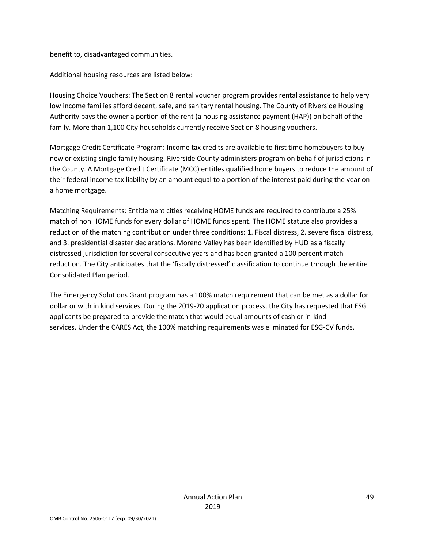benefit to, disadvantaged communities.

Additional housing resources are listed below:

Housing Choice Vouchers: The Section 8 rental voucher program provides rental assistance to help very low income families afford decent, safe, and sanitary rental housing. The County of Riverside Housing Authority pays the owner a portion of the rent (a housing assistance payment (HAP)) on behalf of the family. More than 1,100 City households currently receive Section 8 housing vouchers.

Mortgage Credit Certificate Program: Income tax credits are available to first time homebuyers to buy new or existing single family housing. Riverside County administers program on behalf of jurisdictions in the County. A Mortgage Credit Certificate (MCC) entitles qualified home buyers to reduce the amount of their federal income tax liability by an amount equal to a portion of the interest paid during the year on a home mortgage.

Matching Requirements: Entitlement cities receiving HOME funds are required to contribute a 25% match of non HOME funds for every dollar of HOME funds spent. The HOME statute also provides a reduction of the matching contribution under three conditions: 1. Fiscal distress, 2. severe fiscal distress, and 3. presidential disaster declarations. Moreno Valley has been identified by HUD as a fiscally distressed jurisdiction for several consecutive years and has been granted a 100 percent match reduction. The City anticipates that the 'fiscally distressed' classification to continue through the entire Consolidated Plan period.

The Emergency Solutions Grant program has a 100% match requirement that can be met as a dollar for dollar or with in kind services. During the 2019-20 application process, the City has requested that ESG applicants be prepared to provide the match that would equal amounts of cash or in-kind services. Under the CARES Act, the 100% matching requirements was eliminated for ESG-CV funds.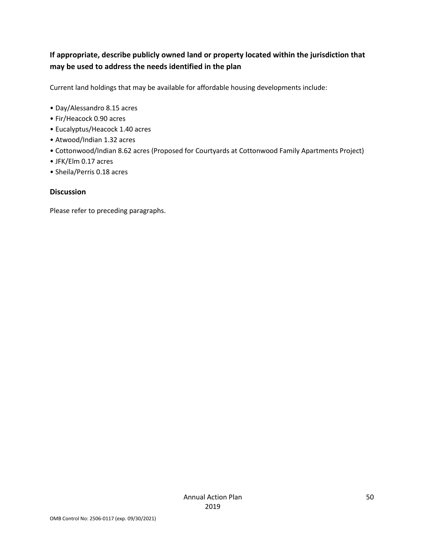## **If appropriate, describe publicly owned land or property located within the jurisdiction that may be used to address the needs identified in the plan**

Current land holdings that may be available for affordable housing developments include:

- Day/Alessandro 8.15 acres
- Fir/Heacock 0.90 acres
- Eucalyptus/Heacock 1.40 acres
- Atwood/Indian 1.32 acres
- Cottonwood/Indian 8.62 acres (Proposed for Courtyards at Cottonwood Family Apartments Project)
- JFK/Elm 0.17 acres
- Sheila/Perris 0.18 acres

#### **Discussion**

Please refer to preceding paragraphs.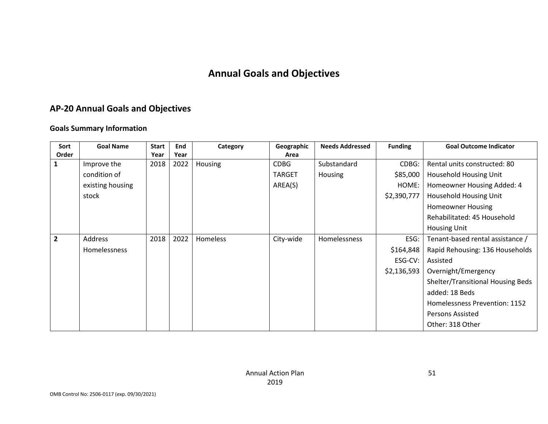# **Annual Goals and Objectives**

## **AP-20 Annual Goals and Objectives**

#### **Goals Summary Information**

| Sort           | <b>Goal Name</b> | <b>Start</b> | End  | Category        | Geographic    | <b>Needs Addressed</b> | <b>Funding</b> | <b>Goal Outcome Indicator</b>     |
|----------------|------------------|--------------|------|-----------------|---------------|------------------------|----------------|-----------------------------------|
| Order          |                  | Year         | Year |                 | Area          |                        |                |                                   |
| $\mathbf{1}$   | Improve the      | 2018         | 2022 | Housing         | <b>CDBG</b>   | Substandard            | CDBG:          | Rental units constructed: 80      |
|                | condition of     |              |      |                 | <b>TARGET</b> | Housing                | \$85,000       | Household Housing Unit            |
|                | existing housing |              |      |                 | AREA(S)       |                        | HOME:          | Homeowner Housing Added: 4        |
|                | stock            |              |      |                 |               |                        | \$2,390,777    | Household Housing Unit            |
|                |                  |              |      |                 |               |                        |                | <b>Homeowner Housing</b>          |
|                |                  |              |      |                 |               |                        |                | Rehabilitated: 45 Household       |
|                |                  |              |      |                 |               |                        |                | <b>Housing Unit</b>               |
| $\overline{2}$ | Address          | 2018         | 2022 | <b>Homeless</b> | City-wide     | <b>Homelessness</b>    | ESG:           | Tenant-based rental assistance /  |
|                | Homelessness     |              |      |                 |               |                        | \$164,848      | Rapid Rehousing: 136 Households   |
|                |                  |              |      |                 |               |                        | ESG-CV:        | Assisted                          |
|                |                  |              |      |                 |               |                        | \$2,136,593    | Overnight/Emergency               |
|                |                  |              |      |                 |               |                        |                | Shelter/Transitional Housing Beds |
|                |                  |              |      |                 |               |                        |                | added: 18 Beds                    |
|                |                  |              |      |                 |               |                        |                | Homelessness Prevention: 1152     |
|                |                  |              |      |                 |               |                        |                | Persons Assisted                  |
|                |                  |              |      |                 |               |                        |                | Other: 318 Other                  |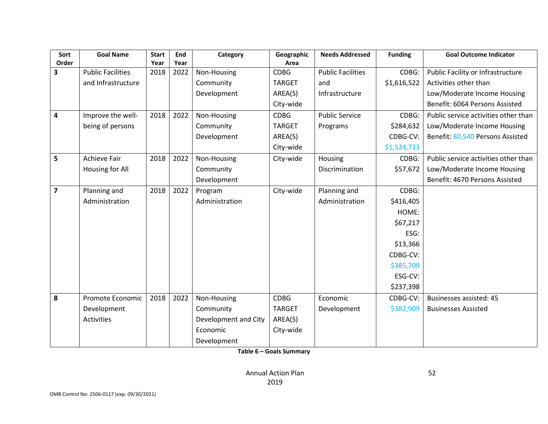| Sort                    | <b>Goal Name</b>         | <b>Start</b> | End  | Category             | Geographic    | <b>Needs Addressed</b>   | <b>Funding</b> | <b>Goal Outcome Indicator</b>        |
|-------------------------|--------------------------|--------------|------|----------------------|---------------|--------------------------|----------------|--------------------------------------|
| Order                   |                          | Year         | Year |                      | Area          |                          |                |                                      |
| $\overline{\mathbf{3}}$ | <b>Public Facilities</b> | 2018         | 2022 | Non-Housing          | <b>CDBG</b>   | <b>Public Facilities</b> | CDBG:          | Public Facility or Infrastructure    |
|                         | and Infrastructure       |              |      | Community            | <b>TARGET</b> | and                      | \$1,616,522    | Activities other than                |
|                         |                          |              |      | Development          | AREA(S)       | Infrastructure           |                | Low/Moderate Income Housing          |
|                         |                          |              |      |                      | City-wide     |                          |                | Benefit: 6064 Persons Assisted       |
| $\overline{\mathbf{4}}$ | Improve the well-        | 2018         | 2022 | Non-Housing          | <b>CDBG</b>   | <b>Public Service</b>    | CDBG:          | Public service activities other than |
|                         | being of persons         |              |      | Community            | <b>TARGET</b> | Programs                 | \$284,632      | Low/Moderate Income Housing          |
|                         |                          |              |      | Development          | AREA(S)       |                          | CDBG-CV:       | Benefit: 80,540 Persons Assisted     |
|                         |                          |              |      |                      | City-wide     |                          | \$1,524,733    |                                      |
| 5                       | <b>Achieve Fair</b>      | 2018         | 2022 | Non-Housing          | City-wide     | Housing                  | CDBG:          | Public service activities other than |
|                         | Housing for All          |              |      | Community            |               | Discrimination           | \$57,672       | Low/Moderate Income Housing          |
|                         |                          |              |      | Development          |               |                          |                | Benefit: 4670 Persons Assisted       |
| $\overline{7}$          | Planning and             | 2018         | 2022 | Program              | City-wide     | Planning and             | CDBG:          |                                      |
|                         | Administration           |              |      | Administration       |               | Administration           | \$416,405      |                                      |
|                         |                          |              |      |                      |               |                          | HOME:          |                                      |
|                         |                          |              |      |                      |               |                          | \$67,217       |                                      |
|                         |                          |              |      |                      |               |                          | ESG:           |                                      |
|                         |                          |              |      |                      |               |                          | \$13,366       |                                      |
|                         |                          |              |      |                      |               |                          | CDBG-CV:       |                                      |
|                         |                          |              |      |                      |               |                          | \$385,709      |                                      |
|                         |                          |              |      |                      |               |                          | ESG-CV:        |                                      |
|                         |                          |              |      |                      |               |                          | \$237,398      |                                      |
| 8                       | Promote Economic         | 2018         | 2022 | Non-Housing          | <b>CDBG</b>   | Economic                 | CDBG-CV:       | Businesses assisted: 45              |
|                         | Development              |              |      | Community            | <b>TARGET</b> | Development              | \$382,909      | <b>Businesses Assisted</b>           |
|                         | <b>Activities</b>        |              |      | Development and City | AREA(S)       |                          |                |                                      |
|                         |                          |              |      | Economic             | City-wide     |                          |                |                                      |
|                         |                          |              |      | Development          |               |                          |                |                                      |

**Table 6 – Goals Summary**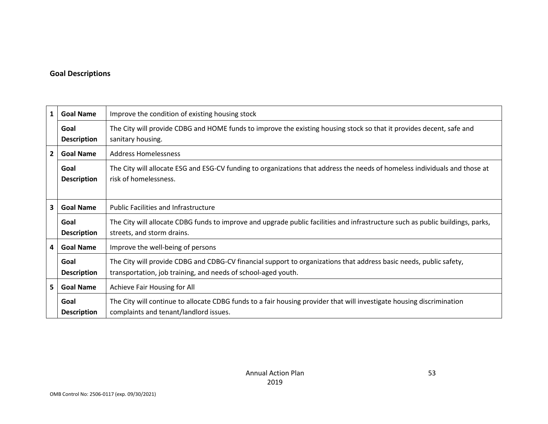### **Goal Descriptions**

| $\mathbf{1}$            | <b>Goal Name</b>           | Improve the condition of existing housing stock                                                                                                                                     |
|-------------------------|----------------------------|-------------------------------------------------------------------------------------------------------------------------------------------------------------------------------------|
|                         | Goal<br><b>Description</b> | The City will provide CDBG and HOME funds to improve the existing housing stock so that it provides decent, safe and<br>sanitary housing.                                           |
| $\overline{2}$          | <b>Goal Name</b>           | <b>Address Homelessness</b>                                                                                                                                                         |
|                         | Goal<br><b>Description</b> | The City will allocate ESG and ESG-CV funding to organizations that address the needs of homeless individuals and those at<br>risk of homelessness.                                 |
| $\overline{\mathbf{3}}$ | <b>Goal Name</b>           | <b>Public Facilities and Infrastructure</b>                                                                                                                                         |
|                         | Goal<br><b>Description</b> | The City will allocate CDBG funds to improve and upgrade public facilities and infrastructure such as public buildings, parks,<br>streets, and storm drains.                        |
| $\overline{\mathbf{4}}$ | <b>Goal Name</b>           | Improve the well-being of persons                                                                                                                                                   |
|                         | Goal<br><b>Description</b> | The City will provide CDBG and CDBG-CV financial support to organizations that address basic needs, public safety,<br>transportation, job training, and needs of school-aged youth. |
| 5 <sup>1</sup>          | <b>Goal Name</b>           | Achieve Fair Housing for All                                                                                                                                                        |
|                         | Goal<br><b>Description</b> | The City will continue to allocate CDBG funds to a fair housing provider that will investigate housing discrimination<br>complaints and tenant/landlord issues.                     |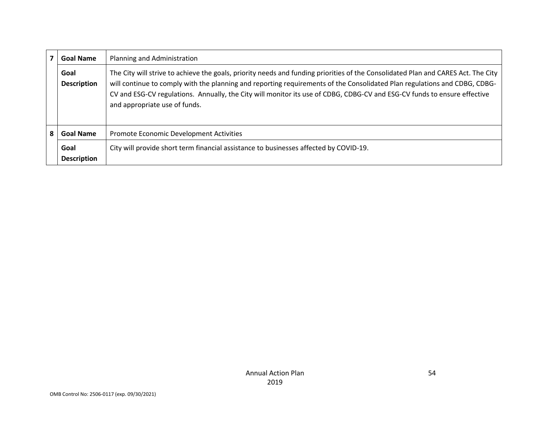|   | <b>Goal Name</b>           | Planning and Administration                                                                                                                                                                                                                                                                                                                                                                                                 |
|---|----------------------------|-----------------------------------------------------------------------------------------------------------------------------------------------------------------------------------------------------------------------------------------------------------------------------------------------------------------------------------------------------------------------------------------------------------------------------|
|   | Goal<br><b>Description</b> | The City will strive to achieve the goals, priority needs and funding priorities of the Consolidated Plan and CARES Act. The City<br>will continue to comply with the planning and reporting requirements of the Consolidated Plan regulations and CDBG, CDBG-<br>CV and ESG-CV regulations. Annually, the City will monitor its use of CDBG, CDBG-CV and ESG-CV funds to ensure effective<br>and appropriate use of funds. |
| 8 | <b>Goal Name</b>           | Promote Economic Development Activities                                                                                                                                                                                                                                                                                                                                                                                     |
|   | Goal<br><b>Description</b> | City will provide short term financial assistance to businesses affected by COVID-19.                                                                                                                                                                                                                                                                                                                                       |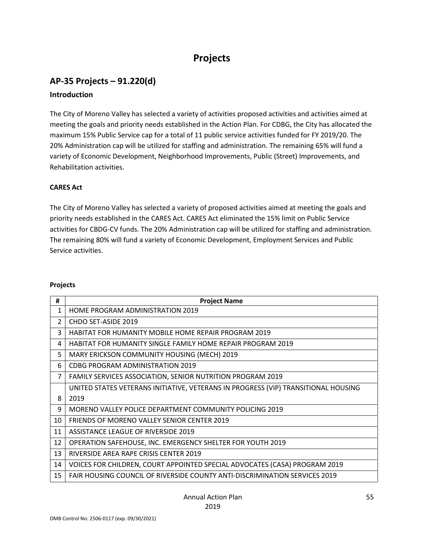# **Projects**

## **AP-35 Projects – 91.220(d)**

#### **Introduction**

The City of Moreno Valley has selected a variety of activities proposed activities and activities aimed at meeting the goals and priority needs established in the Action Plan. For CDBG, the City has allocated the maximum 15% Public Service cap for a total of 11 public service activities funded for FY 2019/20. The 20% Administration cap will be utilized for staffing and administration. The remaining 65% will fund a variety of Economic Development, Neighborhood Improvements, Public (Street) Improvements, and Rehabilitation activities.

#### **CARES Act**

The City of Moreno Valley has selected a variety of proposed activities aimed at meeting the goals and priority needs established in the CARES Act. CARES Act eliminated the 15% limit on Public Service activities for CBDG-CV funds. The 20% Administration cap will be utilized for staffing and administration. The remaining 80% will fund a variety of Economic Development, Employment Services and Public Service activities.

#### **Projects**

| #              | <b>Project Name</b>                                                                |
|----------------|------------------------------------------------------------------------------------|
| $\mathbf{1}$   | <b>HOME PROGRAM ADMINISTRATION 2019</b>                                            |
| $\overline{2}$ | CHDO SET-ASIDE 2019                                                                |
| 3              | <b>HABITAT FOR HUMANITY MOBILE HOME REPAIR PROGRAM 2019</b>                        |
| 4              | HABITAT FOR HUMANITY SINGLE FAMILY HOME REPAIR PROGRAM 2019                        |
| 5              | MARY ERICKSON COMMUNITY HOUSING (MECH) 2019                                        |
| 6              | CDBG PROGRAM ADMINISTRATION 2019                                                   |
| $\overline{7}$ | <b>FAMILY SERVICES ASSOCIATION, SENIOR NUTRITION PROGRAM 2019</b>                  |
|                | UNITED STATES VETERANS INITIATIVE, VETERANS IN PROGRESS (VIP) TRANSITIONAL HOUSING |
| 8              | 2019                                                                               |
| 9              | MORENO VALLEY POLICE DEPARTMENT COMMUNITY POLICING 2019                            |
| 10             | <b>FRIENDS OF MORENO VALLEY SENIOR CENTER 2019</b>                                 |
| 11             | ASSISTANCE LEAGUE OF RIVERSIDE 2019                                                |
| 12             | OPERATION SAFEHOUSE, INC. EMERGENCY SHELTER FOR YOUTH 2019                         |
| 13             | RIVERSIDE AREA RAPE CRISIS CENTER 2019                                             |
| 14             | VOICES FOR CHILDREN, COURT APPOINTED SPECIAL ADVOCATES (CASA) PROGRAM 2019         |
| 15             | FAIR HOUSING COUNCIL OF RIVERSIDE COUNTY ANTI-DISCRIMINATION SERVICES 2019         |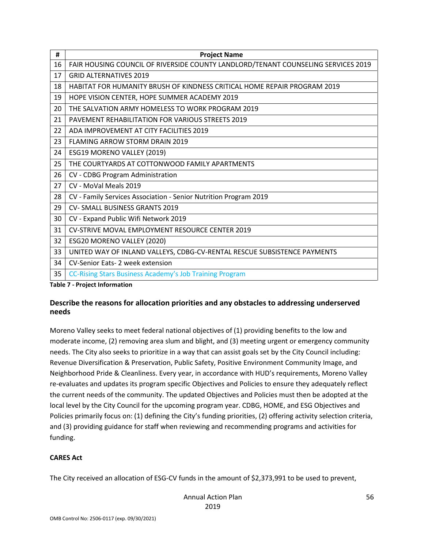| #  | <b>Project Name</b>                                                               |
|----|-----------------------------------------------------------------------------------|
| 16 | FAIR HOUSING COUNCIL OF RIVERSIDE COUNTY LANDLORD/TENANT COUNSELING SERVICES 2019 |
| 17 | <b>GRID ALTERNATIVES 2019</b>                                                     |
| 18 | HABITAT FOR HUMANITY BRUSH OF KINDNESS CRITICAL HOME REPAIR PROGRAM 2019          |
| 19 | HOPE VISION CENTER, HOPE SUMMER ACADEMY 2019                                      |
| 20 | THE SALVATION ARMY HOMELESS TO WORK PROGRAM 2019                                  |
| 21 | PAVEMENT REHABILITATION FOR VARIOUS STREETS 2019                                  |
| 22 | ADA IMPROVEMENT AT CITY FACILITIES 2019                                           |
| 23 | <b>FLAMING ARROW STORM DRAIN 2019</b>                                             |
| 24 | ESG19 MORENO VALLEY (2019)                                                        |
| 25 | THE COURTYARDS AT COTTONWOOD FAMILY APARTMENTS                                    |
| 26 | CV - CDBG Program Administration                                                  |
| 27 | CV - MoVal Meals 2019                                                             |
| 28 | CV - Family Services Association - Senior Nutrition Program 2019                  |
| 29 | <b>CV- SMALL BUSINESS GRANTS 2019</b>                                             |
| 30 | CV - Expand Public Wifi Network 2019                                              |
| 31 | CV-STRIVE MOVAL EMPLOYMENT RESOURCE CENTER 2019                                   |
| 32 | ESG20 MORENO VALLEY (2020)                                                        |
| 33 | UNITED WAY OF INLAND VALLEYS, CDBG-CV-RENTAL RESCUE SUBSISTENCE PAYMENTS          |
| 34 | CV-Senior Eats-2 week extension                                                   |
| 35 | CC-Rising Stars Business Academy's Job Training Program<br>_ _ _                  |

**Table 7 - Project Information**

### **Describe the reasons for allocation priorities and any obstacles to addressing underserved needs**

Moreno Valley seeks to meet federal national objectives of (1) providing benefits to the low and moderate income, (2) removing area slum and blight, and (3) meeting urgent or emergency community needs. The City also seeks to prioritize in a way that can assist goals set by the City Council including: Revenue Diversification & Preservation, Public Safety, Positive Environment Community Image, and Neighborhood Pride & Cleanliness. Every year, in accordance with HUD's requirements, Moreno Valley re-evaluates and updates its program specific Objectives and Policies to ensure they adequately reflect the current needs of the community. The updated Objectives and Policies must then be adopted at the local level by the City Council for the upcoming program year. CDBG, HOME, and ESG Objectives and Policies primarily focus on: (1) defining the City's funding priorities, (2) offering activity selection criteria, and (3) providing guidance for staff when reviewing and recommending programs and activities for funding.

### **CARES Act**

The City received an allocation of ESG-CV funds in the amount of \$2,373,991 to be used to prevent,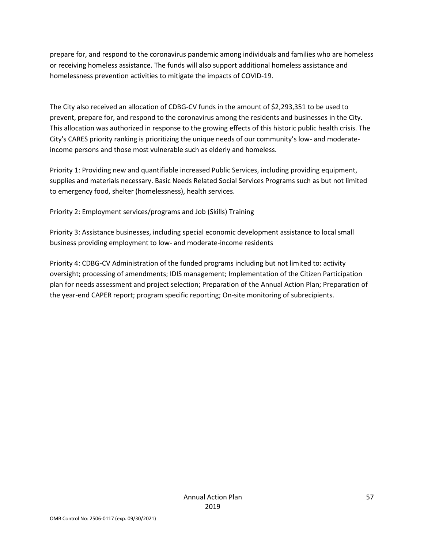prepare for, and respond to the coronavirus pandemic among individuals and families who are homeless or receiving homeless assistance. The funds will also support additional homeless assistance and homelessness prevention activities to mitigate the impacts of COVID-19.

The City also received an allocation of CDBG-CV funds in the amount of \$2,293,351 to be used to prevent, prepare for, and respond to the coronavirus among the residents and businesses in the City. This allocation was authorized in response to the growing effects of this historic public health crisis. The City's CARES priority ranking is prioritizing the unique needs of our community's low- and moderateincome persons and those most vulnerable such as elderly and homeless.

Priority 1: Providing new and quantifiable increased Public Services, including providing equipment, supplies and materials necessary. Basic Needs Related Social Services Programs such as but not limited to emergency food, shelter (homelessness), health services.

Priority 2: Employment services/programs and Job (Skills) Training

Priority 3: Assistance businesses, including special economic development assistance to local small business providing employment to low- and moderate-income residents

Priority 4: CDBG-CV Administration of the funded programs including but not limited to: activity oversight; processing of amendments; IDIS management; Implementation of the Citizen Participation plan for needs assessment and project selection; Preparation of the Annual Action Plan; Preparation of the year-end CAPER report; program specific reporting; On-site monitoring of subrecipients.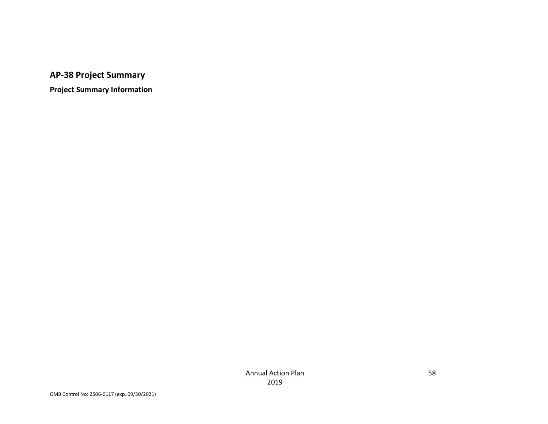**AP-38 Project Summary**

**Project Summary Information**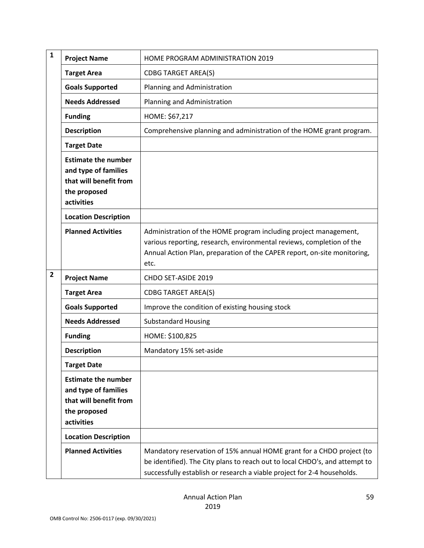| 1 | <b>Project Name</b>                                                                                        | <b>HOME PROGRAM ADMINISTRATION 2019</b>                                                                                                                                                                                         |
|---|------------------------------------------------------------------------------------------------------------|---------------------------------------------------------------------------------------------------------------------------------------------------------------------------------------------------------------------------------|
|   | <b>Target Area</b>                                                                                         | <b>CDBG TARGET AREA(S)</b>                                                                                                                                                                                                      |
|   | <b>Goals Supported</b>                                                                                     | Planning and Administration                                                                                                                                                                                                     |
|   | <b>Needs Addressed</b>                                                                                     | Planning and Administration                                                                                                                                                                                                     |
|   | <b>Funding</b>                                                                                             | HOME: \$67,217                                                                                                                                                                                                                  |
|   | <b>Description</b>                                                                                         | Comprehensive planning and administration of the HOME grant program.                                                                                                                                                            |
|   | <b>Target Date</b>                                                                                         |                                                                                                                                                                                                                                 |
|   | <b>Estimate the number</b><br>and type of families<br>that will benefit from<br>the proposed<br>activities |                                                                                                                                                                                                                                 |
|   | <b>Location Description</b>                                                                                |                                                                                                                                                                                                                                 |
|   | <b>Planned Activities</b>                                                                                  | Administration of the HOME program including project management,<br>various reporting, research, environmental reviews, completion of the<br>Annual Action Plan, preparation of the CAPER report, on-site monitoring,<br>etc.   |
| 2 | <b>Project Name</b>                                                                                        | CHDO SET-ASIDE 2019                                                                                                                                                                                                             |
|   | <b>Target Area</b>                                                                                         | <b>CDBG TARGET AREA(S)</b>                                                                                                                                                                                                      |
|   | <b>Goals Supported</b>                                                                                     | Improve the condition of existing housing stock                                                                                                                                                                                 |
|   | <b>Needs Addressed</b>                                                                                     | <b>Substandard Housing</b>                                                                                                                                                                                                      |
|   | <b>Funding</b>                                                                                             | HOME: \$100,825                                                                                                                                                                                                                 |
|   | <b>Description</b>                                                                                         | Mandatory 15% set-aside                                                                                                                                                                                                         |
|   | <b>Target Date</b>                                                                                         |                                                                                                                                                                                                                                 |
|   | <b>Estimate the number</b><br>and type of families<br>that will benefit from<br>the proposed<br>activities |                                                                                                                                                                                                                                 |
|   | <b>Location Description</b>                                                                                |                                                                                                                                                                                                                                 |
|   | <b>Planned Activities</b>                                                                                  | Mandatory reservation of 15% annual HOME grant for a CHDO project (to<br>be identified). The City plans to reach out to local CHDO's, and attempt to<br>successfully establish or research a viable project for 2-4 households. |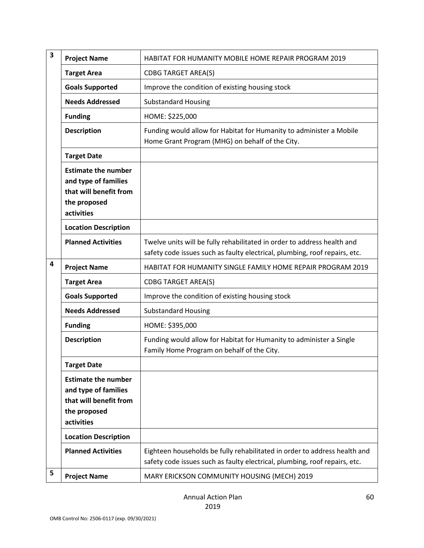| 3 | <b>Project Name</b>                                                                                        | HABITAT FOR HUMANITY MOBILE HOME REPAIR PROGRAM 2019                                                                                                    |
|---|------------------------------------------------------------------------------------------------------------|---------------------------------------------------------------------------------------------------------------------------------------------------------|
|   | <b>Target Area</b>                                                                                         | <b>CDBG TARGET AREA(S)</b>                                                                                                                              |
|   | <b>Goals Supported</b>                                                                                     | Improve the condition of existing housing stock                                                                                                         |
|   | <b>Needs Addressed</b>                                                                                     | <b>Substandard Housing</b>                                                                                                                              |
|   | <b>Funding</b>                                                                                             | HOME: \$225,000                                                                                                                                         |
|   | <b>Description</b>                                                                                         | Funding would allow for Habitat for Humanity to administer a Mobile<br>Home Grant Program (MHG) on behalf of the City.                                  |
|   | <b>Target Date</b>                                                                                         |                                                                                                                                                         |
|   | <b>Estimate the number</b><br>and type of families<br>that will benefit from<br>the proposed<br>activities |                                                                                                                                                         |
|   | <b>Location Description</b>                                                                                |                                                                                                                                                         |
|   | <b>Planned Activities</b>                                                                                  | Twelve units will be fully rehabilitated in order to address health and<br>safety code issues such as faulty electrical, plumbing, roof repairs, etc.   |
| 4 | <b>Project Name</b>                                                                                        | HABITAT FOR HUMANITY SINGLE FAMILY HOME REPAIR PROGRAM 2019                                                                                             |
|   | <b>Target Area</b>                                                                                         | <b>CDBG TARGET AREA(S)</b>                                                                                                                              |
|   | <b>Goals Supported</b>                                                                                     | Improve the condition of existing housing stock                                                                                                         |
|   | <b>Needs Addressed</b>                                                                                     | <b>Substandard Housing</b>                                                                                                                              |
|   | <b>Funding</b>                                                                                             | HOME: \$395,000                                                                                                                                         |
|   | <b>Description</b>                                                                                         | Funding would allow for Habitat for Humanity to administer a Single<br>Family Home Program on behalf of the City.                                       |
|   | <b>Target Date</b>                                                                                         |                                                                                                                                                         |
|   | <b>Estimate the number</b><br>and type of families<br>that will benefit from<br>the proposed<br>activities |                                                                                                                                                         |
|   | <b>Location Description</b>                                                                                |                                                                                                                                                         |
|   | <b>Planned Activities</b>                                                                                  | Eighteen households be fully rehabilitated in order to address health and<br>safety code issues such as faulty electrical, plumbing, roof repairs, etc. |
| 5 | <b>Project Name</b>                                                                                        | MARY ERICKSON COMMUNITY HOUSING (MECH) 2019                                                                                                             |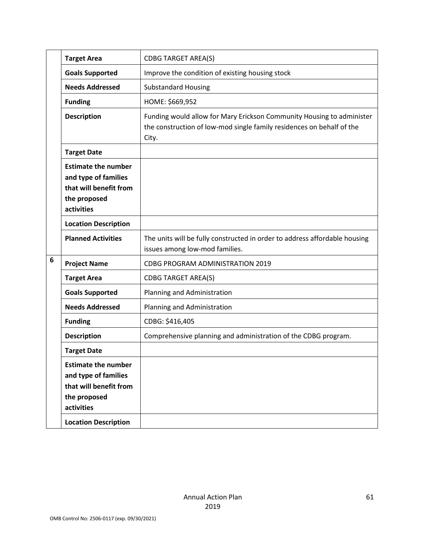|   | <b>Target Area</b>                                                                                         | <b>CDBG TARGET AREA(S)</b>                                                                                                                              |
|---|------------------------------------------------------------------------------------------------------------|---------------------------------------------------------------------------------------------------------------------------------------------------------|
|   | <b>Goals Supported</b>                                                                                     | Improve the condition of existing housing stock                                                                                                         |
|   | <b>Needs Addressed</b>                                                                                     | <b>Substandard Housing</b>                                                                                                                              |
|   | <b>Funding</b>                                                                                             | HOME: \$669,952                                                                                                                                         |
|   | <b>Description</b>                                                                                         | Funding would allow for Mary Erickson Community Housing to administer<br>the construction of low-mod single family residences on behalf of the<br>City. |
|   | <b>Target Date</b>                                                                                         |                                                                                                                                                         |
|   | <b>Estimate the number</b><br>and type of families<br>that will benefit from<br>the proposed<br>activities |                                                                                                                                                         |
|   | <b>Location Description</b>                                                                                |                                                                                                                                                         |
|   | <b>Planned Activities</b>                                                                                  | The units will be fully constructed in order to address affordable housing<br>issues among low-mod families.                                            |
| 6 | <b>Project Name</b>                                                                                        | <b>CDBG PROGRAM ADMINISTRATION 2019</b>                                                                                                                 |
|   | <b>Target Area</b>                                                                                         | <b>CDBG TARGET AREA(S)</b>                                                                                                                              |
|   | <b>Goals Supported</b>                                                                                     | Planning and Administration                                                                                                                             |
|   | <b>Needs Addressed</b>                                                                                     | Planning and Administration                                                                                                                             |
|   | <b>Funding</b>                                                                                             | CDBG: \$416,405                                                                                                                                         |
|   | <b>Description</b>                                                                                         | Comprehensive planning and administration of the CDBG program.                                                                                          |
|   | <b>Target Date</b>                                                                                         |                                                                                                                                                         |
|   | <b>Estimate the number</b><br>and type of families<br>that will benefit from<br>the proposed<br>activities |                                                                                                                                                         |
|   | <b>Location Description</b>                                                                                |                                                                                                                                                         |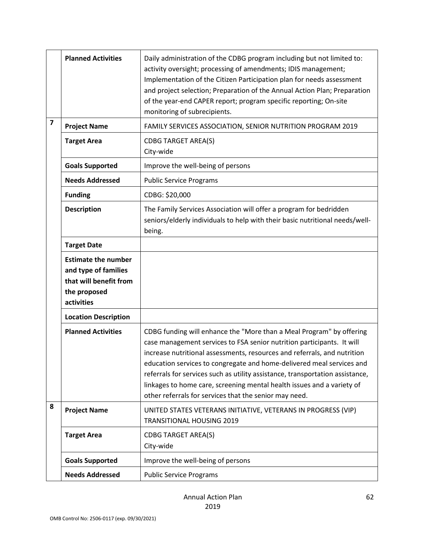|                         | <b>Planned Activities</b>                                                                                  | Daily administration of the CDBG program including but not limited to:<br>activity oversight; processing of amendments; IDIS management;<br>Implementation of the Citizen Participation plan for needs assessment<br>and project selection; Preparation of the Annual Action Plan; Preparation<br>of the year-end CAPER report; program specific reporting; On-site<br>monitoring of subrecipients.                                                                                                                      |
|-------------------------|------------------------------------------------------------------------------------------------------------|--------------------------------------------------------------------------------------------------------------------------------------------------------------------------------------------------------------------------------------------------------------------------------------------------------------------------------------------------------------------------------------------------------------------------------------------------------------------------------------------------------------------------|
| $\overline{\mathbf{z}}$ | <b>Project Name</b>                                                                                        | FAMILY SERVICES ASSOCIATION, SENIOR NUTRITION PROGRAM 2019                                                                                                                                                                                                                                                                                                                                                                                                                                                               |
|                         | <b>Target Area</b>                                                                                         | <b>CDBG TARGET AREA(S)</b><br>City-wide                                                                                                                                                                                                                                                                                                                                                                                                                                                                                  |
|                         | <b>Goals Supported</b>                                                                                     | Improve the well-being of persons                                                                                                                                                                                                                                                                                                                                                                                                                                                                                        |
|                         | <b>Needs Addressed</b>                                                                                     | <b>Public Service Programs</b>                                                                                                                                                                                                                                                                                                                                                                                                                                                                                           |
|                         | <b>Funding</b>                                                                                             | CDBG: \$20,000                                                                                                                                                                                                                                                                                                                                                                                                                                                                                                           |
|                         | <b>Description</b>                                                                                         | The Family Services Association will offer a program for bedridden<br>seniors/elderly individuals to help with their basic nutritional needs/well-<br>being.                                                                                                                                                                                                                                                                                                                                                             |
|                         | <b>Target Date</b>                                                                                         |                                                                                                                                                                                                                                                                                                                                                                                                                                                                                                                          |
|                         | <b>Estimate the number</b><br>and type of families<br>that will benefit from<br>the proposed<br>activities |                                                                                                                                                                                                                                                                                                                                                                                                                                                                                                                          |
|                         | <b>Location Description</b>                                                                                |                                                                                                                                                                                                                                                                                                                                                                                                                                                                                                                          |
|                         | <b>Planned Activities</b>                                                                                  | CDBG funding will enhance the "More than a Meal Program" by offering<br>case management services to FSA senior nutrition participants. It will<br>increase nutritional assessments, resources and referrals, and nutrition<br>education services to congregate and home-delivered meal services and<br>referrals for services such as utility assistance, transportation assistance,<br>linkages to home care, screening mental health issues and a variety of<br>other referrals for services that the senior may need. |
| 8                       | <b>Project Name</b>                                                                                        | UNITED STATES VETERANS INITIATIVE, VETERANS IN PROGRESS (VIP)<br><b>TRANSITIONAL HOUSING 2019</b>                                                                                                                                                                                                                                                                                                                                                                                                                        |
|                         | <b>Target Area</b>                                                                                         | <b>CDBG TARGET AREA(S)</b><br>City-wide                                                                                                                                                                                                                                                                                                                                                                                                                                                                                  |
|                         | <b>Goals Supported</b>                                                                                     | Improve the well-being of persons                                                                                                                                                                                                                                                                                                                                                                                                                                                                                        |
|                         | <b>Needs Addressed</b>                                                                                     | <b>Public Service Programs</b>                                                                                                                                                                                                                                                                                                                                                                                                                                                                                           |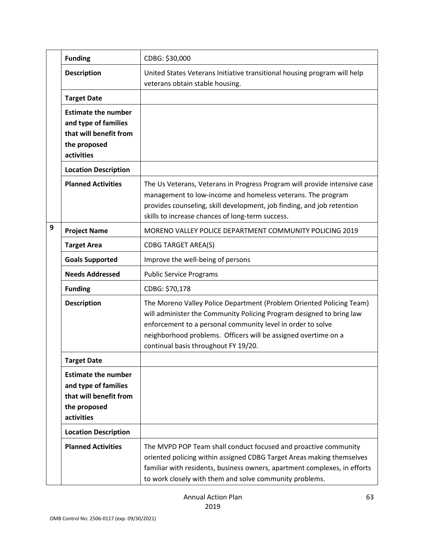|   | <b>Funding</b>                                                                                             | CDBG: \$30,000                                                                                                                                                                                                                                                                                                        |
|---|------------------------------------------------------------------------------------------------------------|-----------------------------------------------------------------------------------------------------------------------------------------------------------------------------------------------------------------------------------------------------------------------------------------------------------------------|
|   | <b>Description</b>                                                                                         | United States Veterans Initiative transitional housing program will help<br>veterans obtain stable housing.                                                                                                                                                                                                           |
|   | <b>Target Date</b>                                                                                         |                                                                                                                                                                                                                                                                                                                       |
|   | <b>Estimate the number</b><br>and type of families<br>that will benefit from<br>the proposed<br>activities |                                                                                                                                                                                                                                                                                                                       |
|   | <b>Location Description</b>                                                                                |                                                                                                                                                                                                                                                                                                                       |
|   | <b>Planned Activities</b>                                                                                  | The Us Veterans, Veterans in Progress Program will provide intensive case<br>management to low-income and homeless veterans. The program<br>provides counseling, skill development, job finding, and job retention<br>skills to increase chances of long-term success.                                                |
| 9 | <b>Project Name</b>                                                                                        | MORENO VALLEY POLICE DEPARTMENT COMMUNITY POLICING 2019                                                                                                                                                                                                                                                               |
|   | <b>Target Area</b>                                                                                         | <b>CDBG TARGET AREA(S)</b>                                                                                                                                                                                                                                                                                            |
|   | <b>Goals Supported</b>                                                                                     | Improve the well-being of persons                                                                                                                                                                                                                                                                                     |
|   | <b>Needs Addressed</b>                                                                                     | <b>Public Service Programs</b>                                                                                                                                                                                                                                                                                        |
|   | <b>Funding</b>                                                                                             | CDBG: \$70,178                                                                                                                                                                                                                                                                                                        |
|   | <b>Description</b>                                                                                         | The Moreno Valley Police Department (Problem Oriented Policing Team)<br>will administer the Community Policing Program designed to bring law<br>enforcement to a personal community level in order to solve<br>neighborhood problems. Officers will be assigned overtime on a<br>continual basis throughout FY 19/20. |
|   | <b>Target Date</b>                                                                                         |                                                                                                                                                                                                                                                                                                                       |
|   | <b>Estimate the number</b><br>and type of families<br>that will benefit from<br>the proposed<br>activities |                                                                                                                                                                                                                                                                                                                       |
|   |                                                                                                            |                                                                                                                                                                                                                                                                                                                       |
|   | <b>Location Description</b>                                                                                |                                                                                                                                                                                                                                                                                                                       |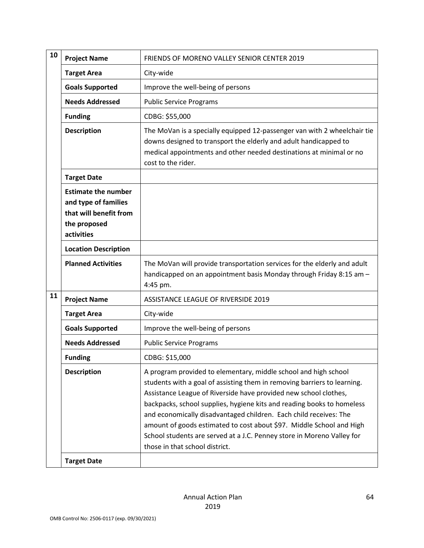| 10 | <b>Project Name</b>                                                                                        | FRIENDS OF MORENO VALLEY SENIOR CENTER 2019                                                                                                                                                                                                                                                                                                                                                                                                                                                                                                        |
|----|------------------------------------------------------------------------------------------------------------|----------------------------------------------------------------------------------------------------------------------------------------------------------------------------------------------------------------------------------------------------------------------------------------------------------------------------------------------------------------------------------------------------------------------------------------------------------------------------------------------------------------------------------------------------|
|    | <b>Target Area</b>                                                                                         | City-wide                                                                                                                                                                                                                                                                                                                                                                                                                                                                                                                                          |
|    | <b>Goals Supported</b>                                                                                     | Improve the well-being of persons                                                                                                                                                                                                                                                                                                                                                                                                                                                                                                                  |
|    | <b>Needs Addressed</b>                                                                                     | <b>Public Service Programs</b>                                                                                                                                                                                                                                                                                                                                                                                                                                                                                                                     |
|    | <b>Funding</b>                                                                                             | CDBG: \$55,000                                                                                                                                                                                                                                                                                                                                                                                                                                                                                                                                     |
|    | <b>Description</b>                                                                                         | The MoVan is a specially equipped 12-passenger van with 2 wheelchair tie<br>downs designed to transport the elderly and adult handicapped to<br>medical appointments and other needed destinations at minimal or no<br>cost to the rider.                                                                                                                                                                                                                                                                                                          |
|    | <b>Target Date</b>                                                                                         |                                                                                                                                                                                                                                                                                                                                                                                                                                                                                                                                                    |
|    | <b>Estimate the number</b><br>and type of families<br>that will benefit from<br>the proposed<br>activities |                                                                                                                                                                                                                                                                                                                                                                                                                                                                                                                                                    |
|    | <b>Location Description</b>                                                                                |                                                                                                                                                                                                                                                                                                                                                                                                                                                                                                                                                    |
|    | <b>Planned Activities</b>                                                                                  | The MoVan will provide transportation services for the elderly and adult<br>handicapped on an appointment basis Monday through Friday 8:15 am -<br>4:45 pm.                                                                                                                                                                                                                                                                                                                                                                                        |
| 11 | <b>Project Name</b>                                                                                        | ASSISTANCE LEAGUE OF RIVERSIDE 2019                                                                                                                                                                                                                                                                                                                                                                                                                                                                                                                |
|    | <b>Target Area</b>                                                                                         | City-wide                                                                                                                                                                                                                                                                                                                                                                                                                                                                                                                                          |
|    | <b>Goals Supported</b>                                                                                     | Improve the well-being of persons                                                                                                                                                                                                                                                                                                                                                                                                                                                                                                                  |
|    | <b>Needs Addressed</b>                                                                                     | <b>Public Service Programs</b>                                                                                                                                                                                                                                                                                                                                                                                                                                                                                                                     |
|    | <b>Funding</b>                                                                                             | CDBG: \$15,000                                                                                                                                                                                                                                                                                                                                                                                                                                                                                                                                     |
|    | <b>Description</b>                                                                                         | A program provided to elementary, middle school and high school<br>students with a goal of assisting them in removing barriers to learning.<br>Assistance League of Riverside have provided new school clothes,<br>backpacks, school supplies, hygiene kits and reading books to homeless<br>and economically disadvantaged children. Each child receives: The<br>amount of goods estimated to cost about \$97. Middle School and High<br>School students are served at a J.C. Penney store in Moreno Valley for<br>those in that school district. |
|    | <b>Target Date</b>                                                                                         |                                                                                                                                                                                                                                                                                                                                                                                                                                                                                                                                                    |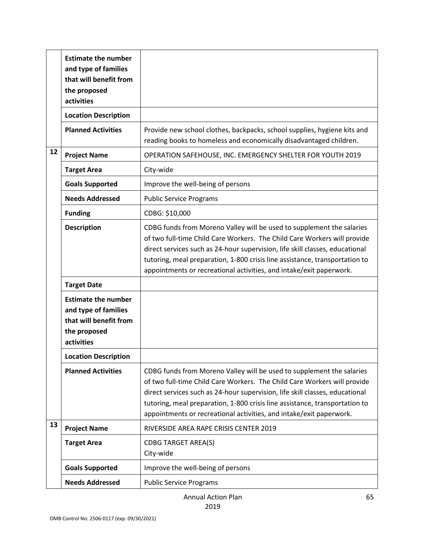|    | <b>Estimate the number</b><br>and type of families<br>that will benefit from<br>the proposed<br>activities |                                                                                                                                                                                                                                                                                                                                                                                         |
|----|------------------------------------------------------------------------------------------------------------|-----------------------------------------------------------------------------------------------------------------------------------------------------------------------------------------------------------------------------------------------------------------------------------------------------------------------------------------------------------------------------------------|
|    | <b>Location Description</b>                                                                                |                                                                                                                                                                                                                                                                                                                                                                                         |
|    | <b>Planned Activities</b>                                                                                  | Provide new school clothes, backpacks, school supplies, hygiene kits and<br>reading books to homeless and economically disadvantaged children.                                                                                                                                                                                                                                          |
| 12 | <b>Project Name</b>                                                                                        | OPERATION SAFEHOUSE, INC. EMERGENCY SHELTER FOR YOUTH 2019                                                                                                                                                                                                                                                                                                                              |
|    | <b>Target Area</b>                                                                                         | City-wide                                                                                                                                                                                                                                                                                                                                                                               |
|    | <b>Goals Supported</b>                                                                                     | Improve the well-being of persons                                                                                                                                                                                                                                                                                                                                                       |
|    | <b>Needs Addressed</b>                                                                                     | <b>Public Service Programs</b>                                                                                                                                                                                                                                                                                                                                                          |
|    | <b>Funding</b>                                                                                             | CDBG: \$10,000                                                                                                                                                                                                                                                                                                                                                                          |
|    | <b>Description</b>                                                                                         | CDBG funds from Moreno Valley will be used to supplement the salaries<br>of two full-time Child Care Workers. The Child Care Workers will provide<br>direct services such as 24-hour supervision, life skill classes, educational<br>tutoring, meal preparation, 1-800 crisis line assistance, transportation to<br>appointments or recreational activities, and intake/exit paperwork. |
|    | <b>Target Date</b>                                                                                         |                                                                                                                                                                                                                                                                                                                                                                                         |
|    | <b>Estimate the number</b><br>and type of families<br>that will benefit from<br>the proposed<br>activities |                                                                                                                                                                                                                                                                                                                                                                                         |
|    | <b>Location Description</b>                                                                                |                                                                                                                                                                                                                                                                                                                                                                                         |
|    | <b>Planned Activities</b>                                                                                  | CDBG funds from Moreno Valley will be used to supplement the salaries<br>of two full-time Child Care Workers. The Child Care Workers will provide<br>direct services such as 24-hour supervision, life skill classes, educational<br>tutoring, meal preparation, 1-800 crisis line assistance, transportation to<br>appointments or recreational activities, and intake/exit paperwork. |
| 13 | <b>Project Name</b>                                                                                        | RIVERSIDE AREA RAPE CRISIS CENTER 2019                                                                                                                                                                                                                                                                                                                                                  |
|    | <b>Target Area</b>                                                                                         | <b>CDBG TARGET AREA(S)</b><br>City-wide                                                                                                                                                                                                                                                                                                                                                 |
|    | <b>Goals Supported</b>                                                                                     | Improve the well-being of persons                                                                                                                                                                                                                                                                                                                                                       |
|    | <b>Needs Addressed</b>                                                                                     | <b>Public Service Programs</b>                                                                                                                                                                                                                                                                                                                                                          |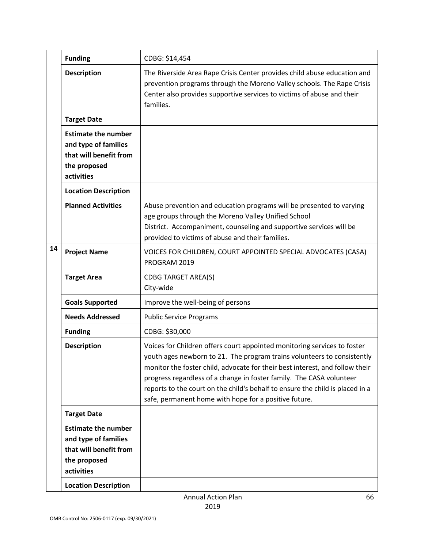|    | <b>Funding</b>                                                                                                                            | CDBG: \$14,454                                                                                                                                                                                                                                                                                                                                                                                                                                        |
|----|-------------------------------------------------------------------------------------------------------------------------------------------|-------------------------------------------------------------------------------------------------------------------------------------------------------------------------------------------------------------------------------------------------------------------------------------------------------------------------------------------------------------------------------------------------------------------------------------------------------|
|    | <b>Description</b>                                                                                                                        | The Riverside Area Rape Crisis Center provides child abuse education and<br>prevention programs through the Moreno Valley schools. The Rape Crisis<br>Center also provides supportive services to victims of abuse and their<br>families.                                                                                                                                                                                                             |
|    | <b>Target Date</b>                                                                                                                        |                                                                                                                                                                                                                                                                                                                                                                                                                                                       |
|    | <b>Estimate the number</b><br>and type of families<br>that will benefit from<br>the proposed<br>activities                                |                                                                                                                                                                                                                                                                                                                                                                                                                                                       |
|    | <b>Location Description</b>                                                                                                               |                                                                                                                                                                                                                                                                                                                                                                                                                                                       |
|    | <b>Planned Activities</b>                                                                                                                 | Abuse prevention and education programs will be presented to varying<br>age groups through the Moreno Valley Unified School<br>District. Accompaniment, counseling and supportive services will be<br>provided to victims of abuse and their families.                                                                                                                                                                                                |
| 14 | <b>Project Name</b>                                                                                                                       | VOICES FOR CHILDREN, COURT APPOINTED SPECIAL ADVOCATES (CASA)<br>PROGRAM 2019                                                                                                                                                                                                                                                                                                                                                                         |
|    | <b>Target Area</b>                                                                                                                        | <b>CDBG TARGET AREA(S)</b><br>City-wide                                                                                                                                                                                                                                                                                                                                                                                                               |
|    | <b>Goals Supported</b>                                                                                                                    | Improve the well-being of persons                                                                                                                                                                                                                                                                                                                                                                                                                     |
|    | <b>Needs Addressed</b>                                                                                                                    | <b>Public Service Programs</b>                                                                                                                                                                                                                                                                                                                                                                                                                        |
|    | <b>Funding</b>                                                                                                                            | CDBG: \$30,000                                                                                                                                                                                                                                                                                                                                                                                                                                        |
|    | <b>Description</b>                                                                                                                        | Voices for Children offers court appointed monitoring services to foster<br>youth ages newborn to 21. The program trains volunteers to consistently<br>monitor the foster child, advocate for their best interest, and follow their<br>progress regardless of a change in foster family. The CASA volunteer<br>reports to the court on the child's behalf to ensure the child is placed in a<br>safe, permanent home with hope for a positive future. |
|    | <b>Target Date</b>                                                                                                                        |                                                                                                                                                                                                                                                                                                                                                                                                                                                       |
|    | <b>Estimate the number</b><br>and type of families<br>that will benefit from<br>the proposed<br>activities<br><b>Location Description</b> |                                                                                                                                                                                                                                                                                                                                                                                                                                                       |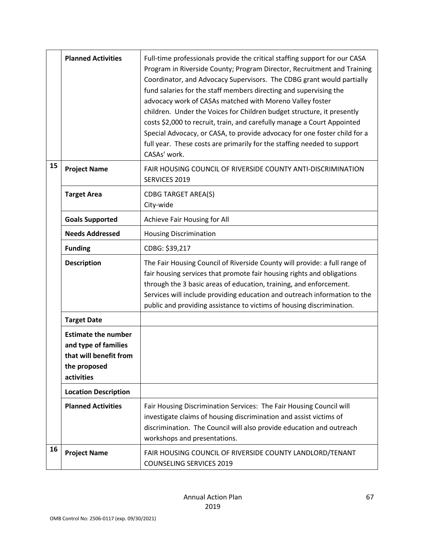|    | <b>Planned Activities</b>                                                                                  | Full-time professionals provide the critical staffing support for our CASA<br>Program in Riverside County; Program Director, Recruitment and Training<br>Coordinator, and Advocacy Supervisors. The CDBG grant would partially<br>fund salaries for the staff members directing and supervising the<br>advocacy work of CASAs matched with Moreno Valley foster<br>children. Under the Voices for Children budget structure, it presently<br>costs \$2,000 to recruit, train, and carefully manage a Court Appointed<br>Special Advocacy, or CASA, to provide advocacy for one foster child for a<br>full year. These costs are primarily for the staffing needed to support<br>CASAs' work. |
|----|------------------------------------------------------------------------------------------------------------|----------------------------------------------------------------------------------------------------------------------------------------------------------------------------------------------------------------------------------------------------------------------------------------------------------------------------------------------------------------------------------------------------------------------------------------------------------------------------------------------------------------------------------------------------------------------------------------------------------------------------------------------------------------------------------------------|
| 15 | <b>Project Name</b>                                                                                        | FAIR HOUSING COUNCIL OF RIVERSIDE COUNTY ANTI-DISCRIMINATION<br>SERVICES 2019                                                                                                                                                                                                                                                                                                                                                                                                                                                                                                                                                                                                                |
|    | <b>Target Area</b>                                                                                         | <b>CDBG TARGET AREA(S)</b><br>City-wide                                                                                                                                                                                                                                                                                                                                                                                                                                                                                                                                                                                                                                                      |
|    | <b>Goals Supported</b>                                                                                     | Achieve Fair Housing for All                                                                                                                                                                                                                                                                                                                                                                                                                                                                                                                                                                                                                                                                 |
|    | <b>Needs Addressed</b>                                                                                     | <b>Housing Discrimination</b>                                                                                                                                                                                                                                                                                                                                                                                                                                                                                                                                                                                                                                                                |
|    | <b>Funding</b>                                                                                             | CDBG: \$39,217                                                                                                                                                                                                                                                                                                                                                                                                                                                                                                                                                                                                                                                                               |
|    | <b>Description</b>                                                                                         | The Fair Housing Council of Riverside County will provide: a full range of<br>fair housing services that promote fair housing rights and obligations<br>through the 3 basic areas of education, training, and enforcement.<br>Services will include providing education and outreach information to the<br>public and providing assistance to victims of housing discrimination.                                                                                                                                                                                                                                                                                                             |
|    | <b>Target Date</b>                                                                                         |                                                                                                                                                                                                                                                                                                                                                                                                                                                                                                                                                                                                                                                                                              |
|    | <b>Estimate the number</b><br>and type of families<br>that will benefit from<br>the proposed<br>activities |                                                                                                                                                                                                                                                                                                                                                                                                                                                                                                                                                                                                                                                                                              |
|    | <b>Location Description</b>                                                                                |                                                                                                                                                                                                                                                                                                                                                                                                                                                                                                                                                                                                                                                                                              |
|    | <b>Planned Activities</b>                                                                                  | Fair Housing Discrimination Services: The Fair Housing Council will<br>investigate claims of housing discrimination and assist victims of<br>discrimination. The Council will also provide education and outreach<br>workshops and presentations.                                                                                                                                                                                                                                                                                                                                                                                                                                            |
| 16 | <b>Project Name</b>                                                                                        | FAIR HOUSING COUNCIL OF RIVERSIDE COUNTY LANDLORD/TENANT<br><b>COUNSELING SERVICES 2019</b>                                                                                                                                                                                                                                                                                                                                                                                                                                                                                                                                                                                                  |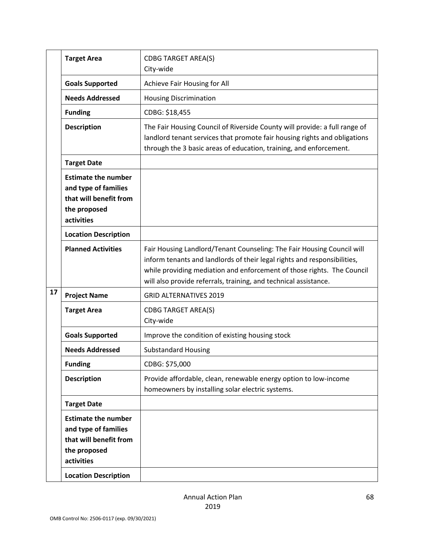|    | <b>Target Area</b>                                                                                                                        | <b>CDBG TARGET AREA(S)</b><br>City-wide                                                                                                                                                                                                                                                          |
|----|-------------------------------------------------------------------------------------------------------------------------------------------|--------------------------------------------------------------------------------------------------------------------------------------------------------------------------------------------------------------------------------------------------------------------------------------------------|
|    | <b>Goals Supported</b>                                                                                                                    | Achieve Fair Housing for All                                                                                                                                                                                                                                                                     |
|    | <b>Needs Addressed</b>                                                                                                                    | <b>Housing Discrimination</b>                                                                                                                                                                                                                                                                    |
|    | <b>Funding</b>                                                                                                                            | CDBG: \$18,455                                                                                                                                                                                                                                                                                   |
|    | <b>Description</b>                                                                                                                        | The Fair Housing Council of Riverside County will provide: a full range of<br>landlord tenant services that promote fair housing rights and obligations<br>through the 3 basic areas of education, training, and enforcement.                                                                    |
|    | <b>Target Date</b>                                                                                                                        |                                                                                                                                                                                                                                                                                                  |
|    | <b>Estimate the number</b><br>and type of families<br>that will benefit from<br>the proposed<br>activities                                |                                                                                                                                                                                                                                                                                                  |
|    | <b>Location Description</b>                                                                                                               |                                                                                                                                                                                                                                                                                                  |
|    | <b>Planned Activities</b>                                                                                                                 | Fair Housing Landlord/Tenant Counseling: The Fair Housing Council will<br>inform tenants and landlords of their legal rights and responsibilities,<br>while providing mediation and enforcement of those rights. The Council<br>will also provide referrals, training, and technical assistance. |
| 17 | <b>Project Name</b>                                                                                                                       | <b>GRID ALTERNATIVES 2019</b>                                                                                                                                                                                                                                                                    |
|    | <b>Target Area</b>                                                                                                                        | <b>CDBG TARGET AREA(S)</b><br>City-wide                                                                                                                                                                                                                                                          |
|    | <b>Goals Supported</b>                                                                                                                    | Improve the condition of existing housing stock                                                                                                                                                                                                                                                  |
|    | <b>Needs Addressed</b>                                                                                                                    | <b>Substandard Housing</b>                                                                                                                                                                                                                                                                       |
|    | <b>Funding</b>                                                                                                                            | CDBG: \$75,000                                                                                                                                                                                                                                                                                   |
|    | <b>Description</b>                                                                                                                        | Provide affordable, clean, renewable energy option to low-income<br>homeowners by installing solar electric systems.                                                                                                                                                                             |
|    | <b>Target Date</b>                                                                                                                        |                                                                                                                                                                                                                                                                                                  |
|    | <b>Estimate the number</b><br>and type of families<br>that will benefit from<br>the proposed<br>activities<br><b>Location Description</b> |                                                                                                                                                                                                                                                                                                  |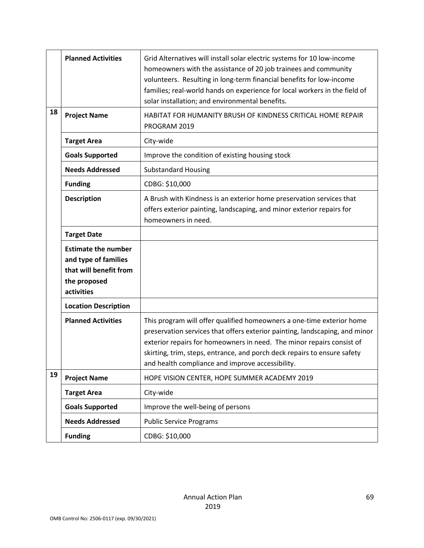|    | <b>Planned Activities</b>                                                                                  | Grid Alternatives will install solar electric systems for 10 low-income<br>homeowners with the assistance of 20 job trainees and community<br>volunteers. Resulting in long-term financial benefits for low-income<br>families; real-world hands on experience for local workers in the field of<br>solar installation; and environmental benefits.           |
|----|------------------------------------------------------------------------------------------------------------|---------------------------------------------------------------------------------------------------------------------------------------------------------------------------------------------------------------------------------------------------------------------------------------------------------------------------------------------------------------|
| 18 | <b>Project Name</b>                                                                                        | HABITAT FOR HUMANITY BRUSH OF KINDNESS CRITICAL HOME REPAIR<br>PROGRAM 2019                                                                                                                                                                                                                                                                                   |
|    | <b>Target Area</b>                                                                                         | City-wide                                                                                                                                                                                                                                                                                                                                                     |
|    | <b>Goals Supported</b>                                                                                     | Improve the condition of existing housing stock                                                                                                                                                                                                                                                                                                               |
|    | <b>Needs Addressed</b>                                                                                     | <b>Substandard Housing</b>                                                                                                                                                                                                                                                                                                                                    |
|    | <b>Funding</b>                                                                                             | CDBG: \$10,000                                                                                                                                                                                                                                                                                                                                                |
|    | <b>Description</b>                                                                                         | A Brush with Kindness is an exterior home preservation services that<br>offers exterior painting, landscaping, and minor exterior repairs for<br>homeowners in need.                                                                                                                                                                                          |
|    | <b>Target Date</b>                                                                                         |                                                                                                                                                                                                                                                                                                                                                               |
|    | <b>Estimate the number</b><br>and type of families<br>that will benefit from<br>the proposed<br>activities |                                                                                                                                                                                                                                                                                                                                                               |
|    | <b>Location Description</b>                                                                                |                                                                                                                                                                                                                                                                                                                                                               |
|    | <b>Planned Activities</b>                                                                                  | This program will offer qualified homeowners a one-time exterior home<br>preservation services that offers exterior painting, landscaping, and minor<br>exterior repairs for homeowners in need. The minor repairs consist of<br>skirting, trim, steps, entrance, and porch deck repairs to ensure safety<br>and health compliance and improve accessibility. |
| 19 | <b>Project Name</b>                                                                                        | HOPE VISION CENTER, HOPE SUMMER ACADEMY 2019                                                                                                                                                                                                                                                                                                                  |
|    | <b>Target Area</b>                                                                                         | City-wide                                                                                                                                                                                                                                                                                                                                                     |
|    | <b>Goals Supported</b>                                                                                     | Improve the well-being of persons                                                                                                                                                                                                                                                                                                                             |
|    | <b>Needs Addressed</b>                                                                                     | <b>Public Service Programs</b>                                                                                                                                                                                                                                                                                                                                |
|    | <b>Funding</b>                                                                                             | CDBG: \$10,000                                                                                                                                                                                                                                                                                                                                                |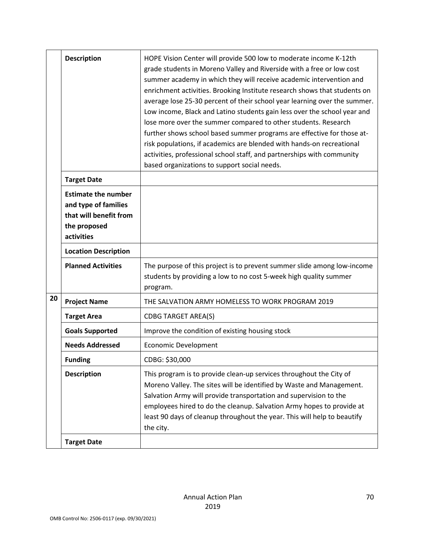|    | <b>Description</b>                                                                                         | HOPE Vision Center will provide 500 low to moderate income K-12th<br>grade students in Moreno Valley and Riverside with a free or low cost<br>summer academy in which they will receive academic intervention and<br>enrichment activities. Brooking Institute research shows that students on<br>average lose 25-30 percent of their school year learning over the summer.<br>Low income, Black and Latino students gain less over the school year and<br>lose more over the summer compared to other students. Research<br>further shows school based summer programs are effective for those at-<br>risk populations, if academics are blended with hands-on recreational<br>activities, professional school staff, and partnerships with community<br>based organizations to support social needs. |
|----|------------------------------------------------------------------------------------------------------------|--------------------------------------------------------------------------------------------------------------------------------------------------------------------------------------------------------------------------------------------------------------------------------------------------------------------------------------------------------------------------------------------------------------------------------------------------------------------------------------------------------------------------------------------------------------------------------------------------------------------------------------------------------------------------------------------------------------------------------------------------------------------------------------------------------|
|    | <b>Target Date</b>                                                                                         |                                                                                                                                                                                                                                                                                                                                                                                                                                                                                                                                                                                                                                                                                                                                                                                                        |
|    | <b>Estimate the number</b><br>and type of families<br>that will benefit from<br>the proposed<br>activities |                                                                                                                                                                                                                                                                                                                                                                                                                                                                                                                                                                                                                                                                                                                                                                                                        |
|    | <b>Location Description</b>                                                                                |                                                                                                                                                                                                                                                                                                                                                                                                                                                                                                                                                                                                                                                                                                                                                                                                        |
|    | <b>Planned Activities</b>                                                                                  | The purpose of this project is to prevent summer slide among low-income<br>students by providing a low to no cost 5-week high quality summer<br>program.                                                                                                                                                                                                                                                                                                                                                                                                                                                                                                                                                                                                                                               |
| 20 | <b>Project Name</b>                                                                                        | THE SALVATION ARMY HOMELESS TO WORK PROGRAM 2019                                                                                                                                                                                                                                                                                                                                                                                                                                                                                                                                                                                                                                                                                                                                                       |
|    | <b>Target Area</b>                                                                                         | <b>CDBG TARGET AREA(S)</b>                                                                                                                                                                                                                                                                                                                                                                                                                                                                                                                                                                                                                                                                                                                                                                             |
|    | <b>Goals Supported</b>                                                                                     | Improve the condition of existing housing stock                                                                                                                                                                                                                                                                                                                                                                                                                                                                                                                                                                                                                                                                                                                                                        |
|    | <b>Needs Addressed</b>                                                                                     | Economic Development                                                                                                                                                                                                                                                                                                                                                                                                                                                                                                                                                                                                                                                                                                                                                                                   |
|    | <b>Funding</b>                                                                                             | CDBG: \$30,000                                                                                                                                                                                                                                                                                                                                                                                                                                                                                                                                                                                                                                                                                                                                                                                         |
|    | <b>Description</b>                                                                                         | This program is to provide clean-up services throughout the City of<br>Moreno Valley. The sites will be identified by Waste and Management.<br>Salvation Army will provide transportation and supervision to the<br>employees hired to do the cleanup. Salvation Army hopes to provide at<br>least 90 days of cleanup throughout the year. This will help to beautify<br>the city.                                                                                                                                                                                                                                                                                                                                                                                                                     |
|    | <b>Target Date</b>                                                                                         |                                                                                                                                                                                                                                                                                                                                                                                                                                                                                                                                                                                                                                                                                                                                                                                                        |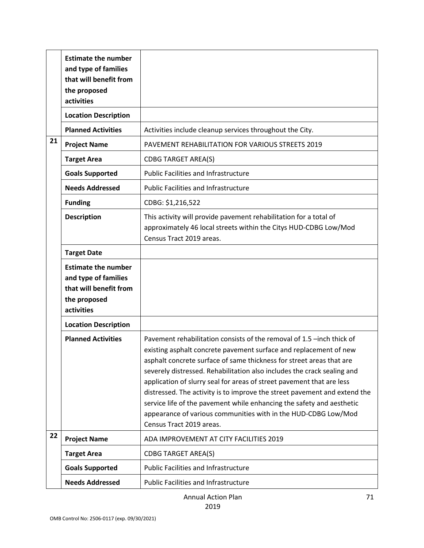|    | <b>Estimate the number</b><br>and type of families<br>that will benefit from<br>the proposed<br>activities |                                                                                                                                                                                                                                                                                                                                                                                                                                                                                                                                                                                                                            |
|----|------------------------------------------------------------------------------------------------------------|----------------------------------------------------------------------------------------------------------------------------------------------------------------------------------------------------------------------------------------------------------------------------------------------------------------------------------------------------------------------------------------------------------------------------------------------------------------------------------------------------------------------------------------------------------------------------------------------------------------------------|
|    | <b>Location Description</b>                                                                                |                                                                                                                                                                                                                                                                                                                                                                                                                                                                                                                                                                                                                            |
|    | <b>Planned Activities</b>                                                                                  | Activities include cleanup services throughout the City.                                                                                                                                                                                                                                                                                                                                                                                                                                                                                                                                                                   |
| 21 | <b>Project Name</b>                                                                                        | PAVEMENT REHABILITATION FOR VARIOUS STREETS 2019                                                                                                                                                                                                                                                                                                                                                                                                                                                                                                                                                                           |
|    | <b>Target Area</b>                                                                                         | <b>CDBG TARGET AREA(S)</b>                                                                                                                                                                                                                                                                                                                                                                                                                                                                                                                                                                                                 |
|    | <b>Goals Supported</b>                                                                                     | <b>Public Facilities and Infrastructure</b>                                                                                                                                                                                                                                                                                                                                                                                                                                                                                                                                                                                |
|    | <b>Needs Addressed</b>                                                                                     | <b>Public Facilities and Infrastructure</b>                                                                                                                                                                                                                                                                                                                                                                                                                                                                                                                                                                                |
|    | <b>Funding</b>                                                                                             | CDBG: \$1,216,522                                                                                                                                                                                                                                                                                                                                                                                                                                                                                                                                                                                                          |
|    | <b>Description</b>                                                                                         | This activity will provide pavement rehabilitation for a total of<br>approximately 46 local streets within the Citys HUD-CDBG Low/Mod<br>Census Tract 2019 areas.                                                                                                                                                                                                                                                                                                                                                                                                                                                          |
|    | <b>Target Date</b>                                                                                         |                                                                                                                                                                                                                                                                                                                                                                                                                                                                                                                                                                                                                            |
|    | <b>Estimate the number</b><br>and type of families<br>that will benefit from<br>the proposed<br>activities |                                                                                                                                                                                                                                                                                                                                                                                                                                                                                                                                                                                                                            |
|    | <b>Location Description</b>                                                                                |                                                                                                                                                                                                                                                                                                                                                                                                                                                                                                                                                                                                                            |
|    | <b>Planned Activities</b>                                                                                  | Pavement rehabilitation consists of the removal of 1.5 -inch thick of<br>existing asphalt concrete pavement surface and replacement of new<br>asphalt concrete surface of same thickness for street areas that are<br>severely distressed. Rehabilitation also includes the crack sealing and<br>application of slurry seal for areas of street pavement that are less<br>distressed. The activity is to improve the street pavement and extend the<br>service life of the pavement while enhancing the safety and aesthetic<br>appearance of various communities with in the HUD-CDBG Low/Mod<br>Census Tract 2019 areas. |
| 22 | <b>Project Name</b>                                                                                        | ADA IMPROVEMENT AT CITY FACILITIES 2019                                                                                                                                                                                                                                                                                                                                                                                                                                                                                                                                                                                    |
|    | <b>Target Area</b>                                                                                         | <b>CDBG TARGET AREA(S)</b>                                                                                                                                                                                                                                                                                                                                                                                                                                                                                                                                                                                                 |
|    | <b>Goals Supported</b>                                                                                     | <b>Public Facilities and Infrastructure</b>                                                                                                                                                                                                                                                                                                                                                                                                                                                                                                                                                                                |
|    | <b>Needs Addressed</b>                                                                                     | <b>Public Facilities and Infrastructure</b>                                                                                                                                                                                                                                                                                                                                                                                                                                                                                                                                                                                |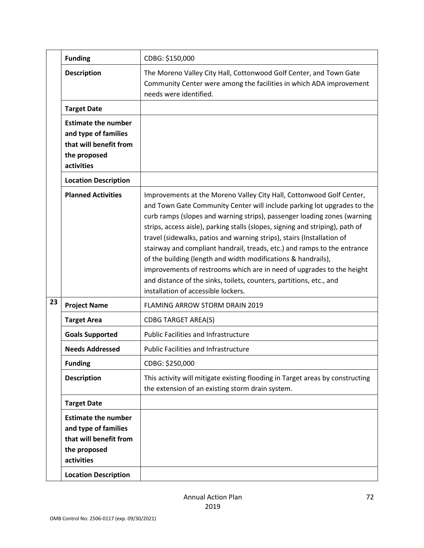|    | <b>Funding</b>                                                                                                                            | CDBG: \$150,000                                                                                                                                                                                                                                                                                                                                                                                                                                                                                                                                                                                                                                                                                                            |
|----|-------------------------------------------------------------------------------------------------------------------------------------------|----------------------------------------------------------------------------------------------------------------------------------------------------------------------------------------------------------------------------------------------------------------------------------------------------------------------------------------------------------------------------------------------------------------------------------------------------------------------------------------------------------------------------------------------------------------------------------------------------------------------------------------------------------------------------------------------------------------------------|
|    | <b>Description</b>                                                                                                                        | The Moreno Valley City Hall, Cottonwood Golf Center, and Town Gate<br>Community Center were among the facilities in which ADA improvement<br>needs were identified.                                                                                                                                                                                                                                                                                                                                                                                                                                                                                                                                                        |
|    | <b>Target Date</b>                                                                                                                        |                                                                                                                                                                                                                                                                                                                                                                                                                                                                                                                                                                                                                                                                                                                            |
|    | <b>Estimate the number</b><br>and type of families<br>that will benefit from<br>the proposed<br>activities                                |                                                                                                                                                                                                                                                                                                                                                                                                                                                                                                                                                                                                                                                                                                                            |
|    | <b>Location Description</b>                                                                                                               |                                                                                                                                                                                                                                                                                                                                                                                                                                                                                                                                                                                                                                                                                                                            |
|    | <b>Planned Activities</b>                                                                                                                 | Improvements at the Moreno Valley City Hall, Cottonwood Golf Center,<br>and Town Gate Community Center will include parking lot upgrades to the<br>curb ramps (slopes and warning strips), passenger loading zones (warning<br>strips, access aisle), parking stalls (slopes, signing and striping), path of<br>travel (sidewalks, patios and warning strips), stairs (Installation of<br>stairway and compliant handrail, treads, etc.) and ramps to the entrance<br>of the building (length and width modifications & handrails),<br>improvements of restrooms which are in need of upgrades to the height<br>and distance of the sinks, toilets, counters, partitions, etc., and<br>installation of accessible lockers. |
| 23 | <b>Project Name</b>                                                                                                                       | FLAMING ARROW STORM DRAIN 2019                                                                                                                                                                                                                                                                                                                                                                                                                                                                                                                                                                                                                                                                                             |
|    | <b>Target Area</b>                                                                                                                        | <b>CDBG TARGET AREA(S)</b>                                                                                                                                                                                                                                                                                                                                                                                                                                                                                                                                                                                                                                                                                                 |
|    | <b>Goals Supported</b>                                                                                                                    | <b>Public Facilities and Infrastructure</b>                                                                                                                                                                                                                                                                                                                                                                                                                                                                                                                                                                                                                                                                                |
|    | <b>Needs Addressed</b>                                                                                                                    | <b>Public Facilities and Infrastructure</b>                                                                                                                                                                                                                                                                                                                                                                                                                                                                                                                                                                                                                                                                                |
|    | <b>Funding</b>                                                                                                                            | CDBG: \$250,000                                                                                                                                                                                                                                                                                                                                                                                                                                                                                                                                                                                                                                                                                                            |
|    | <b>Description</b>                                                                                                                        | This activity will mitigate existing flooding in Target areas by constructing<br>the extension of an existing storm drain system.                                                                                                                                                                                                                                                                                                                                                                                                                                                                                                                                                                                          |
|    | <b>Target Date</b>                                                                                                                        |                                                                                                                                                                                                                                                                                                                                                                                                                                                                                                                                                                                                                                                                                                                            |
|    | <b>Estimate the number</b><br>and type of families<br>that will benefit from<br>the proposed<br>activities<br><b>Location Description</b> |                                                                                                                                                                                                                                                                                                                                                                                                                                                                                                                                                                                                                                                                                                                            |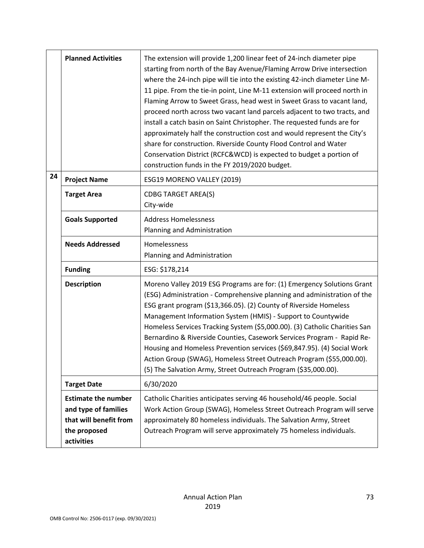|    | <b>Planned Activities</b>                                                                                  | The extension will provide 1,200 linear feet of 24-inch diameter pipe<br>starting from north of the Bay Avenue/Flaming Arrow Drive intersection<br>where the 24-inch pipe will tie into the existing 42-inch diameter Line M-<br>11 pipe. From the tie-in point, Line M-11 extension will proceed north in<br>Flaming Arrow to Sweet Grass, head west in Sweet Grass to vacant land,<br>proceed north across two vacant land parcels adjacent to two tracts, and<br>install a catch basin on Saint Christopher. The requested funds are for<br>approximately half the construction cost and would represent the City's<br>share for construction. Riverside County Flood Control and Water<br>Conservation District (RCFC&WCD) is expected to budget a portion of<br>construction funds in the FY 2019/2020 budget. |
|----|------------------------------------------------------------------------------------------------------------|---------------------------------------------------------------------------------------------------------------------------------------------------------------------------------------------------------------------------------------------------------------------------------------------------------------------------------------------------------------------------------------------------------------------------------------------------------------------------------------------------------------------------------------------------------------------------------------------------------------------------------------------------------------------------------------------------------------------------------------------------------------------------------------------------------------------|
| 24 | <b>Project Name</b>                                                                                        | ESG19 MORENO VALLEY (2019)                                                                                                                                                                                                                                                                                                                                                                                                                                                                                                                                                                                                                                                                                                                                                                                          |
|    | <b>Target Area</b>                                                                                         | <b>CDBG TARGET AREA(S)</b><br>City-wide                                                                                                                                                                                                                                                                                                                                                                                                                                                                                                                                                                                                                                                                                                                                                                             |
|    | <b>Goals Supported</b>                                                                                     | <b>Address Homelessness</b><br>Planning and Administration                                                                                                                                                                                                                                                                                                                                                                                                                                                                                                                                                                                                                                                                                                                                                          |
|    | <b>Needs Addressed</b>                                                                                     | Homelessness<br>Planning and Administration                                                                                                                                                                                                                                                                                                                                                                                                                                                                                                                                                                                                                                                                                                                                                                         |
|    | <b>Funding</b>                                                                                             | ESG: \$178,214                                                                                                                                                                                                                                                                                                                                                                                                                                                                                                                                                                                                                                                                                                                                                                                                      |
|    | <b>Description</b>                                                                                         | Moreno Valley 2019 ESG Programs are for: (1) Emergency Solutions Grant<br>(ESG) Administration - Comprehensive planning and administration of the<br>ESG grant program (\$13,366.05). (2) County of Riverside Homeless<br>Management Information System (HMIS) - Support to Countywide<br>Homeless Services Tracking System (\$5,000.00). (3) Catholic Charities San<br>Bernardino & Riverside Counties, Casework Services Program - Rapid Re-<br>Housing and Homeless Prevention services (\$69,847.95). (4) Social Work<br>Action Group (SWAG). Homeless Street Outreach Program (\$55.000.00).<br>(5) The Salvation Army, Street Outreach Program (\$35,000.00).                                                                                                                                                 |
|    | <b>Target Date</b>                                                                                         | 6/30/2020                                                                                                                                                                                                                                                                                                                                                                                                                                                                                                                                                                                                                                                                                                                                                                                                           |
|    | <b>Estimate the number</b><br>and type of families<br>that will benefit from<br>the proposed<br>activities | Catholic Charities anticipates serving 46 household/46 people. Social<br>Work Action Group (SWAG), Homeless Street Outreach Program will serve<br>approximately 80 homeless individuals. The Salvation Army, Street<br>Outreach Program will serve approximately 75 homeless individuals.                                                                                                                                                                                                                                                                                                                                                                                                                                                                                                                           |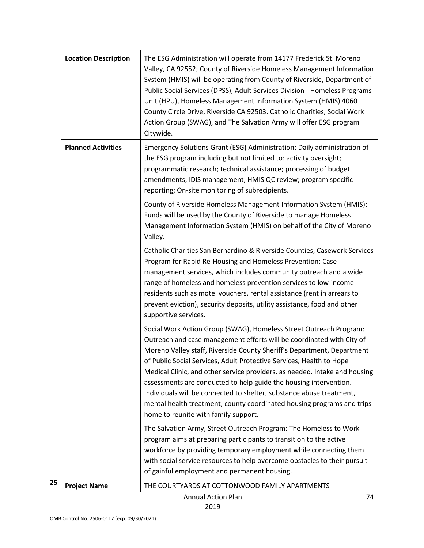|    | <b>Location Description</b> | The ESG Administration will operate from 14177 Frederick St. Moreno<br>Valley, CA 92552; County of Riverside Homeless Management Information<br>System (HMIS) will be operating from County of Riverside, Department of<br>Public Social Services (DPSS), Adult Services Division - Homeless Programs<br>Unit (HPU), Homeless Management Information System (HMIS) 4060<br>County Circle Drive, Riverside CA 92503. Catholic Charities, Social Work<br>Action Group (SWAG), and The Salvation Army will offer ESG program<br>Citywide.                                                                                                     |
|----|-----------------------------|--------------------------------------------------------------------------------------------------------------------------------------------------------------------------------------------------------------------------------------------------------------------------------------------------------------------------------------------------------------------------------------------------------------------------------------------------------------------------------------------------------------------------------------------------------------------------------------------------------------------------------------------|
|    | <b>Planned Activities</b>   | Emergency Solutions Grant (ESG) Administration: Daily administration of<br>the ESG program including but not limited to: activity oversight;<br>programmatic research; technical assistance; processing of budget<br>amendments; IDIS management; HMIS QC review; program specific<br>reporting; On-site monitoring of subrecipients.                                                                                                                                                                                                                                                                                                      |
|    |                             | County of Riverside Homeless Management Information System (HMIS):<br>Funds will be used by the County of Riverside to manage Homeless<br>Management Information System (HMIS) on behalf of the City of Moreno<br>Valley.                                                                                                                                                                                                                                                                                                                                                                                                                  |
|    |                             | Catholic Charities San Bernardino & Riverside Counties, Casework Services<br>Program for Rapid Re-Housing and Homeless Prevention: Case<br>management services, which includes community outreach and a wide<br>range of homeless and homeless prevention services to low-income<br>residents such as motel vouchers, rental assistance (rent in arrears to<br>prevent eviction), security deposits, utility assistance, food and other<br>supportive services.                                                                                                                                                                            |
|    |                             | Social Work Action Group (SWAG), Homeless Street Outreach Program:<br>Outreach and case management efforts will be coordinated with City of<br>Moreno Valley staff, Riverside County Sheriff's Department, Department<br>of Public Social Services, Adult Protective Services, Health to Hope<br>Medical Clinic, and other service providers, as needed. Intake and housing<br>assessments are conducted to help guide the housing intervention.<br>Individuals will be connected to shelter, substance abuse treatment,<br>mental health treatment, county coordinated housing programs and trips<br>home to reunite with family support. |
|    |                             | The Salvation Army, Street Outreach Program: The Homeless to Work<br>program aims at preparing participants to transition to the active<br>workforce by providing temporary employment while connecting them<br>with social service resources to help overcome obstacles to their pursuit<br>of gainful employment and permanent housing.                                                                                                                                                                                                                                                                                                  |
| 25 | <b>Project Name</b>         | THE COURTYARDS AT COTTONWOOD FAMILY APARTMENTS                                                                                                                                                                                                                                                                                                                                                                                                                                                                                                                                                                                             |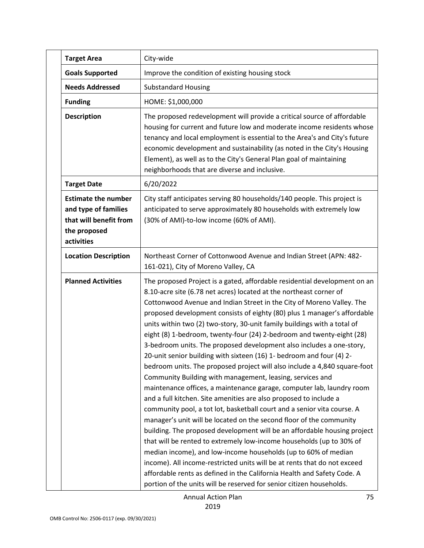|  | <b>Target Area</b>                                                                                         | City-wide                                                                                                                                                                                                                                                                                                                                                                                                                                                                                                                                                                                                                                                                                                                                                                                                                                                                                                                                                                                                                                                                                                                                                                                                                                                                                                                                                                                                                                                                                                |
|--|------------------------------------------------------------------------------------------------------------|----------------------------------------------------------------------------------------------------------------------------------------------------------------------------------------------------------------------------------------------------------------------------------------------------------------------------------------------------------------------------------------------------------------------------------------------------------------------------------------------------------------------------------------------------------------------------------------------------------------------------------------------------------------------------------------------------------------------------------------------------------------------------------------------------------------------------------------------------------------------------------------------------------------------------------------------------------------------------------------------------------------------------------------------------------------------------------------------------------------------------------------------------------------------------------------------------------------------------------------------------------------------------------------------------------------------------------------------------------------------------------------------------------------------------------------------------------------------------------------------------------|
|  | <b>Goals Supported</b>                                                                                     | Improve the condition of existing housing stock                                                                                                                                                                                                                                                                                                                                                                                                                                                                                                                                                                                                                                                                                                                                                                                                                                                                                                                                                                                                                                                                                                                                                                                                                                                                                                                                                                                                                                                          |
|  | <b>Needs Addressed</b>                                                                                     | <b>Substandard Housing</b>                                                                                                                                                                                                                                                                                                                                                                                                                                                                                                                                                                                                                                                                                                                                                                                                                                                                                                                                                                                                                                                                                                                                                                                                                                                                                                                                                                                                                                                                               |
|  | <b>Funding</b>                                                                                             | HOME: \$1,000,000                                                                                                                                                                                                                                                                                                                                                                                                                                                                                                                                                                                                                                                                                                                                                                                                                                                                                                                                                                                                                                                                                                                                                                                                                                                                                                                                                                                                                                                                                        |
|  | <b>Description</b>                                                                                         | The proposed redevelopment will provide a critical source of affordable<br>housing for current and future low and moderate income residents whose<br>tenancy and local employment is essential to the Area's and City's future<br>economic development and sustainability (as noted in the City's Housing<br>Element), as well as to the City's General Plan goal of maintaining<br>neighborhoods that are diverse and inclusive.                                                                                                                                                                                                                                                                                                                                                                                                                                                                                                                                                                                                                                                                                                                                                                                                                                                                                                                                                                                                                                                                        |
|  | <b>Target Date</b>                                                                                         | 6/20/2022                                                                                                                                                                                                                                                                                                                                                                                                                                                                                                                                                                                                                                                                                                                                                                                                                                                                                                                                                                                                                                                                                                                                                                                                                                                                                                                                                                                                                                                                                                |
|  | <b>Estimate the number</b><br>and type of families<br>that will benefit from<br>the proposed<br>activities | City staff anticipates serving 80 households/140 people. This project is<br>anticipated to serve approximately 80 households with extremely low<br>(30% of AMI)-to-low income (60% of AMI).                                                                                                                                                                                                                                                                                                                                                                                                                                                                                                                                                                                                                                                                                                                                                                                                                                                                                                                                                                                                                                                                                                                                                                                                                                                                                                              |
|  | <b>Location Description</b>                                                                                | Northeast Corner of Cottonwood Avenue and Indian Street (APN: 482-<br>161-021), City of Moreno Valley, CA                                                                                                                                                                                                                                                                                                                                                                                                                                                                                                                                                                                                                                                                                                                                                                                                                                                                                                                                                                                                                                                                                                                                                                                                                                                                                                                                                                                                |
|  | <b>Planned Activities</b>                                                                                  | The proposed Project is a gated, affordable residential development on an<br>8.10-acre site (6.78 net acres) located at the northeast corner of<br>Cottonwood Avenue and Indian Street in the City of Moreno Valley. The<br>proposed development consists of eighty (80) plus 1 manager's affordable<br>units within two (2) two-story, 30-unit family buildings with a total of<br>eight (8) 1-bedroom, twenty-four (24) 2-bedroom and twenty-eight (28)<br>3-bedroom units. The proposed development also includes a one-story,<br>20-unit senior building with sixteen (16) 1- bedroom and four (4) 2-<br>bedroom units. The proposed project will also include a 4,840 square-foot<br>Community Building with management, leasing, services and<br>maintenance offices, a maintenance garage, computer lab, laundry room<br>and a full kitchen. Site amenities are also proposed to include a<br>community pool, a tot lot, basketball court and a senior vita course. A<br>manager's unit will be located on the second floor of the community<br>building. The proposed development will be an affordable housing project<br>that will be rented to extremely low-income households (up to 30% of<br>median income), and low-income households (up to 60% of median<br>income). All income-restricted units will be at rents that do not exceed<br>affordable rents as defined in the California Health and Safety Code. A<br>portion of the units will be reserved for senior citizen households. |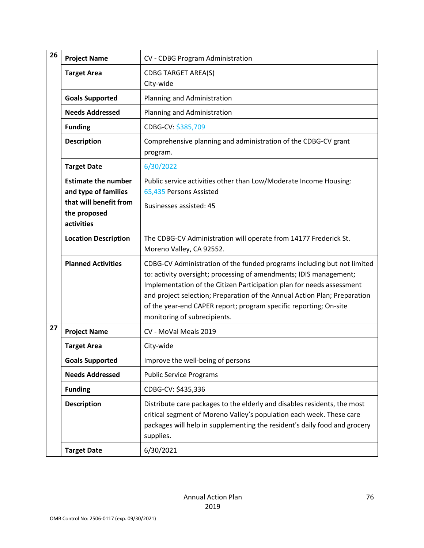| 26 | <b>Project Name</b>                                                                                        | CV - CDBG Program Administration                                                                                                                                                                                                                                                                                                                                                                         |
|----|------------------------------------------------------------------------------------------------------------|----------------------------------------------------------------------------------------------------------------------------------------------------------------------------------------------------------------------------------------------------------------------------------------------------------------------------------------------------------------------------------------------------------|
|    | <b>Target Area</b>                                                                                         | <b>CDBG TARGET AREA(S)</b><br>City-wide                                                                                                                                                                                                                                                                                                                                                                  |
|    | <b>Goals Supported</b>                                                                                     | Planning and Administration                                                                                                                                                                                                                                                                                                                                                                              |
|    | <b>Needs Addressed</b>                                                                                     | Planning and Administration                                                                                                                                                                                                                                                                                                                                                                              |
|    | <b>Funding</b>                                                                                             | CDBG-CV: \$385,709                                                                                                                                                                                                                                                                                                                                                                                       |
|    | <b>Description</b>                                                                                         | Comprehensive planning and administration of the CDBG-CV grant<br>program.                                                                                                                                                                                                                                                                                                                               |
|    | <b>Target Date</b>                                                                                         | 6/30/2022                                                                                                                                                                                                                                                                                                                                                                                                |
|    | <b>Estimate the number</b><br>and type of families<br>that will benefit from<br>the proposed<br>activities | Public service activities other than Low/Moderate Income Housing:<br>65,435 Persons Assisted<br><b>Businesses assisted: 45</b>                                                                                                                                                                                                                                                                           |
|    | <b>Location Description</b>                                                                                | The CDBG-CV Administration will operate from 14177 Frederick St.<br>Moreno Valley, CA 92552.                                                                                                                                                                                                                                                                                                             |
|    | <b>Planned Activities</b>                                                                                  | CDBG-CV Administration of the funded programs including but not limited<br>to: activity oversight; processing of amendments; IDIS management;<br>Implementation of the Citizen Participation plan for needs assessment<br>and project selection; Preparation of the Annual Action Plan; Preparation<br>of the year-end CAPER report; program specific reporting; On-site<br>monitoring of subrecipients. |
| 27 | <b>Project Name</b>                                                                                        | CV - MoVal Meals 2019                                                                                                                                                                                                                                                                                                                                                                                    |
|    | <b>Target Area</b>                                                                                         | City-wide                                                                                                                                                                                                                                                                                                                                                                                                |
|    | <b>Goals Supported</b>                                                                                     | Improve the well-being of persons                                                                                                                                                                                                                                                                                                                                                                        |
|    | <b>Needs Addressed</b>                                                                                     | <b>Public Service Programs</b>                                                                                                                                                                                                                                                                                                                                                                           |
|    | <b>Funding</b>                                                                                             | CDBG-CV: \$435,336                                                                                                                                                                                                                                                                                                                                                                                       |
|    | <b>Description</b>                                                                                         | Distribute care packages to the elderly and disables residents, the most<br>critical segment of Moreno Valley's population each week. These care<br>packages will help in supplementing the resident's daily food and grocery<br>supplies.                                                                                                                                                               |
|    | <b>Target Date</b>                                                                                         | 6/30/2021                                                                                                                                                                                                                                                                                                                                                                                                |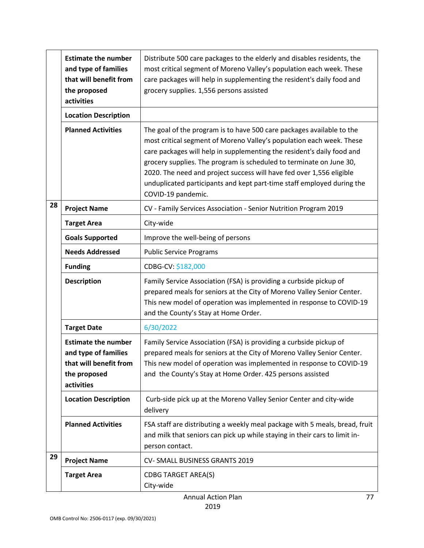|    | <b>Estimate the number</b><br>and type of families<br>that will benefit from<br>the proposed<br>activities | Distribute 500 care packages to the elderly and disables residents, the<br>most critical segment of Moreno Valley's population each week. These<br>care packages will help in supplementing the resident's daily food and<br>grocery supplies. 1,556 persons assisted                                                                                                                                                                                                  |
|----|------------------------------------------------------------------------------------------------------------|------------------------------------------------------------------------------------------------------------------------------------------------------------------------------------------------------------------------------------------------------------------------------------------------------------------------------------------------------------------------------------------------------------------------------------------------------------------------|
|    | <b>Location Description</b>                                                                                |                                                                                                                                                                                                                                                                                                                                                                                                                                                                        |
|    | <b>Planned Activities</b>                                                                                  | The goal of the program is to have 500 care packages available to the<br>most critical segment of Moreno Valley's population each week. These<br>care packages will help in supplementing the resident's daily food and<br>grocery supplies. The program is scheduled to terminate on June 30,<br>2020. The need and project success will have fed over 1,556 eligible<br>unduplicated participants and kept part-time staff employed during the<br>COVID-19 pandemic. |
| 28 | <b>Project Name</b>                                                                                        | CV - Family Services Association - Senior Nutrition Program 2019                                                                                                                                                                                                                                                                                                                                                                                                       |
|    | <b>Target Area</b>                                                                                         | City-wide                                                                                                                                                                                                                                                                                                                                                                                                                                                              |
|    | <b>Goals Supported</b>                                                                                     | Improve the well-being of persons                                                                                                                                                                                                                                                                                                                                                                                                                                      |
|    | <b>Needs Addressed</b>                                                                                     | <b>Public Service Programs</b>                                                                                                                                                                                                                                                                                                                                                                                                                                         |
|    | <b>Funding</b>                                                                                             | CDBG-CV: \$182,000                                                                                                                                                                                                                                                                                                                                                                                                                                                     |
|    | <b>Description</b>                                                                                         | Family Service Association (FSA) is providing a curbside pickup of<br>prepared meals for seniors at the City of Moreno Valley Senior Center.<br>This new model of operation was implemented in response to COVID-19<br>and the County's Stay at Home Order.                                                                                                                                                                                                            |
|    | <b>Target Date</b>                                                                                         | 6/30/2022                                                                                                                                                                                                                                                                                                                                                                                                                                                              |
|    | <b>Estimate the number</b><br>and type of families<br>that will benefit from<br>the proposed<br>activities | Family Service Association (FSA) is providing a curbside pickup of<br>prepared meals for seniors at the City of Moreno Valley Senior Center.<br>This new model of operation was implemented in response to COVID-19<br>and the County's Stay at Home Order. 425 persons assisted                                                                                                                                                                                       |
|    | <b>Location Description</b>                                                                                | Curb-side pick up at the Moreno Valley Senior Center and city-wide<br>delivery                                                                                                                                                                                                                                                                                                                                                                                         |
|    | <b>Planned Activities</b>                                                                                  | FSA staff are distributing a weekly meal package with 5 meals, bread, fruit<br>and milk that seniors can pick up while staying in their cars to limit in-<br>person contact.                                                                                                                                                                                                                                                                                           |
| 29 | <b>Project Name</b>                                                                                        | CV-SMALL BUSINESS GRANTS 2019                                                                                                                                                                                                                                                                                                                                                                                                                                          |
|    | <b>Target Area</b>                                                                                         | <b>CDBG TARGET AREA(S)</b><br>City-wide                                                                                                                                                                                                                                                                                                                                                                                                                                |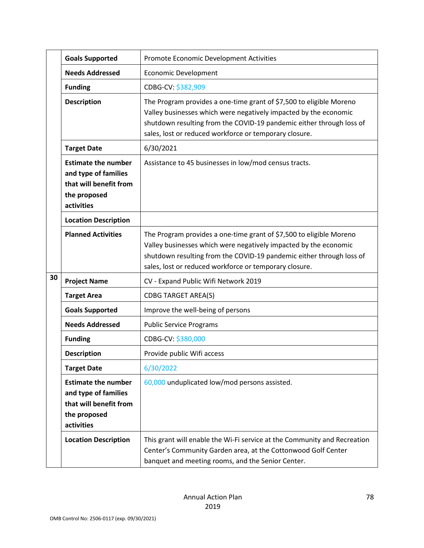|    | <b>Goals Supported</b>                                                                                     | Promote Economic Development Activities                                                                                                                                                                                                                                   |
|----|------------------------------------------------------------------------------------------------------------|---------------------------------------------------------------------------------------------------------------------------------------------------------------------------------------------------------------------------------------------------------------------------|
|    | <b>Needs Addressed</b>                                                                                     | <b>Economic Development</b>                                                                                                                                                                                                                                               |
|    | <b>Funding</b>                                                                                             | CDBG-CV: \$382,909                                                                                                                                                                                                                                                        |
|    | <b>Description</b>                                                                                         | The Program provides a one-time grant of \$7,500 to eligible Moreno<br>Valley businesses which were negatively impacted by the economic<br>shutdown resulting from the COVID-19 pandemic either through loss of<br>sales, lost or reduced workforce or temporary closure. |
|    | <b>Target Date</b>                                                                                         | 6/30/2021                                                                                                                                                                                                                                                                 |
|    | <b>Estimate the number</b><br>and type of families<br>that will benefit from<br>the proposed<br>activities | Assistance to 45 businesses in low/mod census tracts.                                                                                                                                                                                                                     |
|    | <b>Location Description</b>                                                                                |                                                                                                                                                                                                                                                                           |
|    | <b>Planned Activities</b>                                                                                  | The Program provides a one-time grant of \$7,500 to eligible Moreno<br>Valley businesses which were negatively impacted by the economic<br>shutdown resulting from the COVID-19 pandemic either through loss of<br>sales, lost or reduced workforce or temporary closure. |
| 30 | <b>Project Name</b>                                                                                        | CV - Expand Public Wifi Network 2019                                                                                                                                                                                                                                      |
|    | <b>Target Area</b>                                                                                         | <b>CDBG TARGET AREA(S)</b>                                                                                                                                                                                                                                                |
|    | <b>Goals Supported</b>                                                                                     | Improve the well-being of persons                                                                                                                                                                                                                                         |
|    | <b>Needs Addressed</b>                                                                                     | <b>Public Service Programs</b>                                                                                                                                                                                                                                            |
|    | <b>Funding</b>                                                                                             | CDBG-CV: \$380,000                                                                                                                                                                                                                                                        |
|    | <b>Description</b>                                                                                         | Provide public Wifi access                                                                                                                                                                                                                                                |
|    | <b>Target Date</b>                                                                                         | 6/30/2022                                                                                                                                                                                                                                                                 |
|    | <b>Estimate the number</b><br>and type of families<br>that will benefit from<br>the proposed<br>activities | 60,000 unduplicated low/mod persons assisted.                                                                                                                                                                                                                             |
|    | <b>Location Description</b>                                                                                | This grant will enable the Wi-Fi service at the Community and Recreation<br>Center's Community Garden area, at the Cottonwood Golf Center<br>banquet and meeting rooms, and the Senior Center.                                                                            |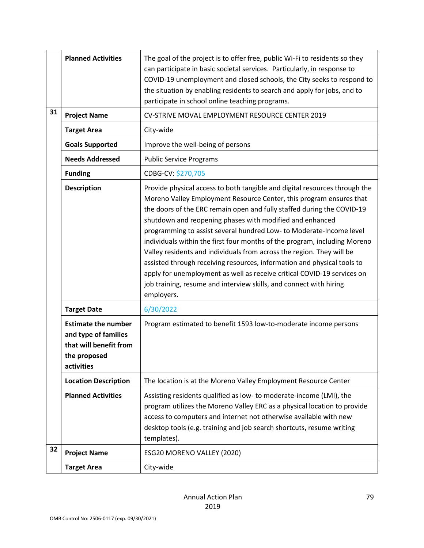|    | <b>Planned Activities</b>                                                                                  | The goal of the project is to offer free, public Wi-Fi to residents so they<br>can participate in basic societal services. Particularly, in response to<br>COVID-19 unemployment and closed schools, the City seeks to respond to<br>the situation by enabling residents to search and apply for jobs, and to<br>participate in school online teaching programs.                                                                                                                                                                                                                                                                                                                                                                                               |
|----|------------------------------------------------------------------------------------------------------------|----------------------------------------------------------------------------------------------------------------------------------------------------------------------------------------------------------------------------------------------------------------------------------------------------------------------------------------------------------------------------------------------------------------------------------------------------------------------------------------------------------------------------------------------------------------------------------------------------------------------------------------------------------------------------------------------------------------------------------------------------------------|
| 31 | <b>Project Name</b>                                                                                        | CV-STRIVE MOVAL EMPLOYMENT RESOURCE CENTER 2019                                                                                                                                                                                                                                                                                                                                                                                                                                                                                                                                                                                                                                                                                                                |
|    | <b>Target Area</b>                                                                                         | City-wide                                                                                                                                                                                                                                                                                                                                                                                                                                                                                                                                                                                                                                                                                                                                                      |
|    | <b>Goals Supported</b>                                                                                     | Improve the well-being of persons                                                                                                                                                                                                                                                                                                                                                                                                                                                                                                                                                                                                                                                                                                                              |
|    | <b>Needs Addressed</b>                                                                                     | <b>Public Service Programs</b>                                                                                                                                                                                                                                                                                                                                                                                                                                                                                                                                                                                                                                                                                                                                 |
|    | <b>Funding</b>                                                                                             | CDBG-CV: \$270,705                                                                                                                                                                                                                                                                                                                                                                                                                                                                                                                                                                                                                                                                                                                                             |
|    | <b>Description</b>                                                                                         | Provide physical access to both tangible and digital resources through the<br>Moreno Valley Employment Resource Center, this program ensures that<br>the doors of the ERC remain open and fully staffed during the COVID-19<br>shutdown and reopening phases with modified and enhanced<br>programming to assist several hundred Low- to Moderate-Income level<br>individuals within the first four months of the program, including Moreno<br>Valley residents and individuals from across the region. They will be<br>assisted through receiving resources, information and physical tools to<br>apply for unemployment as well as receive critical COVID-19 services on<br>job training, resume and interview skills, and connect with hiring<br>employers. |
|    | <b>Target Date</b>                                                                                         | 6/30/2022                                                                                                                                                                                                                                                                                                                                                                                                                                                                                                                                                                                                                                                                                                                                                      |
|    | <b>Estimate the number</b><br>and type of families<br>that will benefit from<br>the proposed<br>activities | Program estimated to benefit 1593 low-to-moderate income persons                                                                                                                                                                                                                                                                                                                                                                                                                                                                                                                                                                                                                                                                                               |
|    | <b>Location Description</b>                                                                                | The location is at the Moreno Valley Employment Resource Center                                                                                                                                                                                                                                                                                                                                                                                                                                                                                                                                                                                                                                                                                                |
|    | <b>Planned Activities</b>                                                                                  | Assisting residents qualified as low- to moderate-income (LMI), the<br>program utilizes the Moreno Valley ERC as a physical location to provide<br>access to computers and internet not otherwise available with new<br>desktop tools (e.g. training and job search shortcuts, resume writing<br>templates).                                                                                                                                                                                                                                                                                                                                                                                                                                                   |
| 32 | <b>Project Name</b>                                                                                        | ESG20 MORENO VALLEY (2020)                                                                                                                                                                                                                                                                                                                                                                                                                                                                                                                                                                                                                                                                                                                                     |
|    | <b>Target Area</b>                                                                                         | City-wide                                                                                                                                                                                                                                                                                                                                                                                                                                                                                                                                                                                                                                                                                                                                                      |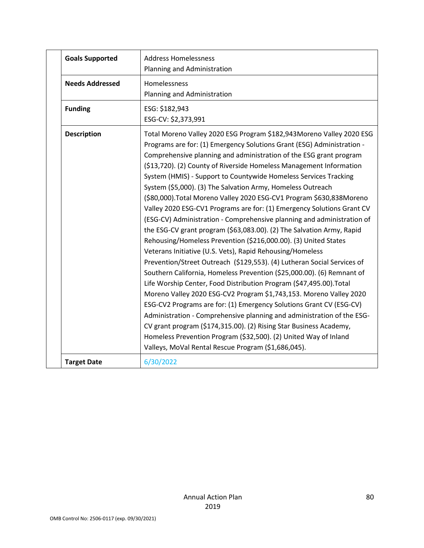| <b>Goals Supported</b> | <b>Address Homelessness</b>                                             |
|------------------------|-------------------------------------------------------------------------|
|                        | Planning and Administration                                             |
| <b>Needs Addressed</b> | Homelessness                                                            |
|                        | Planning and Administration                                             |
| <b>Funding</b>         | ESG: \$182,943                                                          |
|                        | ESG-CV: \$2,373,991                                                     |
| <b>Description</b>     | Total Moreno Valley 2020 ESG Program \$182,943Moreno Valley 2020 ESG    |
|                        | Programs are for: (1) Emergency Solutions Grant (ESG) Administration -  |
|                        | Comprehensive planning and administration of the ESG grant program      |
|                        | (\$13,720). (2) County of Riverside Homeless Management Information     |
|                        | System (HMIS) - Support to Countywide Homeless Services Tracking        |
|                        | System (\$5,000). (3) The Salvation Army, Homeless Outreach             |
|                        | (\$80,000). Total Moreno Valley 2020 ESG-CV1 Program \$630,838Moreno    |
|                        | Valley 2020 ESG-CV1 Programs are for: (1) Emergency Solutions Grant CV  |
|                        | (ESG-CV) Administration - Comprehensive planning and administration of  |
|                        | the ESG-CV grant program (\$63,083.00). (2) The Salvation Army, Rapid   |
|                        | Rehousing/Homeless Prevention (\$216,000.00). (3) United States         |
|                        | Veterans Initiative (U.S. Vets), Rapid Rehousing/Homeless               |
|                        | Prevention/Street Outreach (\$129,553). (4) Lutheran Social Services of |
|                        | Southern California, Homeless Prevention (\$25,000.00). (6) Remnant of  |
|                        | Life Worship Center, Food Distribution Program (\$47,495.00). Total     |
|                        | Moreno Valley 2020 ESG-CV2 Program \$1,743,153. Moreno Valley 2020      |
|                        | ESG-CV2 Programs are for: (1) Emergency Solutions Grant CV (ESG-CV)     |
|                        | Administration - Comprehensive planning and administration of the ESG-  |
|                        | CV grant program (\$174,315.00). (2) Rising Star Business Academy,      |
|                        | Homeless Prevention Program (\$32,500). (2) United Way of Inland        |
|                        | Valleys, MoVal Rental Rescue Program (\$1,686,045).                     |
| <b>Target Date</b>     | 6/30/2022                                                               |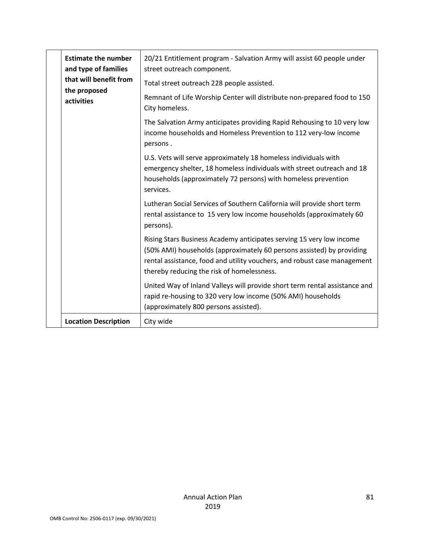|  | <b>Estimate the number</b><br>and type of families   | 20/21 Entitlement program - Salvation Army will assist 60 people under<br>street outreach component.                                                                                                                                                                    |
|--|------------------------------------------------------|-------------------------------------------------------------------------------------------------------------------------------------------------------------------------------------------------------------------------------------------------------------------------|
|  | that will benefit from<br>the proposed<br>activities | Total street outreach 228 people assisted.                                                                                                                                                                                                                              |
|  |                                                      | Remnant of Life Worship Center will distribute non-prepared food to 150<br>City homeless.                                                                                                                                                                               |
|  |                                                      | The Salvation Army anticipates providing Rapid Rehousing to 10 very low<br>income households and Homeless Prevention to 112 very-low income<br>persons.                                                                                                                 |
|  |                                                      | U.S. Vets will serve approximately 18 homeless individuals with<br>emergency shelter, 18 homeless individuals with street outreach and 18<br>households (approximately 72 persons) with homeless prevention<br>services.                                                |
|  |                                                      | Lutheran Social Services of Southern California will provide short term<br>rental assistance to 15 very low income households (approximately 60<br>persons).                                                                                                            |
|  |                                                      | Rising Stars Business Academy anticipates serving 15 very low income<br>(50% AMI) households (approximately 60 persons assisted) by providing<br>rental assistance, food and utility vouchers, and robust case management<br>thereby reducing the risk of homelessness. |
|  |                                                      | United Way of Inland Valleys will provide short term rental assistance and<br>rapid re-housing to 320 very low income (50% AMI) households<br>(approximately 800 persons assisted).                                                                                     |
|  | <b>Location Description</b>                          | City wide                                                                                                                                                                                                                                                               |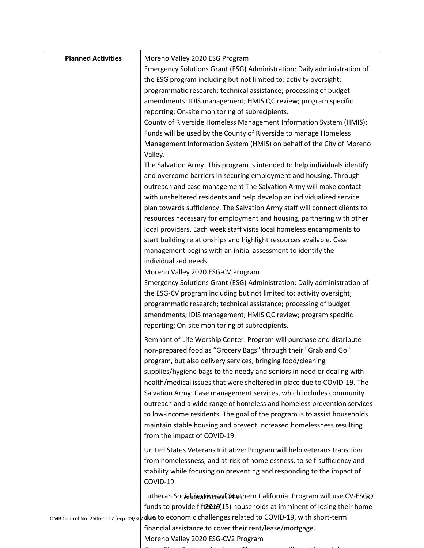| <b>Planned Activities</b> | Moreno Valley 2020 ESG Program<br>Emergency Solutions Grant (ESG) Administration: Daily administration of<br>the ESG program including but not limited to: activity oversight;<br>programmatic research; technical assistance; processing of budget<br>amendments; IDIS management; HMIS QC review; program specific<br>reporting; On-site monitoring of subrecipients.<br>County of Riverside Homeless Management Information System (HMIS):<br>Funds will be used by the County of Riverside to manage Homeless<br>Management Information System (HMIS) on behalf of the City of Moreno<br>Valley.<br>The Salvation Army: This program is intended to help individuals identify<br>and overcome barriers in securing employment and housing. Through<br>outreach and case management The Salvation Army will make contact<br>with unsheltered residents and help develop an individualized service<br>plan towards sufficiency. The Salvation Army staff will connect clients to<br>resources necessary for employment and housing, partnering with other<br>local providers. Each week staff visits local homeless encampments to<br>start building relationships and highlight resources available. Case<br>management begins with an initial assessment to identify the<br>individualized needs.<br>Moreno Valley 2020 ESG-CV Program<br>Emergency Solutions Grant (ESG) Administration: Daily administration of<br>the ESG-CV program including but not limited to: activity oversight;<br>programmatic research; technical assistance; processing of budget<br>amendments; IDIS management; HMIS QC review; program specific<br>reporting; On-site monitoring of subrecipients. |
|---------------------------|----------------------------------------------------------------------------------------------------------------------------------------------------------------------------------------------------------------------------------------------------------------------------------------------------------------------------------------------------------------------------------------------------------------------------------------------------------------------------------------------------------------------------------------------------------------------------------------------------------------------------------------------------------------------------------------------------------------------------------------------------------------------------------------------------------------------------------------------------------------------------------------------------------------------------------------------------------------------------------------------------------------------------------------------------------------------------------------------------------------------------------------------------------------------------------------------------------------------------------------------------------------------------------------------------------------------------------------------------------------------------------------------------------------------------------------------------------------------------------------------------------------------------------------------------------------------------------------------------------------------------------------------------------------------------------------|
|                           | Remnant of Life Worship Center: Program will purchase and distribute<br>non-prepared food as "Grocery Bags" through their "Grab and Go"<br>program, but also delivery services, bringing food/cleaning<br>supplies/hygiene bags to the needy and seniors in need or dealing with<br>health/medical issues that were sheltered in place due to COVID-19. The<br>Salvation Army: Case management services, which includes community<br>outreach and a wide range of homeless and homeless prevention services<br>to low-income residents. The goal of the program is to assist households<br>maintain stable housing and prevent increased homelessness resulting<br>from the impact of COVID-19.                                                                                                                                                                                                                                                                                                                                                                                                                                                                                                                                                                                                                                                                                                                                                                                                                                                                                                                                                                                        |
|                           | United States Veterans Initiative: Program will help veterans transition<br>from homelessness, and at-risk of homelessness, to self-sufficiency and<br>stability while focusing on preventing and responding to the impact of<br>COVID-19.                                                                                                                                                                                                                                                                                                                                                                                                                                                                                                                                                                                                                                                                                                                                                                                                                                                                                                                                                                                                                                                                                                                                                                                                                                                                                                                                                                                                                                             |
|                           | Lutheran Social Seavices of Southern California: Program will use CV-ESG82<br>funds to provide fift 2019(15) households at imminent of losing their home<br>OMB Control No: 2506-0117 (exp. 09/30/2008 to economic challenges related to COVID-19, with short-term<br>financial assistance to cover their rent/lease/mortgage.<br>Moreno Valley 2020 ESG-CV2 Program                                                                                                                                                                                                                                                                                                                                                                                                                                                                                                                                                                                                                                                                                                                                                                                                                                                                                                                                                                                                                                                                                                                                                                                                                                                                                                                   |

Ri a d Th i St B i L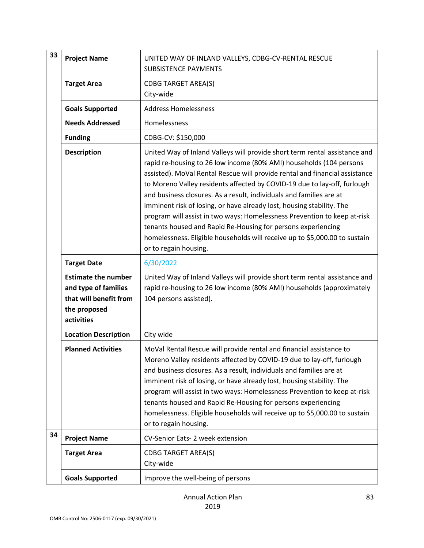| 33 | <b>Project Name</b>                                                                                        | UNITED WAY OF INLAND VALLEYS, CDBG-CV-RENTAL RESCUE<br><b>SUBSISTENCE PAYMENTS</b>                                                                                                                                                                                                                                                                                                                                                                                                                                                                                                                                                                                                                              |
|----|------------------------------------------------------------------------------------------------------------|-----------------------------------------------------------------------------------------------------------------------------------------------------------------------------------------------------------------------------------------------------------------------------------------------------------------------------------------------------------------------------------------------------------------------------------------------------------------------------------------------------------------------------------------------------------------------------------------------------------------------------------------------------------------------------------------------------------------|
|    | <b>Target Area</b>                                                                                         | <b>CDBG TARGET AREA(S)</b><br>City-wide                                                                                                                                                                                                                                                                                                                                                                                                                                                                                                                                                                                                                                                                         |
|    | <b>Goals Supported</b>                                                                                     | <b>Address Homelessness</b>                                                                                                                                                                                                                                                                                                                                                                                                                                                                                                                                                                                                                                                                                     |
|    | <b>Needs Addressed</b>                                                                                     | Homelessness                                                                                                                                                                                                                                                                                                                                                                                                                                                                                                                                                                                                                                                                                                    |
|    | <b>Funding</b>                                                                                             | CDBG-CV: \$150,000                                                                                                                                                                                                                                                                                                                                                                                                                                                                                                                                                                                                                                                                                              |
|    | <b>Description</b>                                                                                         | United Way of Inland Valleys will provide short term rental assistance and<br>rapid re-housing to 26 low income (80% AMI) households (104 persons<br>assisted). MoVal Rental Rescue will provide rental and financial assistance<br>to Moreno Valley residents affected by COVID-19 due to lay-off, furlough<br>and business closures. As a result, individuals and families are at<br>imminent risk of losing, or have already lost, housing stability. The<br>program will assist in two ways: Homelessness Prevention to keep at-risk<br>tenants housed and Rapid Re-Housing for persons experiencing<br>homelessness. Eligible households will receive up to \$5,000.00 to sustain<br>or to regain housing. |
|    | <b>Target Date</b>                                                                                         | 6/30/2022                                                                                                                                                                                                                                                                                                                                                                                                                                                                                                                                                                                                                                                                                                       |
|    | <b>Estimate the number</b><br>and type of families<br>that will benefit from<br>the proposed<br>activities | United Way of Inland Valleys will provide short term rental assistance and<br>rapid re-housing to 26 low income (80% AMI) households (approximately<br>104 persons assisted).                                                                                                                                                                                                                                                                                                                                                                                                                                                                                                                                   |
|    | <b>Location Description</b>                                                                                | City wide                                                                                                                                                                                                                                                                                                                                                                                                                                                                                                                                                                                                                                                                                                       |
|    | <b>Planned Activities</b>                                                                                  | MoVal Rental Rescue will provide rental and financial assistance to<br>Moreno Valley residents affected by COVID-19 due to lay-off, furlough<br>and business closures. As a result, individuals and families are at<br>imminent risk of losing, or have already lost, housing stability. The<br>program will assist in two ways: Homelessness Prevention to keep at-risk<br>tenants housed and Rapid Re-Housing for persons experiencing<br>homelessness. Eligible households will receive up to \$5,000.00 to sustain<br>or to regain housing.                                                                                                                                                                 |
| 34 | <b>Project Name</b>                                                                                        | CV-Senior Eats- 2 week extension                                                                                                                                                                                                                                                                                                                                                                                                                                                                                                                                                                                                                                                                                |
|    | <b>Target Area</b>                                                                                         | <b>CDBG TARGET AREA(S)</b><br>City-wide                                                                                                                                                                                                                                                                                                                                                                                                                                                                                                                                                                                                                                                                         |
|    | <b>Goals Supported</b>                                                                                     | Improve the well-being of persons                                                                                                                                                                                                                                                                                                                                                                                                                                                                                                                                                                                                                                                                               |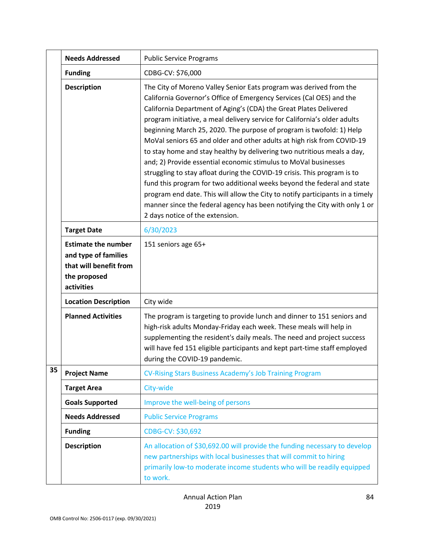|    | <b>Needs Addressed</b>                                                                                     | <b>Public Service Programs</b>                                                                                                                                                                                                                                                                                                                                                                                                                                                                                                                                                                                                                                                                                                                                                                                                                                                                                                                        |
|----|------------------------------------------------------------------------------------------------------------|-------------------------------------------------------------------------------------------------------------------------------------------------------------------------------------------------------------------------------------------------------------------------------------------------------------------------------------------------------------------------------------------------------------------------------------------------------------------------------------------------------------------------------------------------------------------------------------------------------------------------------------------------------------------------------------------------------------------------------------------------------------------------------------------------------------------------------------------------------------------------------------------------------------------------------------------------------|
|    | <b>Funding</b>                                                                                             | CDBG-CV: \$76,000                                                                                                                                                                                                                                                                                                                                                                                                                                                                                                                                                                                                                                                                                                                                                                                                                                                                                                                                     |
|    | <b>Description</b>                                                                                         | The City of Moreno Valley Senior Eats program was derived from the<br>California Governor's Office of Emergency Services (Cal OES) and the<br>California Department of Aging's (CDA) the Great Plates Delivered<br>program initiative, a meal delivery service for California's older adults<br>beginning March 25, 2020. The purpose of program is twofold: 1) Help<br>MoVal seniors 65 and older and other adults at high risk from COVID-19<br>to stay home and stay healthy by delivering two nutritious meals a day,<br>and; 2) Provide essential economic stimulus to MoVal businesses<br>struggling to stay afloat during the COVID-19 crisis. This program is to<br>fund this program for two additional weeks beyond the federal and state<br>program end date. This will allow the City to notify participants in a timely<br>manner since the federal agency has been notifying the City with only 1 or<br>2 days notice of the extension. |
|    | <b>Target Date</b>                                                                                         | 6/30/2023                                                                                                                                                                                                                                                                                                                                                                                                                                                                                                                                                                                                                                                                                                                                                                                                                                                                                                                                             |
|    | <b>Estimate the number</b><br>and type of families<br>that will benefit from<br>the proposed<br>activities | 151 seniors age 65+                                                                                                                                                                                                                                                                                                                                                                                                                                                                                                                                                                                                                                                                                                                                                                                                                                                                                                                                   |
|    | <b>Location Description</b>                                                                                | City wide                                                                                                                                                                                                                                                                                                                                                                                                                                                                                                                                                                                                                                                                                                                                                                                                                                                                                                                                             |
|    | <b>Planned Activities</b>                                                                                  | The program is targeting to provide lunch and dinner to 151 seniors and<br>high-risk adults Monday-Friday each week. These meals will help in<br>supplementing the resident's daily meals. The need and project success<br>will have fed 151 eligible participants and kept part-time staff employed<br>during the COVID-19 pandemic.                                                                                                                                                                                                                                                                                                                                                                                                                                                                                                                                                                                                                 |
| 35 | <b>Project Name</b>                                                                                        | CV-Rising Stars Business Academy's Job Training Program                                                                                                                                                                                                                                                                                                                                                                                                                                                                                                                                                                                                                                                                                                                                                                                                                                                                                               |
|    | <b>Target Area</b>                                                                                         | City-wide                                                                                                                                                                                                                                                                                                                                                                                                                                                                                                                                                                                                                                                                                                                                                                                                                                                                                                                                             |
|    | <b>Goals Supported</b>                                                                                     | Improve the well-being of persons                                                                                                                                                                                                                                                                                                                                                                                                                                                                                                                                                                                                                                                                                                                                                                                                                                                                                                                     |
|    | <b>Needs Addressed</b>                                                                                     | <b>Public Service Programs</b>                                                                                                                                                                                                                                                                                                                                                                                                                                                                                                                                                                                                                                                                                                                                                                                                                                                                                                                        |
|    | <b>Funding</b>                                                                                             | CDBG-CV: \$30,692                                                                                                                                                                                                                                                                                                                                                                                                                                                                                                                                                                                                                                                                                                                                                                                                                                                                                                                                     |
|    | <b>Description</b>                                                                                         | An allocation of \$30,692.00 will provide the funding necessary to develop<br>new partnerships with local businesses that will commit to hiring<br>primarily low-to moderate income students who will be readily equipped<br>to work.                                                                                                                                                                                                                                                                                                                                                                                                                                                                                                                                                                                                                                                                                                                 |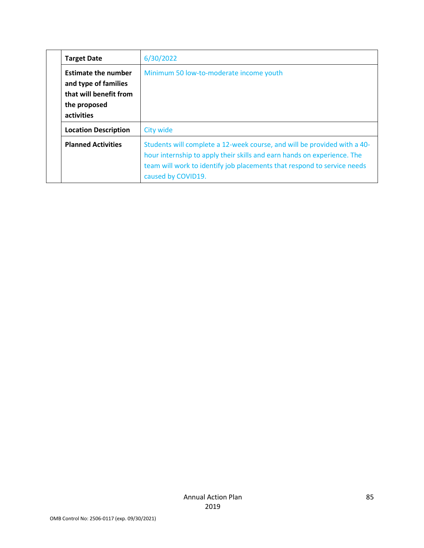|  | <b>Target Date</b>                                                                                         | 6/30/2022                                                                                                                                                                                                                                            |
|--|------------------------------------------------------------------------------------------------------------|------------------------------------------------------------------------------------------------------------------------------------------------------------------------------------------------------------------------------------------------------|
|  | <b>Estimate the number</b><br>and type of families<br>that will benefit from<br>the proposed<br>activities | Minimum 50 low-to-moderate income youth                                                                                                                                                                                                              |
|  | <b>Location Description</b>                                                                                | <b>City wide</b>                                                                                                                                                                                                                                     |
|  | <b>Planned Activities</b>                                                                                  | Students will complete a 12-week course, and will be provided with a 40-<br>hour internship to apply their skills and earn hands on experience. The<br>team will work to identify job placements that respond to service needs<br>caused by COVID19. |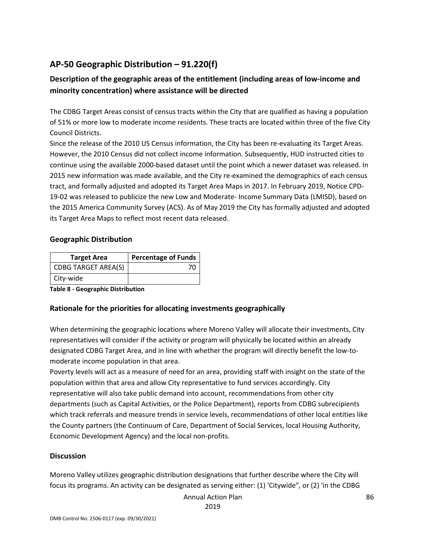# **AP-50 Geographic Distribution – 91.220(f)**

# **Description of the geographic areas of the entitlement (including areas of low-income and minority concentration) where assistance will be directed**

The CDBG Target Areas consist of census tracts within the City that are qualified as having a population of 51% or more low to moderate income residents. These tracts are located within three of the five City Council Districts.

Since the release of the 2010 US Census information, the City has been re-evaluating its Target Areas. However, the 2010 Census did not collect income information. Subsequently, HUD instructed cities to continue using the available 2000-based dataset until the point which a newer dataset was released. In 2015 new information was made available, and the City re-examined the demographics of each census tract, and formally adjusted and adopted its Target Area Maps in 2017. In February 2019, Notice CPD-19-02 was released to publicize the new Low and Moderate- Income Summary Data (LMISD), based on the 2015 America Community Survey (ACS). As of May 2019 the City has formally adjusted and adopted its Target Area Maps to reflect most recent data released.

#### **Geographic Distribution**

| <b>Target Area</b>         | <b>Percentage of Funds</b> |
|----------------------------|----------------------------|
| <b>CDBG TARGET AREA(S)</b> |                            |
| City-wide                  |                            |

**Table 8 - Geographic Distribution** 

## **Rationale for the priorities for allocating investments geographically**

When determining the geographic locations where Moreno Valley will allocate their investments, City representatives will consider if the activity or program will physically be located within an already designated CDBG Target Area, and in line with whether the program will directly benefit the low-tomoderate income population in that area.

Poverty levels will act as a measure of need for an area, providing staff with insight on the state of the population within that area and allow City representative to fund services accordingly. City representative will also take public demand into account, recommendations from other city departments (such as Capital Activities, or the Police Department), reports from CDBG subrecipients which track referrals and measure trends in service levels, recommendations of other local entities like the County partners (the Continuum of Care, Department of Social Services, local Housing Authority, Economic Development Agency) and the local non-profits.

## **Discussion**

Moreno Valley utilizes geographic distribution designations that further describe where the City will focus its programs. An activity can be designated as serving either: (1) 'Citywide", or (2) 'in the CDBG

Annual Action Plan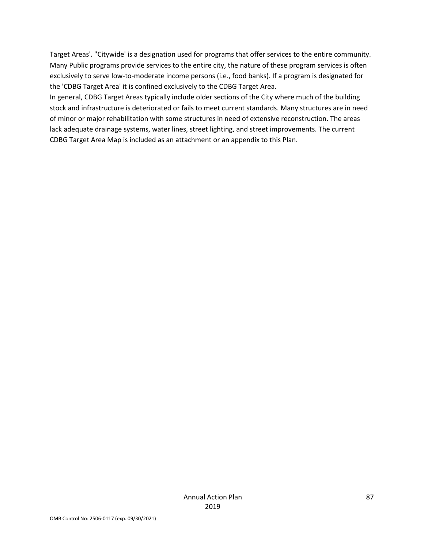Target Areas'. "Citywide' is a designation used for programs that offer services to the entire community. Many Public programs provide services to the entire city, the nature of these program services is often exclusively to serve low-to-moderate income persons (i.e., food banks). If a program is designated for the 'CDBG Target Area' it is confined exclusively to the CDBG Target Area.

In general, CDBG Target Areas typically include older sections of the City where much of the building stock and infrastructure is deteriorated or fails to meet current standards. Many structures are in need of minor or major rehabilitation with some structures in need of extensive reconstruction. The areas lack adequate drainage systems, water lines, street lighting, and street improvements. The current CDBG Target Area Map is included as an attachment or an appendix to this Plan.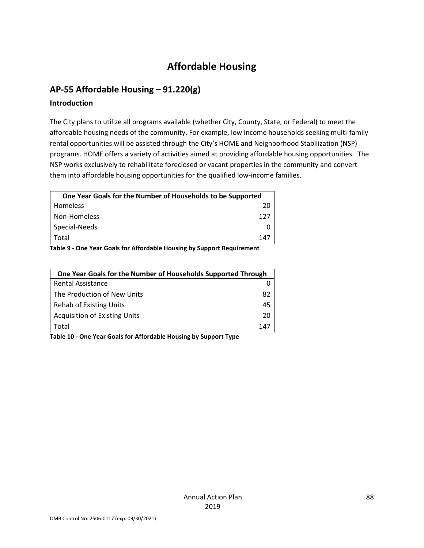# **Affordable Housing**

# **AP-55 Affordable Housing – 91.220(g)**

### **Introduction**

The City plans to utilize all programs available (whether City, County, State, or Federal) to meet the affordable housing needs of the community. For example, low income households seeking multi-family rental opportunities will be assisted through the City's HOME and Neighborhood Stabilization (NSP) programs. HOME offers a variety of activities aimed at providing affordable housing opportunities. The NSP works exclusively to rehabilitate foreclosed or vacant properties in the community and convert them into affordable housing opportunities for the qualified low-income families.

| One Year Goals for the Number of Households to be Supported            |     |  |
|------------------------------------------------------------------------|-----|--|
| <b>Homeless</b>                                                        | 20  |  |
| Non-Homeless                                                           | 127 |  |
| Special-Needs                                                          |     |  |
| Total                                                                  | 147 |  |
| Table O. One Vesu Casle for Affordable Harriso by Cropeut Descriptions |     |  |

**Table 9 - One Year Goals for Affordable Housing by Support Requirement**

| One Year Goals for the Number of Households Supported Through |     |
|---------------------------------------------------------------|-----|
| Rental Assistance                                             |     |
| The Production of New Units                                   | 82  |
| Rehab of Existing Units                                       | 45  |
| <b>Acquisition of Existing Units</b>                          | 20  |
| Total                                                         | 147 |

**Table 10 - One Year Goals for Affordable Housing by Support Type**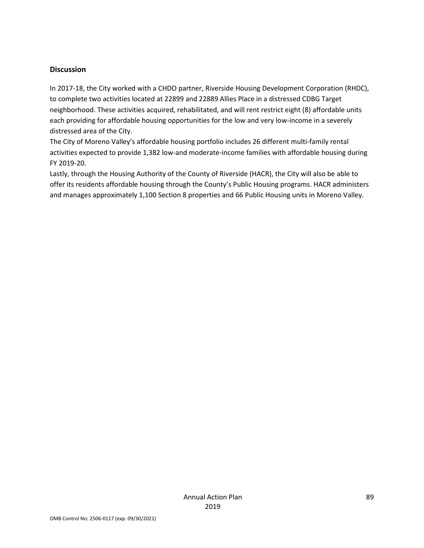#### **Discussion**

In 2017-18, the City worked with a CHDO partner, Riverside Housing Development Corporation (RHDC), to complete two activities located at 22899 and 22889 Allies Place in a distressed CDBG Target neighborhood. These activities acquired, rehabilitated, and will rent restrict eight (8) affordable units each providing for affordable housing opportunities for the low and very low-income in a severely distressed area of the City.

The City of Moreno Valley's affordable housing portfolio includes 26 different multi-family rental activities expected to provide 1,382 low-and moderate-income families with affordable housing during FY 2019-20.

Lastly, through the Housing Authority of the County of Riverside (HACR), the City will also be able to offer its residents affordable housing through the County's Public Housing programs. HACR administers and manages approximately 1,100 Section 8 properties and 66 Public Housing units in Moreno Valley.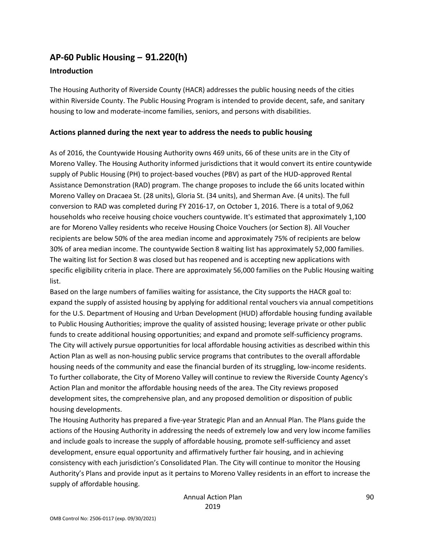# **AP-60 Public Housing** *–* **91.220(h)**

### **Introduction**

The Housing Authority of Riverside County (HACR) addresses the public housing needs of the cities within Riverside County. The Public Housing Program is intended to provide decent, safe, and sanitary housing to low and moderate-income families, seniors, and persons with disabilities.

### **Actions planned during the next year to address the needs to public housing**

As of 2016, the Countywide Housing Authority owns 469 units, 66 of these units are in the City of Moreno Valley. The Housing Authority informed jurisdictions that it would convert its entire countywide supply of Public Housing (PH) to project-based vouches (PBV) as part of the HUD-approved Rental Assistance Demonstration (RAD) program. The change proposes to include the 66 units located within Moreno Valley on Dracaea St. (28 units), Gloria St. (34 units), and Sherman Ave. (4 units). The full conversion to RAD was completed during FY 2016-17, on October 1, 2016. There is a total of 9,062 households who receive housing choice vouchers countywide. It's estimated that approximately 1,100 are for Moreno Valley residents who receive Housing Choice Vouchers (or Section 8). All Voucher recipients are below 50% of the area median income and approximately 75% of recipients are below 30% of area median income. The countywide Section 8 waiting list has approximately 52,000 families. The waiting list for Section 8 was closed but has reopened and is accepting new applications with specific eligibility criteria in place. There are approximately 56,000 families on the Public Housing waiting list.

Based on the large numbers of families waiting for assistance, the City supports the HACR goal to: expand the supply of assisted housing by applying for additional rental vouchers via annual competitions for the U.S. Department of Housing and Urban Development (HUD) affordable housing funding available to Public Housing Authorities; improve the quality of assisted housing; leverage private or other public funds to create additional housing opportunities; and expand and promote self-sufficiency programs. The City will actively pursue opportunities for local affordable housing activities as described within this Action Plan as well as non-housing public service programs that contributes to the overall affordable housing needs of the community and ease the financial burden of its struggling, low-income residents. To further collaborate, the City of Moreno Valley will continue to review the Riverside County Agency's Action Plan and monitor the affordable housing needs of the area. The City reviews proposed development sites, the comprehensive plan, and any proposed demolition or disposition of public housing developments.

The Housing Authority has prepared a five-year Strategic Plan and an Annual Plan. The Plans guide the actions of the Housing Authority in addressing the needs of extremely low and very low income families and include goals to increase the supply of affordable housing, promote self-sufficiency and asset development, ensure equal opportunity and affirmatively further fair housing, and in achieving consistency with each jurisdiction's Consolidated Plan. The City will continue to monitor the Housing Authority's Plans and provide input as it pertains to Moreno Valley residents in an effort to increase the supply of affordable housing.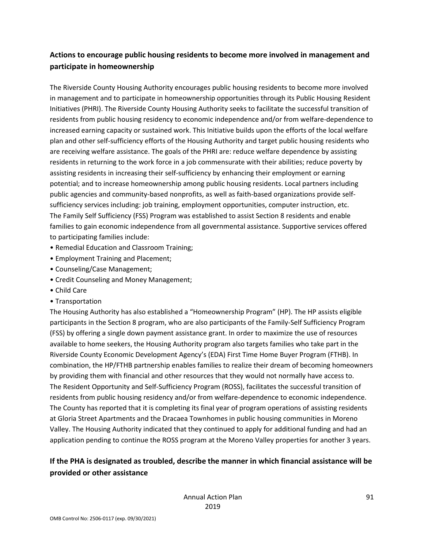# **Actions to encourage public housing residents to become more involved in management and participate in homeownership**

The Riverside County Housing Authority encourages public housing residents to become more involved in management and to participate in homeownership opportunities through its Public Housing Resident Initiatives (PHRI). The Riverside County Housing Authority seeks to facilitate the successful transition of residents from public housing residency to economic independence and/or from welfare-dependence to increased earning capacity or sustained work. This Initiative builds upon the efforts of the local welfare plan and other self-sufficiency efforts of the Housing Authority and target public housing residents who are receiving welfare assistance. The goals of the PHRI are: reduce welfare dependence by assisting residents in returning to the work force in a job commensurate with their abilities; reduce poverty by assisting residents in increasing their self-sufficiency by enhancing their employment or earning potential; and to increase homeownership among public housing residents. Local partners including public agencies and community-based nonprofits, as well as faith-based organizations provide selfsufficiency services including: job training, employment opportunities, computer instruction, etc. The Family Self Sufficiency (FSS) Program was established to assist Section 8 residents and enable families to gain economic independence from all governmental assistance. Supportive services offered to participating families include:

- Remedial Education and Classroom Training;
- Employment Training and Placement;
- Counseling/Case Management;
- Credit Counseling and Money Management;
- Child Care
- Transportation

The Housing Authority has also established a "Homeownership Program" (HP). The HP assists eligible participants in the Section 8 program, who are also participants of the Family-Self Sufficiency Program (FSS) by offering a single down payment assistance grant. In order to maximize the use of resources available to home seekers, the Housing Authority program also targets families who take part in the Riverside County Economic Development Agency's (EDA) First Time Home Buyer Program (FTHB). In combination, the HP/FTHB partnership enables families to realize their dream of becoming homeowners by providing them with financial and other resources that they would not normally have access to. The Resident Opportunity and Self-Sufficiency Program (ROSS), facilitates the successful transition of residents from public housing residency and/or from welfare-dependence to economic independence. The County has reported that it is completing its final year of program operations of assisting residents at Gloria Street Apartments and the Dracaea Townhomes in public housing communities in Moreno Valley. The Housing Authority indicated that they continued to apply for additional funding and had an application pending to continue the ROSS program at the Moreno Valley properties for another 3 years.

# **If the PHA is designated as troubled, describe the manner in which financial assistance will be provided or other assistance**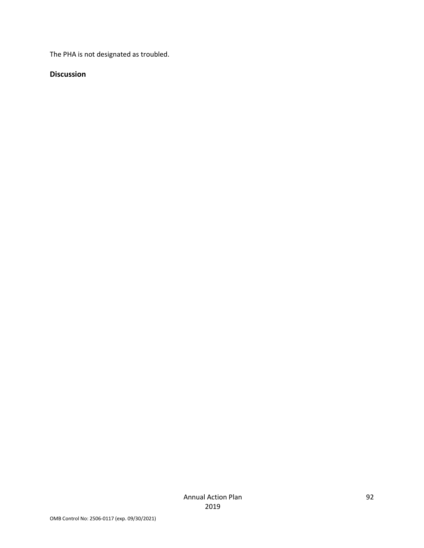The PHA is not designated as troubled.

### **Discussion**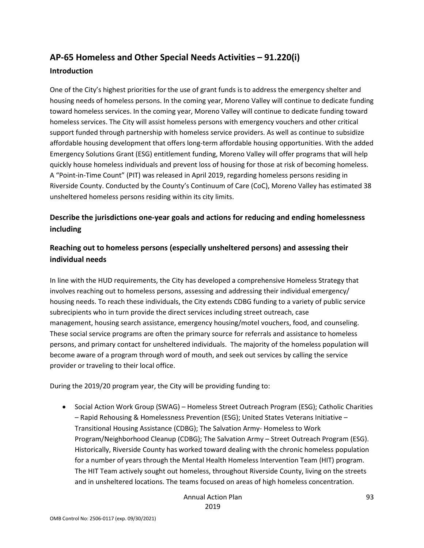# **AP-65 Homeless and Other Special Needs Activities – 91.220(i)**

### **Introduction**

One of the City's highest priorities for the use of grant funds is to address the emergency shelter and housing needs of homeless persons. In the coming year, Moreno Valley will continue to dedicate funding toward homeless services. In the coming year, Moreno Valley will continue to dedicate funding toward homeless services. The City will assist homeless persons with emergency vouchers and other critical support funded through partnership with homeless service providers. As well as continue to subsidize affordable housing development that offers long-term affordable housing opportunities. With the added Emergency Solutions Grant (ESG) entitlement funding, Moreno Valley will offer programs that will help quickly house homeless individuals and prevent loss of housing for those at risk of becoming homeless. A "Point-in-Time Count" (PIT) was released in April 2019, regarding homeless persons residing in Riverside County. Conducted by the County's Continuum of Care (CoC), Moreno Valley has estimated 38 unsheltered homeless persons residing within its city limits.

# **Describe the jurisdictions one-year goals and actions for reducing and ending homelessness including**

# **Reaching out to homeless persons (especially unsheltered persons) and assessing their individual needs**

In line with the HUD requirements, the City has developed a comprehensive Homeless Strategy that involves reaching out to homeless persons, assessing and addressing their individual emergency/ housing needs. To reach these individuals, the City extends CDBG funding to a variety of public service subrecipients who in turn provide the direct services including street outreach, case management, housing search assistance, emergency housing/motel vouchers, food, and counseling. These social service programs are often the primary source for referrals and assistance to homeless persons, and primary contact for unsheltered individuals. The majority of the homeless population will become aware of a program through word of mouth, and seek out services by calling the service provider or traveling to their local office.

During the 2019/20 program year, the City will be providing funding to:

• Social Action Work Group (SWAG) – Homeless Street Outreach Program (ESG); Catholic Charities – Rapid Rehousing & Homelessness Prevention (ESG); United States Veterans Initiative – Transitional Housing Assistance (CDBG); The Salvation Army- Homeless to Work Program/Neighborhood Cleanup (CDBG); The Salvation Army – Street Outreach Program (ESG). Historically, Riverside County has worked toward dealing with the chronic homeless population for a number of years through the Mental Health Homeless Intervention Team (HIT) program. The HIT Team actively sought out homeless, throughout Riverside County, living on the streets and in unsheltered locations. The teams focused on areas of high homeless concentration.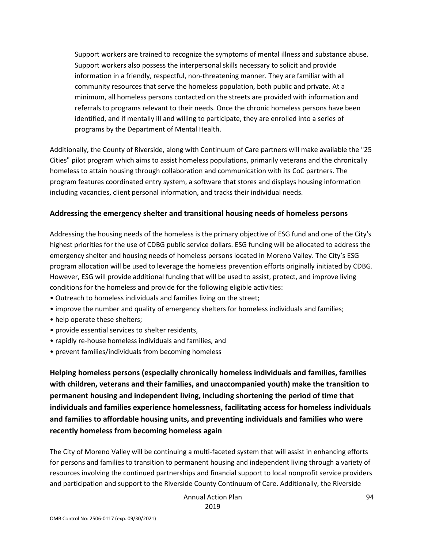Support workers are trained to recognize the symptoms of mental illness and substance abuse. Support workers also possess the interpersonal skills necessary to solicit and provide information in a friendly, respectful, non-threatening manner. They are familiar with all community resources that serve the homeless population, both public and private. At a minimum, all homeless persons contacted on the streets are provided with information and referrals to programs relevant to their needs. Once the chronic homeless persons have been identified, and if mentally ill and willing to participate, they are enrolled into a series of programs by the Department of Mental Health.

Additionally, the County of Riverside, along with Continuum of Care partners will make available the "25 Cities" pilot program which aims to assist homeless populations, primarily veterans and the chronically homeless to attain housing through collaboration and communication with its CoC partners. The program features coordinated entry system, a software that stores and displays housing information including vacancies, client personal information, and tracks their individual needs.

#### **Addressing the emergency shelter and transitional housing needs of homeless persons**

Addressing the housing needs of the homeless is the primary objective of ESG fund and one of the City's highest priorities for the use of CDBG public service dollars. ESG funding will be allocated to address the emergency shelter and housing needs of homeless persons located in Moreno Valley. The City's ESG program allocation will be used to leverage the homeless prevention efforts originally initiated by CDBG. However, ESG will provide additional funding that will be used to assist, protect, and improve living conditions for the homeless and provide for the following eligible activities:

- Outreach to homeless individuals and families living on the street;
- improve the number and quality of emergency shelters for homeless individuals and families;
- help operate these shelters;
- provide essential services to shelter residents,
- rapidly re-house homeless individuals and families, and
- prevent families/individuals from becoming homeless

**Helping homeless persons (especially chronically homeless individuals and families, families with children, veterans and their families, and unaccompanied youth) make the transition to permanent housing and independent living, including shortening the period of time that individuals and families experience homelessness, facilitating access for homeless individuals and families to affordable housing units, and preventing individuals and families who were recently homeless from becoming homeless again**

The City of Moreno Valley will be continuing a multi-faceted system that will assist in enhancing efforts for persons and families to transition to permanent housing and independent living through a variety of resources involving the continued partnerships and financial support to local nonprofit service providers and participation and support to the Riverside County Continuum of Care. Additionally, the Riverside

> Annual Action Plan 2019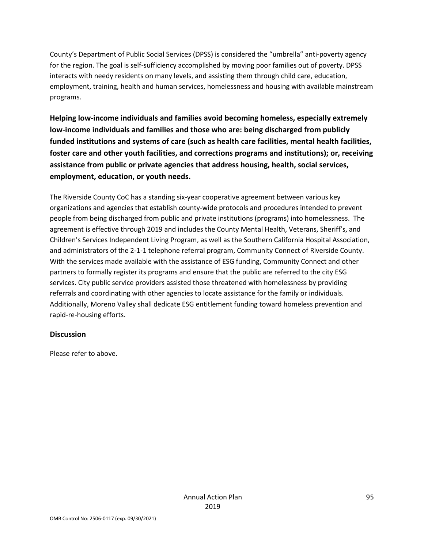County's Department of Public Social Services (DPSS) is considered the "umbrella" anti-poverty agency for the region. The goal is self-sufficiency accomplished by moving poor families out of poverty. DPSS interacts with needy residents on many levels, and assisting them through child care, education, employment, training, health and human services, homelessness and housing with available mainstream programs.

**Helping low-income individuals and families avoid becoming homeless, especially extremely low-income individuals and families and those who are: being discharged from publicly funded institutions and systems of care (such as health care facilities, mental health facilities, foster care and other youth facilities, and corrections programs and institutions); or, receiving assistance from public or private agencies that address housing, health, social services, employment, education, or youth needs.**

The Riverside County CoC has a standing six-year cooperative agreement between various key organizations and agencies that establish county-wide protocols and procedures intended to prevent people from being discharged from public and private institutions (programs) into homelessness. The agreement is effective through 2019 and includes the County Mental Health, Veterans, Sheriff's, and Children's Services Independent Living Program, as well as the Southern California Hospital Association, and administrators of the 2-1-1 telephone referral program, Community Connect of Riverside County. With the services made available with the assistance of ESG funding, Community Connect and other partners to formally register its programs and ensure that the public are referred to the city ESG services. City public service providers assisted those threatened with homelessness by providing referrals and coordinating with other agencies to locate assistance for the family or individuals. Additionally, Moreno Valley shall dedicate ESG entitlement funding toward homeless prevention and rapid-re-housing efforts.

## **Discussion**

Please refer to above.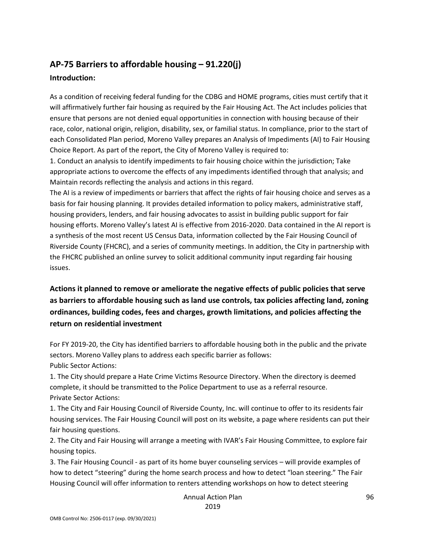# **AP-75 Barriers to affordable housing – 91.220(j)**

## **Introduction:**

As a condition of receiving federal funding for the CDBG and HOME programs, cities must certify that it will affirmatively further fair housing as required by the Fair Housing Act. The Act includes policies that ensure that persons are not denied equal opportunities in connection with housing because of their race, color, national origin, religion, disability, sex, or familial status. In compliance, prior to the start of each Consolidated Plan period, Moreno Valley prepares an Analysis of Impediments (AI) to Fair Housing Choice Report. As part of the report, the City of Moreno Valley is required to:

1. Conduct an analysis to identify impediments to fair housing choice within the jurisdiction; Take appropriate actions to overcome the effects of any impediments identified through that analysis; and Maintain records reflecting the analysis and actions in this regard.

The AI is a review of impediments or barriers that affect the rights of fair housing choice and serves as a basis for fair housing planning. It provides detailed information to policy makers, administrative staff, housing providers, lenders, and fair housing advocates to assist in building public support for fair housing efforts. Moreno Valley's latest AI is effective from 2016-2020. Data contained in the AI report is a synthesis of the most recent US Census Data, information collected by the Fair Housing Council of Riverside County (FHCRC), and a series of community meetings. In addition, the City in partnership with the FHCRC published an online survey to solicit additional community input regarding fair housing issues.

**Actions it planned to remove or ameliorate the negative effects of public policies that serve as barriers to affordable housing such as land use controls, tax policies affecting land, zoning ordinances, building codes, fees and charges, growth limitations, and policies affecting the return on residential investment**

For FY 2019-20, the City has identified barriers to affordable housing both in the public and the private sectors. Moreno Valley plans to address each specific barrier as follows: Public Sector Actions:

1. The City should prepare a Hate Crime Victims Resource Directory. When the directory is deemed complete, it should be transmitted to the Police Department to use as a referral resource. Private Sector Actions:

1. The City and Fair Housing Council of Riverside County, Inc. will continue to offer to its residents fair housing services. The Fair Housing Council will post on its website, a page where residents can put their fair housing questions.

2. The City and Fair Housing will arrange a meeting with IVAR's Fair Housing Committee, to explore fair housing topics.

3. The Fair Housing Council - as part of its home buyer counseling services – will provide examples of how to detect "steering" during the home search process and how to detect "loan steering." The Fair Housing Council will offer information to renters attending workshops on how to detect steering

> Annual Action Plan 2019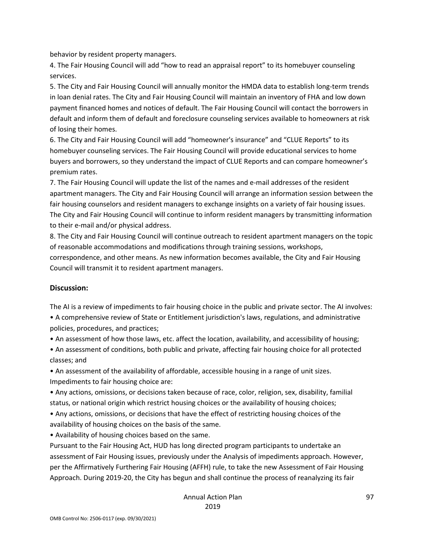behavior by resident property managers.

4. The Fair Housing Council will add "how to read an appraisal report" to its homebuyer counseling services.

5. The City and Fair Housing Council will annually monitor the HMDA data to establish long-term trends in loan denial rates. The City and Fair Housing Council will maintain an inventory of FHA and low down payment financed homes and notices of default. The Fair Housing Council will contact the borrowers in default and inform them of default and foreclosure counseling services available to homeowners at risk of losing their homes.

6. The City and Fair Housing Council will add "homeowner's insurance" and "CLUE Reports" to its homebuyer counseling services. The Fair Housing Council will provide educational services to home buyers and borrowers, so they understand the impact of CLUE Reports and can compare homeowner's premium rates.

7. The Fair Housing Council will update the list of the names and e-mail addresses of the resident apartment managers. The City and Fair Housing Council will arrange an information session between the fair housing counselors and resident managers to exchange insights on a variety of fair housing issues. The City and Fair Housing Council will continue to inform resident managers by transmitting information to their e-mail and/or physical address.

8. The City and Fair Housing Council will continue outreach to resident apartment managers on the topic of reasonable accommodations and modifications through training sessions, workshops,

correspondence, and other means. As new information becomes available, the City and Fair Housing Council will transmit it to resident apartment managers.

#### **Discussion:**

The AI is a review of impediments to fair housing choice in the public and private sector. The AI involves: • A comprehensive review of State or Entitlement jurisdiction's laws, regulations, and administrative policies, procedures, and practices;

• An assessment of how those laws, etc. affect the location, availability, and accessibility of housing;

• An assessment of conditions, both public and private, affecting fair housing choice for all protected classes; and

• An assessment of the availability of affordable, accessible housing in a range of unit sizes. Impediments to fair housing choice are:

• Any actions, omissions, or decisions taken because of race, color, religion, sex, disability, familial status, or national origin which restrict housing choices or the availability of housing choices;

• Any actions, omissions, or decisions that have the effect of restricting housing choices of the availability of housing choices on the basis of the same.

• Availability of housing choices based on the same.

Pursuant to the Fair Housing Act, HUD has long directed program participants to undertake an assessment of Fair Housing issues, previously under the Analysis of impediments approach. However, per the Affirmatively Furthering Fair Housing (AFFH) rule, to take the new Assessment of Fair Housing Approach. During 2019-20, the City has begun and shall continue the process of reanalyzing its fair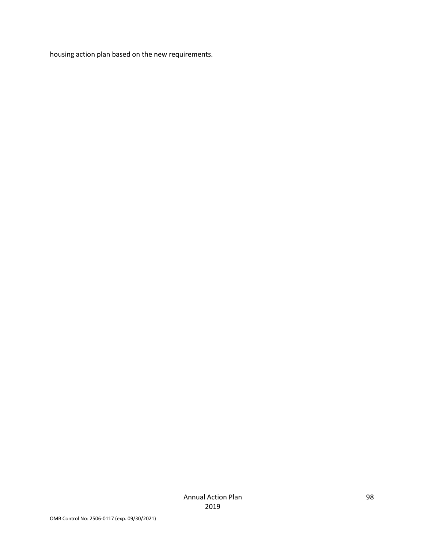housing action plan based on the new requirements.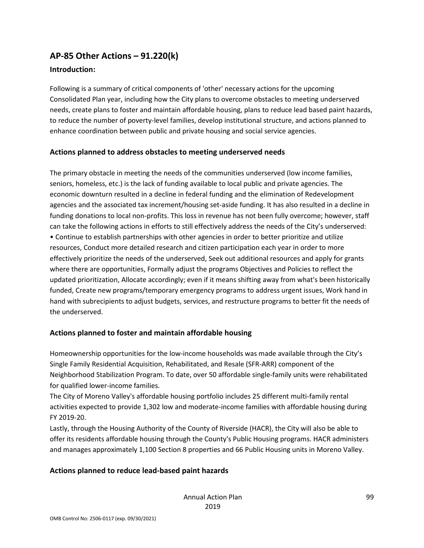# **AP-85 Other Actions – 91.220(k)**

## **Introduction:**

Following is a summary of critical components of 'other' necessary actions for the upcoming Consolidated Plan year, including how the City plans to overcome obstacles to meeting underserved needs, create plans to foster and maintain affordable housing, plans to reduce lead based paint hazards, to reduce the number of poverty-level families, develop institutional structure, and actions planned to enhance coordination between public and private housing and social service agencies.

### **Actions planned to address obstacles to meeting underserved needs**

The primary obstacle in meeting the needs of the communities underserved (low income families, seniors, homeless, etc.) is the lack of funding available to local public and private agencies. The economic downturn resulted in a decline in federal funding and the elimination of Redevelopment agencies and the associated tax increment/housing set-aside funding. It has also resulted in a decline in funding donations to local non-profits. This loss in revenue has not been fully overcome; however, staff can take the following actions in efforts to still effectively address the needs of the City's underserved: • Continue to establish partnerships with other agencies in order to better prioritize and utilize resources, Conduct more detailed research and citizen participation each year in order to more effectively prioritize the needs of the underserved, Seek out additional resources and apply for grants where there are opportunities, Formally adjust the programs Objectives and Policies to reflect the updated prioritization, Allocate accordingly; even if it means shifting away from what's been historically funded, Create new programs/temporary emergency programs to address urgent issues, Work hand in hand with subrecipients to adjust budgets, services, and restructure programs to better fit the needs of the underserved.

## **Actions planned to foster and maintain affordable housing**

Homeownership opportunities for the low-income households was made available through the City's Single Family Residential Acquisition, Rehabilitated, and Resale (SFR-ARR) component of the Neighborhood Stabilization Program. To date, over 50 affordable single-family units were rehabilitated for qualified lower-income families.

The City of Moreno Valley's affordable housing portfolio includes 25 different multi-family rental activities expected to provide 1,302 low and moderate-income families with affordable housing during FY 2019-20.

Lastly, through the Housing Authority of the County of Riverside (HACR), the City will also be able to offer its residents affordable housing through the County's Public Housing programs. HACR administers and manages approximately 1,100 Section 8 properties and 66 Public Housing units in Moreno Valley.

## **Actions planned to reduce lead-based paint hazards**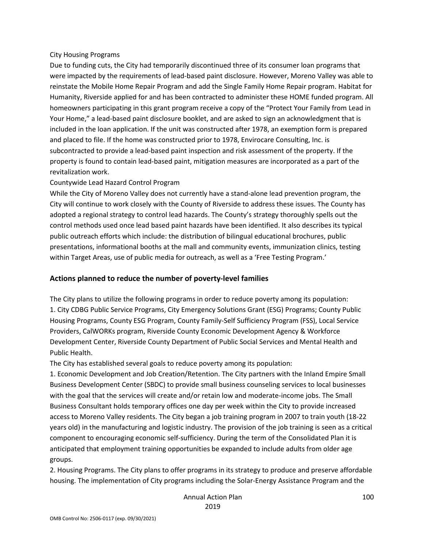#### City Housing Programs

Due to funding cuts, the City had temporarily discontinued three of its consumer loan programs that were impacted by the requirements of lead-based paint disclosure. However, Moreno Valley was able to reinstate the Mobile Home Repair Program and add the Single Family Home Repair program. Habitat for Humanity, Riverside applied for and has been contracted to administer these HOME funded program. All homeowners participating in this grant program receive a copy of the "Protect Your Family from Lead in Your Home," a lead-based paint disclosure booklet, and are asked to sign an acknowledgment that is included in the loan application. If the unit was constructed after 1978, an exemption form is prepared and placed to file. If the home was constructed prior to 1978, Envirocare Consulting, Inc. is subcontracted to provide a lead-based paint inspection and risk assessment of the property. If the property is found to contain lead-based paint, mitigation measures are incorporated as a part of the revitalization work.

#### Countywide Lead Hazard Control Program

While the City of Moreno Valley does not currently have a stand-alone lead prevention program, the City will continue to work closely with the County of Riverside to address these issues. The County has adopted a regional strategy to control lead hazards. The County's strategy thoroughly spells out the control methods used once lead based paint hazards have been identified. It also describes its typical public outreach efforts which include: the distribution of bilingual educational brochures, public presentations, informational booths at the mall and community events, immunization clinics, testing within Target Areas, use of public media for outreach, as well as a 'Free Testing Program.'

## **Actions planned to reduce the number of poverty-level families**

The City plans to utilize the following programs in order to reduce poverty among its population: 1. City CDBG Public Service Programs, City Emergency Solutions Grant (ESG) Programs; County Public Housing Programs, County ESG Program, County Family-Self Sufficiency Program (FSS), Local Service Providers, CalWORKs program, Riverside County Economic Development Agency & Workforce Development Center, Riverside County Department of Public Social Services and Mental Health and Public Health.

The City has established several goals to reduce poverty among its population:

1. Economic Development and Job Creation/Retention. The City partners with the Inland Empire Small Business Development Center (SBDC) to provide small business counseling services to local businesses with the goal that the services will create and/or retain low and moderate-income jobs. The Small Business Consultant holds temporary offices one day per week within the City to provide increased access to Moreno Valley residents. The City began a job training program in 2007 to train youth (18-22 years old) in the manufacturing and logistic industry. The provision of the job training is seen as a critical component to encouraging economic self-sufficiency. During the term of the Consolidated Plan it is anticipated that employment training opportunities be expanded to include adults from older age groups.

2. Housing Programs. The City plans to offer programs in its strategy to produce and preserve affordable housing. The implementation of City programs including the Solar-Energy Assistance Program and the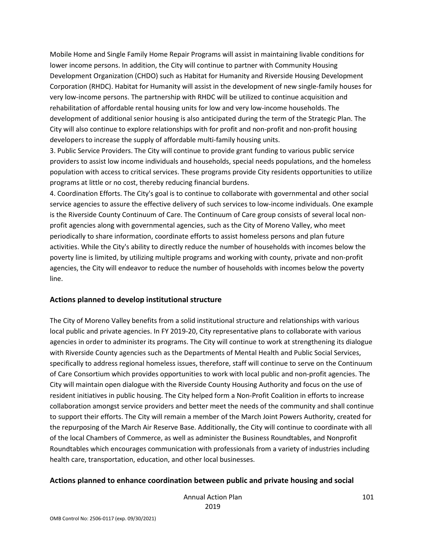Mobile Home and Single Family Home Repair Programs will assist in maintaining livable conditions for lower income persons. In addition, the City will continue to partner with Community Housing Development Organization (CHDO) such as Habitat for Humanity and Riverside Housing Development Corporation (RHDC). Habitat for Humanity will assist in the development of new single-family houses for very low-income persons. The partnership with RHDC will be utilized to continue acquisition and rehabilitation of affordable rental housing units for low and very low-income households. The development of additional senior housing is also anticipated during the term of the Strategic Plan. The City will also continue to explore relationships with for profit and non-profit and non-profit housing developers to increase the supply of affordable multi-family housing units.

3. Public Service Providers. The City will continue to provide grant funding to various public service providers to assist low income individuals and households, special needs populations, and the homeless population with access to critical services. These programs provide City residents opportunities to utilize programs at little or no cost, thereby reducing financial burdens.

4. Coordination Efforts. The City's goal is to continue to collaborate with governmental and other social service agencies to assure the effective delivery of such services to low-income individuals. One example is the Riverside County Continuum of Care. The Continuum of Care group consists of several local nonprofit agencies along with governmental agencies, such as the City of Moreno Valley, who meet periodically to share information, coordinate efforts to assist homeless persons and plan future activities. While the City's ability to directly reduce the number of households with incomes below the poverty line is limited, by utilizing multiple programs and working with county, private and non-profit agencies, the City will endeavor to reduce the number of households with incomes below the poverty line.

#### **Actions planned to develop institutional structure**

The City of Moreno Valley benefits from a solid institutional structure and relationships with various local public and private agencies. In FY 2019-20, City representative plans to collaborate with various agencies in order to administer its programs. The City will continue to work at strengthening its dialogue with Riverside County agencies such as the Departments of Mental Health and Public Social Services, specifically to address regional homeless issues, therefore, staff will continue to serve on the Continuum of Care Consortium which provides opportunities to work with local public and non-profit agencies. The City will maintain open dialogue with the Riverside County Housing Authority and focus on the use of resident initiatives in public housing. The City helped form a Non-Profit Coalition in efforts to increase collaboration amongst service providers and better meet the needs of the community and shall continue to support their efforts. The City will remain a member of the March Joint Powers Authority, created for the repurposing of the March Air Reserve Base. Additionally, the City will continue to coordinate with all of the local Chambers of Commerce, as well as administer the Business Roundtables, and Nonprofit Roundtables which encourages communication with professionals from a variety of industries including health care, transportation, education, and other local businesses.

#### **Actions planned to enhance coordination between public and private housing and social**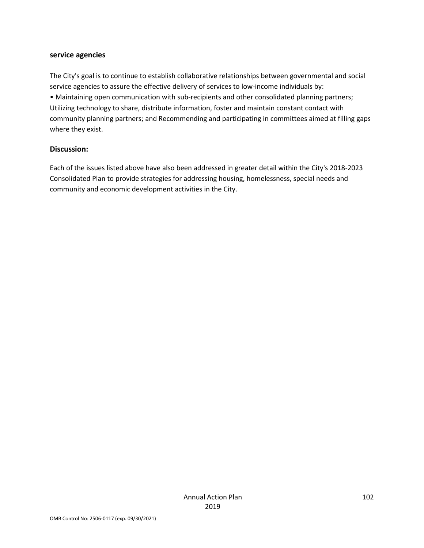#### **service agencies**

The City's goal is to continue to establish collaborative relationships between governmental and social service agencies to assure the effective delivery of services to low-income individuals by: • Maintaining open communication with sub-recipients and other consolidated planning partners; Utilizing technology to share, distribute information, foster and maintain constant contact with community planning partners; and Recommending and participating in committees aimed at filling gaps where they exist.

#### **Discussion:**

Each of the issues listed above have also been addressed in greater detail within the City's 2018-2023 Consolidated Plan to provide strategies for addressing housing, homelessness, special needs and community and economic development activities in the City.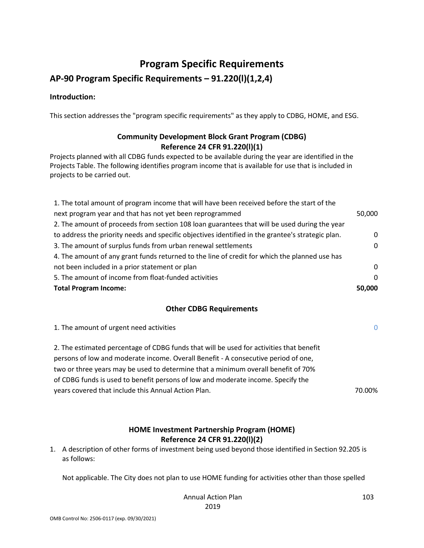# **Program Specific Requirements**

# **AP-90 Program Specific Requirements – 91.220(l)(1,2,4)**

#### **Introduction:**

This section addresses the "program specific requirements" as they apply to CDBG, HOME, and ESG.

# **Community Development Block Grant Program (CDBG) Reference 24 CFR 91.220(l)(1)**

Projects planned with all CDBG funds expected to be available during the year are identified in the Projects Table. The following identifies program income that is available for use that is included in projects to be carried out.

| <b>Total Program Income:</b>                                                                      | 50,000   |
|---------------------------------------------------------------------------------------------------|----------|
| 5. The amount of income from float-funded activities                                              | $\Omega$ |
| not been included in a prior statement or plan                                                    | $\Omega$ |
| 4. The amount of any grant funds returned to the line of credit for which the planned use has     |          |
| 3. The amount of surplus funds from urban renewal settlements                                     |          |
| to address the priority needs and specific objectives identified in the grantee's strategic plan. | 0        |
| 2. The amount of proceeds from section 108 loan guarantees that will be used during the year      |          |
| next program year and that has not yet been reprogrammed                                          |          |
| 1. The total amount of program income that will have been received before the start of the        |          |

#### **Other CDBG Requirements**

| 1. The amount of urgent need activities                                                 | $\Omega$ |
|-----------------------------------------------------------------------------------------|----------|
| 2. The estimated percentage of CDBG funds that will be used for activities that benefit |          |
| persons of low and moderate income. Overall Benefit - A consecutive period of one,      |          |
| two or three years may be used to determine that a minimum overall benefit of 70%       |          |
| of CDBG funds is used to benefit persons of low and moderate income. Specify the        |          |
| years covered that include this Annual Action Plan.                                     | 70.00%   |

### **HOME Investment Partnership Program (HOME) Reference 24 CFR 91.220(l)(2)**

1. A description of other forms of investment being used beyond those identified in Section 92.205 is as follows:

Not applicable. The City does not plan to use HOME funding for activities other than those spelled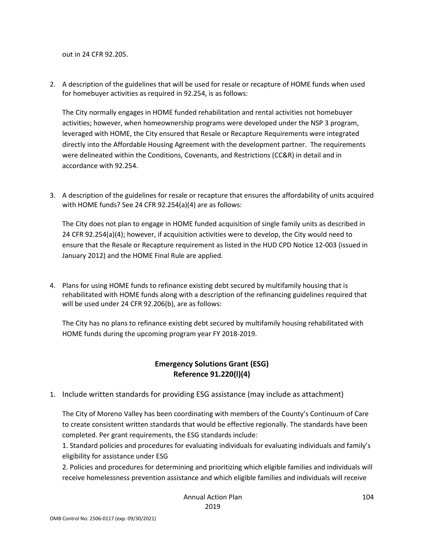out in 24 CFR 92.205.

2. A description of the guidelines that will be used for resale or recapture of HOME funds when used for homebuyer activities as required in 92.254, is as follows:

The City normally engages in HOME funded rehabilitation and rental activities not homebuyer activities; however, when homeownership programs were developed under the NSP 3 program, leveraged with HOME, the City ensured that Resale or Recapture Requirements were integrated directly into the Affordable Housing Agreement with the development partner. The requirements were delineated within the Conditions, Covenants, and Restrictions (CC&R) in detail and in accordance with 92.254.

3. A description of the guidelines for resale or recapture that ensures the affordability of units acquired with HOME funds? See 24 CFR 92.254(a)(4) are as follows:

The City does not plan to engage in HOME funded acquisition of single family units as described in 24 CFR 92.254(a)(4); however, if acquisition activities were to develop, the City would need to ensure that the Resale or Recapture requirement as listed in the HUD CPD Notice 12-003 (issued in January 2012) and the HOME Final Rule are applied.

4. Plans for using HOME funds to refinance existing debt secured by multifamily housing that is rehabilitated with HOME funds along with a description of the refinancing guidelines required that will be used under 24 CFR 92.206(b), are as follows:

The City has no plans to refinance existing debt secured by multifamily housing rehabilitated with HOME funds during the upcoming program year FY 2018-2019.

## **Emergency Solutions Grant (ESG) Reference 91.220(l)(4)**

1. Include written standards for providing ESG assistance (may include as attachment)

The City of Moreno Valley has been coordinating with members of the County's Continuum of Care to create consistent written standards that would be effective regionally. The standards have been completed. Per grant requirements, the ESG standards include:

1. Standard policies and procedures for evaluating individuals for evaluating individuals and family's eligibility for assistance under ESG

2. Policies and procedures for determining and prioritizing which eligible families and individuals will receive homelessness prevention assistance and which eligible families and individuals will receive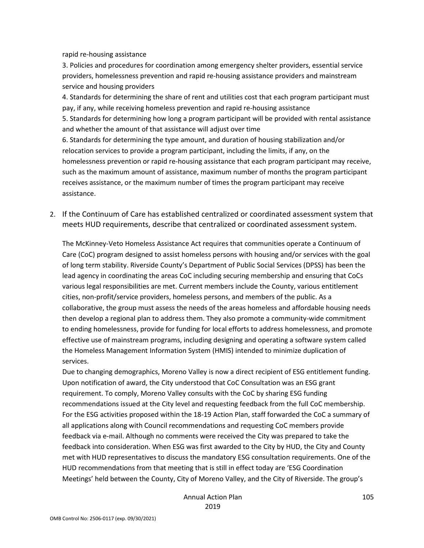rapid re-housing assistance

3. Policies and procedures for coordination among emergency shelter providers, essential service providers, homelessness prevention and rapid re-housing assistance providers and mainstream service and housing providers

4. Standards for determining the share of rent and utilities cost that each program participant must pay, if any, while receiving homeless prevention and rapid re-housing assistance 5. Standards for determining how long a program participant will be provided with rental assistance and whether the amount of that assistance will adjust over time 6. Standards for determining the type amount, and duration of housing stabilization and/or relocation services to provide a program participant, including the limits, if any, on the homelessness prevention or rapid re-housing assistance that each program participant may receive, such as the maximum amount of assistance, maximum number of months the program participant receives assistance, or the maximum number of times the program participant may receive assistance.

2. If the Continuum of Care has established centralized or coordinated assessment system that meets HUD requirements, describe that centralized or coordinated assessment system.

The McKinney-Veto Homeless Assistance Act requires that communities operate a Continuum of Care (CoC) program designed to assist homeless persons with housing and/or services with the goal of long term stability. Riverside County's Department of Public Social Services (DPSS) has been the lead agency in coordinating the areas CoC including securing membership and ensuring that CoCs various legal responsibilities are met. Current members include the County, various entitlement cities, non-profit/service providers, homeless persons, and members of the public. As a collaborative, the group must assess the needs of the areas homeless and affordable housing needs then develop a regional plan to address them. They also promote a community-wide commitment to ending homelessness, provide for funding for local efforts to address homelessness, and promote effective use of mainstream programs, including designing and operating a software system called the Homeless Management Information System (HMIS) intended to minimize duplication of services.

Due to changing demographics, Moreno Valley is now a direct recipient of ESG entitlement funding. Upon notification of award, the City understood that CoC Consultation was an ESG grant requirement. To comply, Moreno Valley consults with the CoC by sharing ESG funding recommendations issued at the City level and requesting feedback from the full CoC membership. For the ESG activities proposed within the 18-19 Action Plan, staff forwarded the CoC a summary of all applications along with Council recommendations and requesting CoC members provide feedback via e-mail. Although no comments were received the City was prepared to take the feedback into consideration. When ESG was first awarded to the City by HUD, the City and County met with HUD representatives to discuss the mandatory ESG consultation requirements. One of the HUD recommendations from that meeting that is still in effect today are 'ESG Coordination Meetings' held between the County, City of Moreno Valley, and the City of Riverside. The group's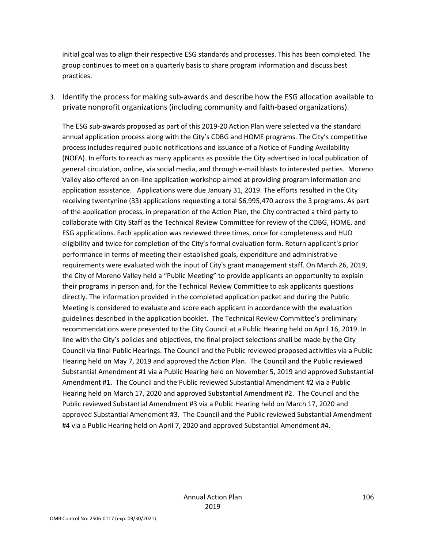initial goal was to align their respective ESG standards and processes. This has been completed. The group continues to meet on a quarterly basis to share program information and discuss best practices.

3. Identify the process for making sub-awards and describe how the ESG allocation available to private nonprofit organizations (including community and faith-based organizations).

The ESG sub-awards proposed as part of this 2019-20 Action Plan were selected via the standard annual application process along with the City's CDBG and HOME programs. The City's competitive process includes required public notifications and issuance of a Notice of Funding Availability (NOFA). In efforts to reach as many applicants as possible the City advertised in local publication of general circulation, online, via social media, and through e-mail blasts to interested parties. Moreno Valley also offered an on-line application workshop aimed at providing program information and application assistance. Applications were due January 31, 2019. The efforts resulted in the City receiving twentynine (33) applications requesting a total \$6,995,470 across the 3 programs. As part of the application process, in preparation of the Action Plan, the City contracted a third party to collaborate with City Staff as the Technical Review Committee for review of the CDBG, HOME, and ESG applications. Each application was reviewed three times, once for completeness and HUD eligibility and twice for completion of the City's formal evaluation form. Return applicant's prior performance in terms of meeting their established goals, expenditure and administrative requirements were evaluated with the input of City's grant management staff. On March 26, 2019, the City of Moreno Valley held a "Public Meeting" to provide applicants an opportunity to explain their programs in person and, for the Technical Review Committee to ask applicants questions directly. The information provided in the completed application packet and during the Public Meeting is considered to evaluate and score each applicant in accordance with the evaluation guidelines described in the application booklet. The Technical Review Committee's preliminary recommendations were presented to the City Council at a Public Hearing held on April 16, 2019. In line with the City's policies and objectives, the final project selections shall be made by the City Council via final Public Hearings. The Council and the Public reviewed proposed activities via a Public Hearing held on May 7, 2019 and approved the Action Plan. The Council and the Public reviewed Substantial Amendment #1 via a Public Hearing held on November 5, 2019 and approved Substantial Amendment #1. The Council and the Public reviewed Substantial Amendment #2 via a Public Hearing held on March 17, 2020 and approved Substantial Amendment #2. The Council and the Public reviewed Substantial Amendment #3 via a Public Hearing held on March 17, 2020 and approved Substantial Amendment #3. The Council and the Public reviewed Substantial Amendment #4 via a Public Hearing held on April 7, 2020 and approved Substantial Amendment #4.